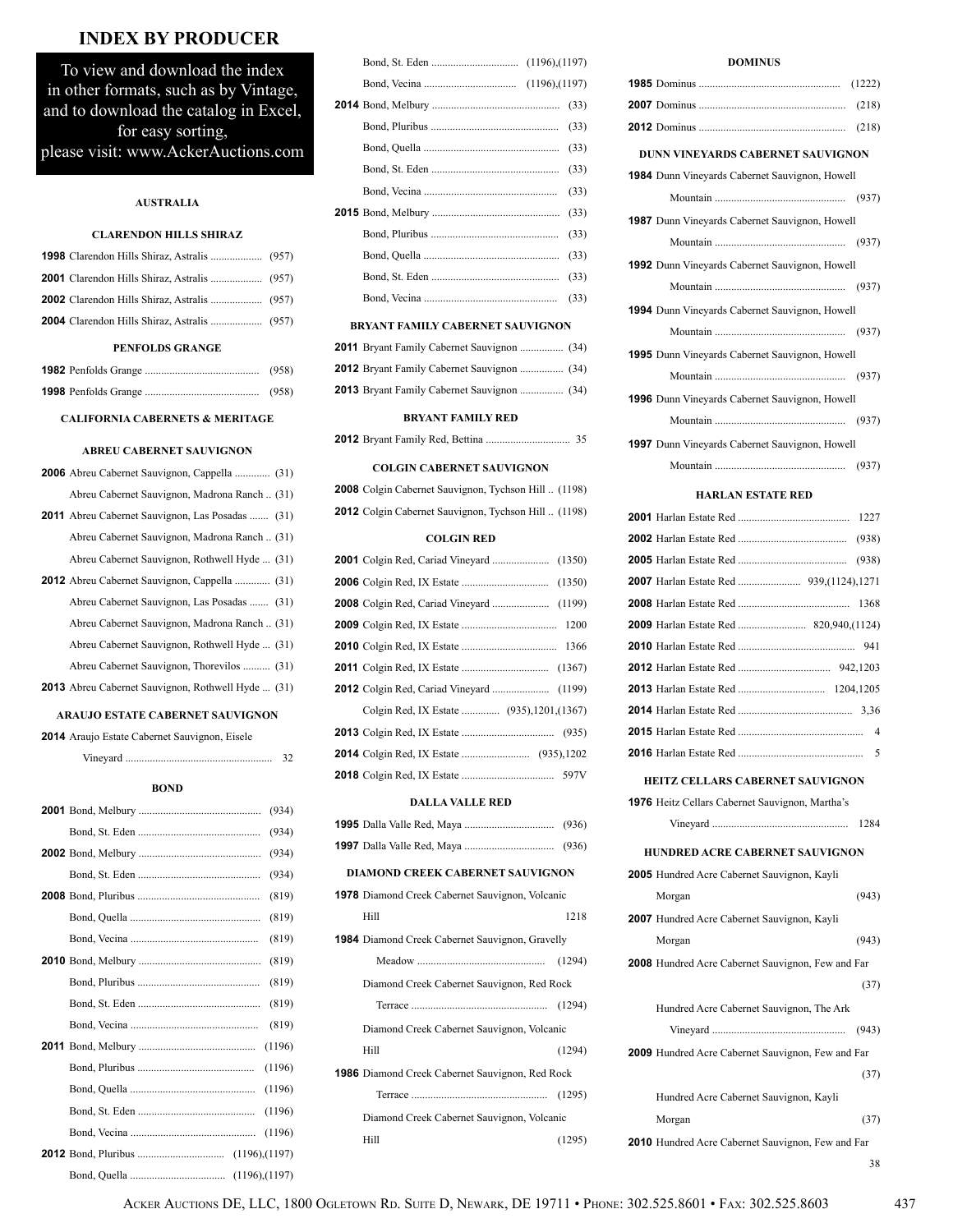# **INDEX BY PRODUCER**

To view and download the index in other formats, such as by Vintage, and to download the catalog in Excel, for easy sorting, please visit: www.AckerAuctions.com

### **AUSTRALIA**

### **CLARENDON HILLS SHIRAZ**

#### **PENFOLDS GRANGE**

### **CALIFORNIA CABERNETS & MERITAGE**

### **ABREU CABERNET SAUVIGNON**

| <b>2006</b> Abreu Cabernet Sauvignon, Cappella  (31)      |  |
|-----------------------------------------------------------|--|
| Abreu Cabernet Sauvignon, Madrona Ranch (31)              |  |
| <b>2011</b> Abreu Cabernet Sauvignon, Las Posadas  (31)   |  |
| Abreu Cabernet Sauvignon, Madrona Ranch (31)              |  |
| Abreu Cabernet Sauvignon, Rothwell Hyde  (31)             |  |
| <b>2012</b> Abreu Cabernet Sauvignon, Cappella  (31)      |  |
| Abreu Cabernet Sauvignon, Las Posadas  (31)               |  |
| Abreu Cabernet Sauvignon, Madrona Ranch (31)              |  |
| Abreu Cabernet Sauvignon, Rothwell Hyde  (31)             |  |
| Abreu Cabernet Sauvignon, Thorevilos  (31)                |  |
| <b>2013</b> Abreu Cabernet Sauvignon, Rothwell Hyde  (31) |  |
|                                                           |  |

### **ARAUJO ESTATE CABERNET SAUVIGNON**

| 2014 Araujo Estate Cabernet Sauvignon, Eisele |  |  |  |  |
|-----------------------------------------------|--|--|--|--|
|-----------------------------------------------|--|--|--|--|

|--|

### **BOND**

|        | (934) |
|--------|-------|
|        | (934) |
|        | (934) |
|        | (934) |
|        | (819) |
|        | (819) |
|        | (819) |
|        | (819) |
|        | (819) |
|        | (819) |
|        | (819) |
| (1196) |       |
| (1196) |       |
| (1196) |       |
| (1196) |       |
| (1196) |       |
|        |       |
|        |       |

|  | (33) |
|--|------|
|  | (33) |
|  | (33) |
|  | (33) |
|  |      |
|  | (33) |
|  | (33) |
|  | (33) |
|  | (33) |
|  |      |

### **BRYANT FAMILY CABERNET SAUVIGNON**

| <b>2012</b> Bryant Family Cabernet Sauvignon  (34) |  |
|----------------------------------------------------|--|
| <b>2013</b> Bryant Family Cabernet Sauvignon  (34) |  |

### **BRYANT FAMILY RED**

|--|--|--|--|--|--|--|--|--|

#### **COLGIN CABERNET SAUVIGNON**

|  | <b>2008</b> Colgin Cabernet Sauvignon, Tychson Hill  (1198) |  |  |
|--|-------------------------------------------------------------|--|--|
|  | <b>2012</b> Colgin Cabernet Sauvignon, Tychson Hill  (1198) |  |  |

### **COLGIN RED**

#### **DALLA VALLE RED**

### **DIAMOND CREEK CABERNET SAUVIGNON**

| <b>1978</b> Diamond Creek Cabernet Sauvignon, Volcanic |        |
|--------------------------------------------------------|--------|
| Hill                                                   | 1218   |
| <b>1984</b> Diamond Creek Cabernet Sauvignon, Gravelly |        |
|                                                        |        |
| Diamond Creek Cabernet Sauvignon, Red Rock             |        |
|                                                        |        |
| Diamond Creek Cabernet Sauvignon, Volcanic             |        |
| Hill                                                   | (1294) |
| <b>1986</b> Diamond Creek Cabernet Sauvignon, Red Rock |        |
|                                                        |        |
| Diamond Creek Cabernet Sauvignon, Volcanic             |        |
| Hill                                                   | (1295) |

### **DOMINUS**

| DUNN VINEYARDS CABERNET SAUVIGNON                        |
|----------------------------------------------------------|
| <b>1984</b> Dunn Vineyards Cabernet Sauvignon, Howell    |
|                                                          |
| 1987 Dunn Vineyards Cabernet Sauvignon, Howell           |
|                                                          |
| <b>1992</b> Dunn Vineyards Cabernet Sauvignon, Howell    |
|                                                          |
| 1994 Dunn Vineyards Cabernet Sauvignon, Howell           |
|                                                          |
| <b>1995</b> Dunn Vineyards Cabernet Sauvignon, Howell    |
|                                                          |
| <b>1996</b> Dunn Vineyards Cabernet Sauvignon, Howell    |
|                                                          |
| 1997 Dunn Vineyards Cabernet Sauvignon, Howell           |
| (937)                                                    |
| <b>HARLAN ESTATE RED</b>                                 |
|                                                          |
|                                                          |
|                                                          |
| 2007 Harlan Estate Red  939,(1124),1271                  |
|                                                          |
|                                                          |
|                                                          |
|                                                          |
|                                                          |
|                                                          |
|                                                          |
| 5                                                        |
| <b>HEITZ CELLARS CABERNET SAUVIGNON</b>                  |
| <b>1976</b> Heitz Cellars Cabernet Sauvignon, Martha's   |
| 1284                                                     |
| HUNDRED ACRE CABERNET SAUVIGNON                          |
| <b>2005</b> Hundred Acre Cabernet Sauvignon, Kayli       |
| (943)<br>Morgan                                          |
| <b>2007</b> Hundred Acre Cabernet Sauvignon, Kayli       |
| (943)<br>Morgan                                          |
| <b>2008</b> Hundred Acre Cabernet Sauvignon, Few and Far |
| (37)                                                     |
| Hundred Acre Cabernet Sauvignon, The Ark                 |
| (943)                                                    |
| 2009 Hundred Acre Cabernet Sauvignon, Few and Far        |
| (37)                                                     |
| Hundred Acre Cabernet Sauvignon, Kayli                   |
| Morgan<br>(37)                                           |

**2010** Hundred Acre Cabernet Sauvignon, Few and Far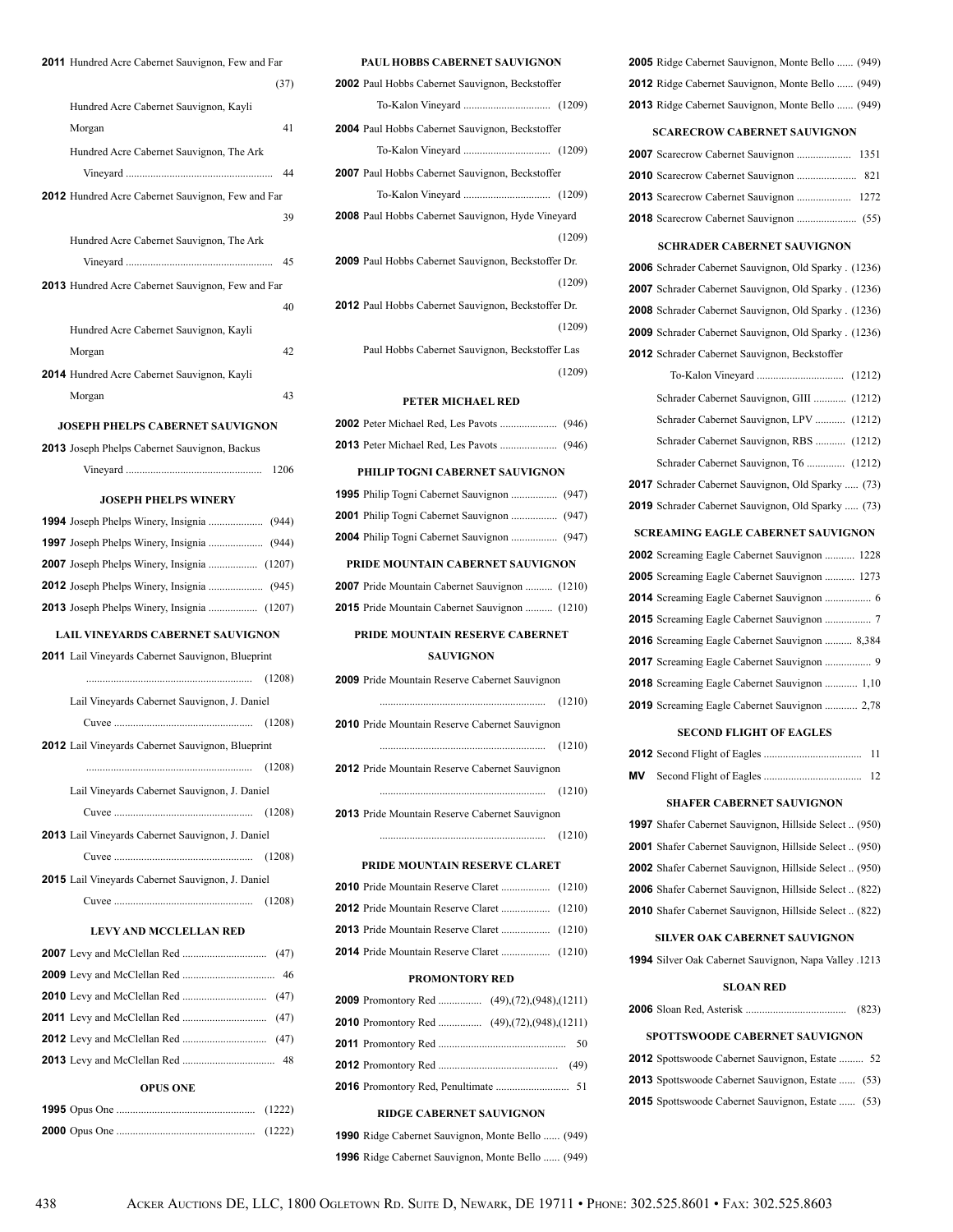| 2011 Hundred Acre Cabernet Sauvignon, Few and Far        |
|----------------------------------------------------------|
| (37)                                                     |
| Hundred Acre Cabernet Sauvignon, Kayli                   |
| 41<br>Morgan                                             |
| Hundred Acre Cabernet Sauvignon, The Ark                 |
| 44                                                       |
| 2012 Hundred Acre Cabernet Sauvignon, Few and Far        |
| 39                                                       |
| Hundred Acre Cabernet Sauvignon, The Ark                 |
| 45                                                       |
|                                                          |
| 2013 Hundred Acre Cabernet Sauvignon, Few and Far        |
| 40                                                       |
| Hundred Acre Cabernet Sauvignon, Kayli                   |
| Morgan<br>42                                             |
| 2014 Hundred Acre Cabernet Sauvignon, Kayli              |
| 43<br>Morgan                                             |
| <b>JOSEPH PHELPS CABERNET SAUVIGNON</b>                  |
| 2013 Joseph Phelps Cabernet Sauvignon, Backus            |
| 1206                                                     |
| <b>JOSEPH PHELPS WINERY</b>                              |
|                                                          |
|                                                          |
|                                                          |
|                                                          |
|                                                          |
| 2013 Joseph Phelps Winery, Insignia  (1207)              |
| LAIL VINEYARDS CABERNET SAUVIGNON                        |
| <b>2011</b> Lail Vineyards Cabernet Sauvignon, Blueprint |
| (1208)                                                   |
| Lail Vineyards Cabernet Sauvignon, J. Daniel             |
|                                                          |
| 2012 Lail Vineyards Cabernet Sauvignon, Blueprint        |
| (1208)                                                   |
| Lail Vineyards Cabernet Sauvignon, J. Daniel             |
| (1208)                                                   |
| 2013 Lail Vineyards Cabernet Sauvignon, J. Daniel        |
| (1208)                                                   |
| 2015 Lail Vineyards Cabernet Sauvignon, J. Daniel        |
| (1208)                                                   |
|                                                          |
| <b>LEVY AND MCCLELLAN RED</b>                            |
|                                                          |
| 46                                                       |
|                                                          |
|                                                          |
|                                                          |
|                                                          |
| <b>OPUS ONE</b>                                          |

# **1995** Opus One ................................................... (1222) **2000** Opus One ................................................... (1222)

| <b>1990</b> Ridge Cabernet Sauvignon, Monte Bello  (949) |  |
|----------------------------------------------------------|--|
| <b>1996</b> Ridge Cabernet Sauvignon, Monte Bello  (949) |  |

# **2010** Scarecrow Cabernet Sauvignon ...................... 821 **2013** Scarecrow Cabernet Sauvignon .................... 1272 **2018** Scarecrow Cabernet Sauvignon ...................... (55) **SCHRADER CABERNET SAUVIGNON 2006** Schrader Cabernet Sauvignon, Old Sparky . (1236) **2007** Schrader Cabernet Sauvignon, Old Sparky . (1236) **2008** Schrader Cabernet Sauvignon, Old Sparky . (1236) **2009** Schrader Cabernet Sauvignon, Old Sparky . (1236) **2012** Schrader Cabernet Sauvignon, Beckstoffer To-Kalon Vineyard ................................ (1212) Schrader Cabernet Sauvignon, GIII ............ (1212) Schrader Cabernet Sauvignon, LPV ........... (1212) Schrader Cabernet Sauvignon, RBS ........... (1212) Schrader Cabernet Sauvignon, T6 .............. (1212) **2017** Schrader Cabernet Sauvignon, Old Sparky ..... (73) **2019** Schrader Cabernet Sauvignon, Old Sparky ..... (73) **SCREAMING EAGLE CABERNET SAUVIGNON 2002** Screaming Eagle Cabernet Sauvignon ........... 1228 **2005** Screaming Eagle Cabernet Sauvignon ........... 1273 **2014** Screaming Eagle Cabernet Sauvignon ................. 6 **2015** Screaming Eagle Cabernet Sauvignon ................. 7 **2016** Screaming Eagle Cabernet Sauvignon .......... 8,384 **2017** Screaming Eagle Cabernet Sauvignon ................. 9 **2018** Screaming Eagle Cabernet Sauvignon ............ 1,10 **2019** Screaming Eagle Cabernet Sauvignon ............ 2,78

 Ridge Cabernet Sauvignon, Monte Bello ...... (949) Ridge Cabernet Sauvignon, Monte Bello ...... (949) Ridge Cabernet Sauvignon, Monte Bello ...... (949) **SCARECROW CABERNET SAUVIGNON** Scarecrow Cabernet Sauvignon .................... 1351

### **SECOND FLIGHT OF EAGLES**

### **SHAFER CABERNET SAUVIGNON**

| <b>1997</b> Shafer Cabernet Sauvignon, Hillside Select (950) |  |
|--------------------------------------------------------------|--|
| <b>2001</b> Shafer Cabernet Sauvignon, Hillside Select (950) |  |
| <b>2002</b> Shafer Cabernet Sauvignon, Hillside Select (950) |  |
| <b>2006</b> Shafer Cabernet Sauvignon, Hillside Select (822) |  |
| 2010 Shafer Cabernet Sauvignon, Hillside Select (822)        |  |

#### **SILVER OAK CABERNET SAUVIGNON**

**1994** Silver Oak Cabernet Sauvignon, Napa Valley .1213

#### **SLOAN RED**

|  | (823) |
|--|-------|
|  |       |

### **SPOTTSWOODE CABERNET SAUVIGNON**

| <b>2012</b> Spottswoode Cabernet Sauvignon, Estate  52   |  |
|----------------------------------------------------------|--|
| <b>2013</b> Spottswoode Cabernet Sauvignon, Estate  (53) |  |
| <b>2015</b> Spottswoode Cabernet Sauvignon, Estate  (53) |  |

#### **PAUL HOBBS CABERNET SAUVIGNON**

| <b>2002</b> Paul Hobbs Cabernet Sauvignon, Beckstoffer     |  |  |
|------------------------------------------------------------|--|--|
|                                                            |  |  |
| 2004 Paul Hobbs Cabernet Sauvignon, Beckstoffer            |  |  |
|                                                            |  |  |
| 2007 Paul Hobbs Cabernet Sauvignon, Beckstoffer            |  |  |
|                                                            |  |  |
| 2008 Paul Hobbs Cabernet Sauvignon, Hyde Vineyard          |  |  |
| (1209)                                                     |  |  |
| <b>2009</b> Paul Hobbs Cabernet Sauvignon, Beckstoffer Dr. |  |  |
| (1209)                                                     |  |  |
| 2012 Paul Hobbs Cabernet Sauvignon, Beckstoffer Dr.        |  |  |
| (1209)                                                     |  |  |
| Paul Hobbs Cabernet Sauvignon, Beckstoffer Las             |  |  |
| (1209)                                                     |  |  |
| PETER MICHAEL RED                                          |  |  |
|                                                            |  |  |
|                                                            |  |  |

#### **PHILIP TOGNI CABERNET SAUVIGNON**

### **PRIDE MOUNTAIN CABERNET SAUVIGNON**

| 2007 Pride Mountain Cabernet Sauvignon  (1210) |  |
|------------------------------------------------|--|
| 2015 Pride Mountain Cabernet Sauvignon  (1210) |  |

### **PRIDE MOUNTAIN RESERVE CABERNET SAUVIGNON**

| <b>2009</b> Pride Mountain Reserve Cabernet Sauvignon |        |
|-------------------------------------------------------|--------|
|                                                       | (1210) |
| <b>2010</b> Pride Mountain Reserve Cabernet Sauvignon |        |
|                                                       | (1210) |
| <b>2012</b> Pride Mountain Reserve Cabernet Sauvignon |        |
|                                                       | (1210) |
| <b>2013</b> Pride Mountain Reserve Cabernet Sauvignon |        |
|                                                       | (1210) |

#### **PRIDE MOUNTAIN RESERVE CLARET**

### **PROMONTORY RED**

#### **RIDGE CABERNET SAUVIGNON**

| <b>990</b> Ridge Cabernet Sauvignon, Monte Bello  (949) |  |
|---------------------------------------------------------|--|
| 996 Ridge Cabernet Sauvignon, Monte Bello (949)         |  |

|                                                          | (1208) |  |  |  |
|----------------------------------------------------------|--------|--|--|--|
| Lail Vineyards Cabernet Sauvignon, J. Daniel             |        |  |  |  |
|                                                          | (1208) |  |  |  |
| <b>2012</b> Lail Vineyards Cabernet Sauvignon, Blueprint |        |  |  |  |
|                                                          | (1208) |  |  |  |
| Lail Vineyards Cabernet Sauvignon, J. Daniel             |        |  |  |  |
|                                                          | (1208) |  |  |  |
| <b>2013</b> Lail Vineyards Cabernet Sauvignon, J. Daniel |        |  |  |  |
|                                                          | (1208) |  |  |  |
| <b>2015</b> Lail Vineyards Cabernet Sauvignon, J. Daniel |        |  |  |  |
|                                                          | (1208) |  |  |  |
|                                                          |        |  |  |  |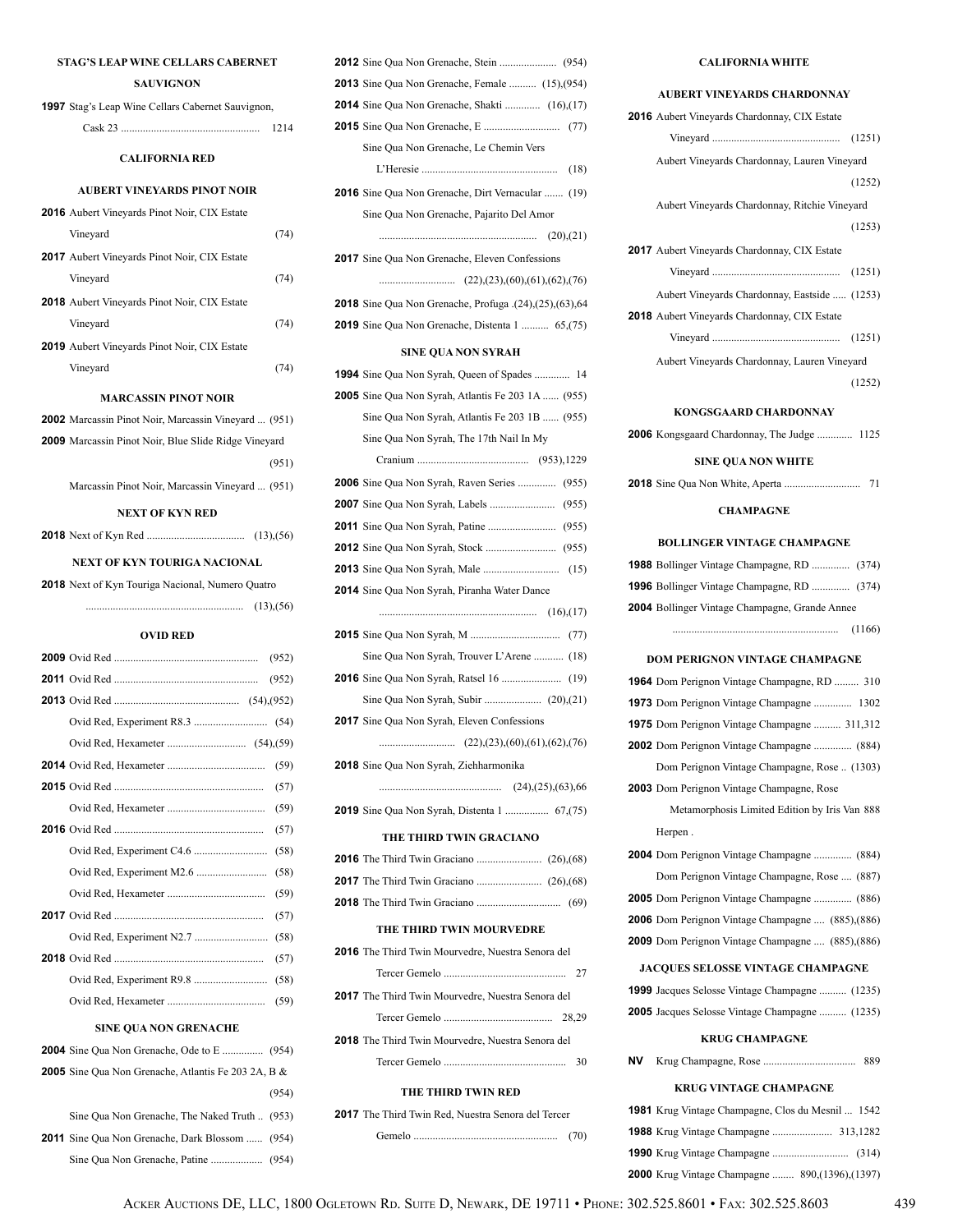### **STAG'S LEAP WINE CELLARS CABERNET**

### **SAUVIGNON**

| <b>1997</b> Stag's Leap Wine Cellars Cabernet Sauvignon,    |                |
|-------------------------------------------------------------|----------------|
|                                                             |                |
| <b>CALIFORNIA RED</b>                                       |                |
| <b>AUBERT VINEYARDS PINOT NOIR</b>                          |                |
| <b>2016</b> Aubert Vineyards Pinot Noir, CIX Estate         |                |
| Vineyard                                                    | (74)           |
| <b>2017</b> Aubert Vineyards Pinot Noir, CIX Estate         |                |
| Vineyard                                                    | (74)           |
| <b>2018</b> Aubert Vineyards Pinot Noir, CIX Estate         |                |
| Vineyard                                                    | (74)           |
| <b>2019</b> Aubert Vineyards Pinot Noir, CIX Estate         |                |
| Vineyard                                                    | (74)           |
| MARCASSIN PINOT NOIR                                        |                |
| <b>2002</b> Marcassin Pinot Noir, Marcassin Vineyard  (951) |                |
| <b>2009</b> Marcassin Pinot Noir, Blue Slide Ridge Vineyard |                |
|                                                             | (951)          |
| Marcassin Pinot Noir, Marcassin Vineyard  (951)             |                |
| <b>NEXT OF KYN RED</b>                                      |                |
|                                                             |                |
| NEXT OF KYN TOURIGA NACIONAL                                |                |
| <b>2018</b> Next of Kyn Touriga Nacional, Numero Quatro     |                |
|                                                             |                |
|                                                             |                |
|                                                             |                |
| <b>OVID RED</b>                                             |                |
|                                                             | (952)<br>(952) |
|                                                             |                |
|                                                             |                |
|                                                             |                |
|                                                             |                |
| <b>2015</b> Ovid Red.                                       | $(57)$         |
|                                                             | (59)           |
|                                                             | (57)           |
|                                                             | (58)           |
|                                                             | (58)           |
|                                                             | (59)           |
|                                                             | (57)           |
|                                                             | (58)           |
|                                                             | (57)           |
|                                                             | (58)           |
|                                                             |                |
| <b>SINE QUA NON GRENACHE</b>                                |                |
|                                                             |                |
| <b>2005</b> Sine Qua Non Grenache, Atlantis Fe 203 2A, B &  | (954)          |

**2011** Sine Qua Non Grenache, Dark Blossom ...... (954) Sine Qua Non Grenache, Patine ................... (954)

| <b>2013</b> Sine Qua Non Grenache, Female  (15), (954)    |
|-----------------------------------------------------------|
| 2014 Sine Qua Non Grenache, Shakti  (16),(17)             |
|                                                           |
| Sine Qua Non Grenache, Le Chemin Vers                     |
|                                                           |
| <b>2016</b> Sine Qua Non Grenache, Dirt Vernacular  (19)  |
| Sine Qua Non Grenache, Pajarito Del Amor                  |
|                                                           |
| 2017 Sine Qua Non Grenache, Eleven Confessions            |
|                                                           |
| 2018 Sine Qua Non Grenache, Profuga .(24),(25),(63),64    |
| <b>2019</b> Sine Qua Non Grenache, Distenta 1  65,(75)    |
| <b>SINE QUA NON SYRAH</b>                                 |
| <b>1994</b> Sine Qua Non Syrah, Queen of Spades  14       |
| <b>2005</b> Sine Qua Non Syrah, Atlantis Fe 203 1A  (955) |
| Sine Qua Non Syrah, Atlantis Fe 203 1B  (955)             |
| Sine Qua Non Syrah, The 17th Nail In My                   |
|                                                           |
| 2006 Sine Qua Non Syrah, Raven Series  (955)              |
|                                                           |
|                                                           |
|                                                           |
|                                                           |
| 2014 Sine Qua Non Syrah, Piranha Water Dance              |
| (16),(17)                                                 |
|                                                           |
|                                                           |
| Sine Qua Non Syrah, Trouver L'Arene  (18)                 |
|                                                           |
|                                                           |
| <b>2017</b> Sine Qua Non Syrah, Eleven Confessions        |
|                                                           |
| <b>2018</b> Sine Qua Non Syrah, Ziehharmonika             |
|                                                           |
| <b>2019</b> Sine Qua Non Syrah, Distenta 1  67,(75)       |
| THE THIRD TWIN GRACIANO                                   |
|                                                           |
|                                                           |
|                                                           |
| THE THIRD TWIN MOURVEDRE                                  |
| 2016 The Third Twin Mourvedre, Nuestra Senora del         |
| 27                                                        |
| <b>2017</b> The Third Twin Mourvedre, Nuestra Senora del  |
|                                                           |
| <b>2018</b> The Third Twin Mourvedre, Nuestra Senora del  |
|                                                           |
| THE THIRD TWIN RED                                        |
| 2017 The Third Twin Red, Nuestra Senora del Tercer        |

### **CALIFORNIA WHITE**

| AUBERT VINEYARDS CHARDONNAY                              |
|----------------------------------------------------------|
| 2016 Aubert Vineyards Chardonnay, CIX Estate             |
|                                                          |
| Aubert Vineyards Chardonnay, Lauren Vineyard             |
| (1252)                                                   |
| Aubert Vineyards Chardonnay, Ritchie Vineyard            |
| (1253)                                                   |
| <b>2017</b> Aubert Vineyards Chardonnay, CIX Estate      |
|                                                          |
|                                                          |
| Aubert Vineyards Chardonnay, Eastside  (1253)            |
| <b>2018</b> Aubert Vineyards Chardonnay, CIX Estate      |
|                                                          |
| Aubert Vineyards Chardonnay, Lauren Vineyard             |
| (1252)                                                   |
| <b>KONGSGAARD CHARDONNAY</b>                             |
| 2006 Kongsgaard Chardonnay, The Judge  1125              |
| <b>SINE QUA NON WHITE</b>                                |
|                                                          |
|                                                          |
| <b>CHAMPAGNE</b>                                         |
| <b>BOLLINGER VINTAGE CHAMPAGNE</b>                       |
| <b>1988</b> Bollinger Vintage Champagne, RD  (374)       |
| <b>1996</b> Bollinger Vintage Champagne, RD  (374)       |
| 2004 Bollinger Vintage Champagne, Grande Annee           |
| $(1166)$                                                 |
| <b>DOM PERIGNON VINTAGE CHAMPAGNE</b>                    |
| <b>1964</b> Dom Perignon Vintage Champagne, RD  310      |
| 1973 Dom Perignon Vintage Champagne  1302                |
| 1975 Dom Perignon Vintage Champagne  311,312             |
| 2002 Dom Perignon Vintage Champagne  (884)               |
| Dom Perignon Vintage Champagne, Rose  (1303)             |
| 2003 Dom Perignon Vintage Champagne, Rose                |
| Metamorphosis Limited Edition by Iris Van 888            |
| Herpen.                                                  |
| 2004 Dom Perignon Vintage Champagne  (884)               |
| Dom Perignon Vintage Champagne, Rose  (887)              |
| <b>2005</b> Dom Perignon Vintage Champagne  (886)        |
| 2006 Dom Perignon Vintage Champagne  (885), (886)        |
| <b>2009</b> Dom Perignon Vintage Champagne  (885), (886) |
|                                                          |
| <b>JACQUES SELOSSE VINTAGE CHAMPAGNE</b>                 |
| <b>1999</b> Jacques Selosse Vintage Champagne  (1235)    |
| <b>2005</b> Jacques Selosse Vintage Champagne  (1235)    |
| <b>KRUG CHAMPAGNE</b>                                    |
| ΝV<br>889                                                |
| <b>KRUG VINTAGE CHAMPAGNE</b>                            |
| 1981 Krug Vintage Champagne, Clos du Mesnil  1542        |

**1988** Krug Vintage Champagne ...................... 313,1282 **1990** Krug Vintage Champagne ............................ (314) **2000** Krug Vintage Champagne ........ 890,(1396),(1397)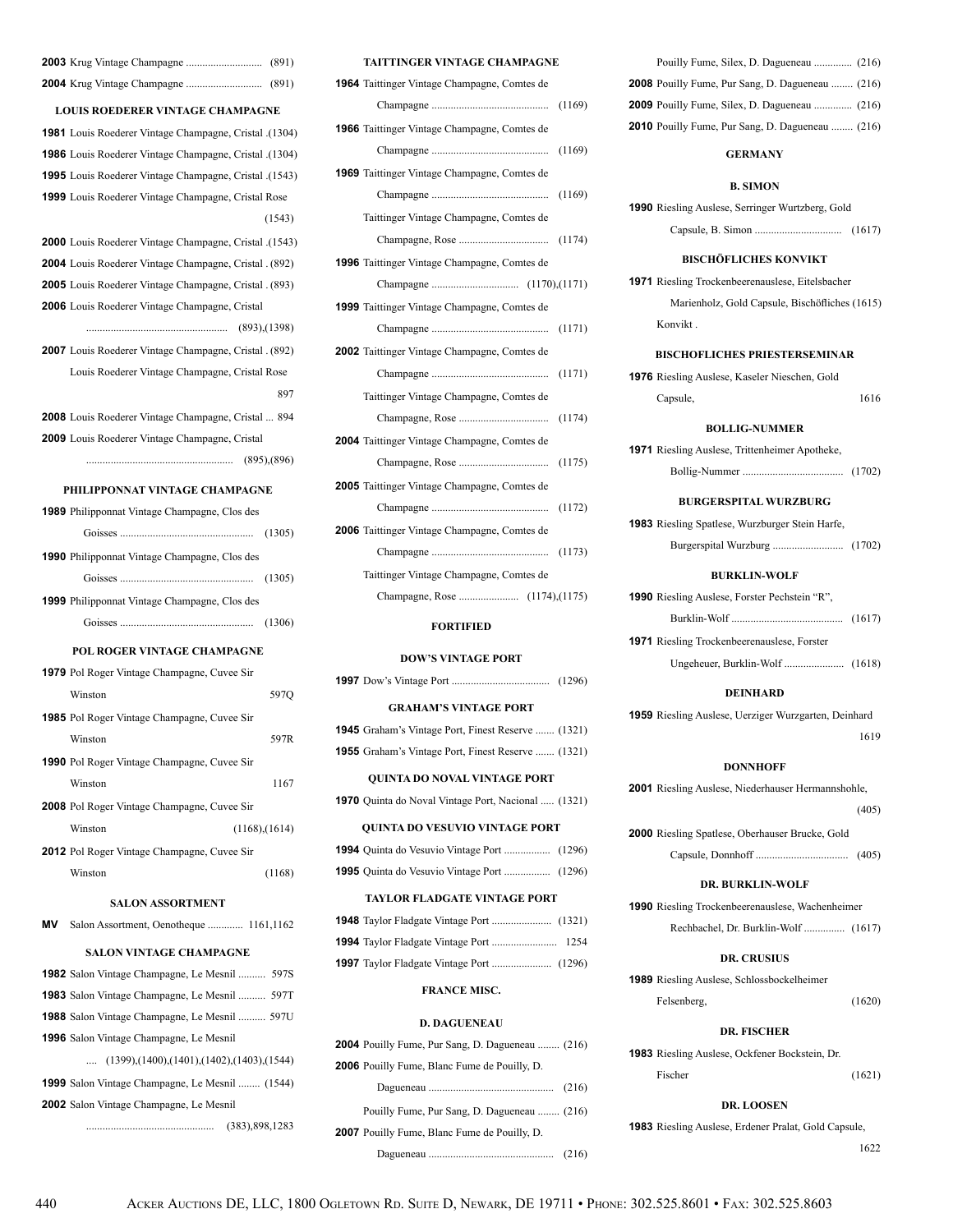| <b>LOUIS ROEDERER VINTAGE CHAMPAGNE</b>                              |
|----------------------------------------------------------------------|
| 1981 Louis Roederer Vintage Champagne, Cristal .(1304)               |
| 1986 Louis Roederer Vintage Champagne, Cristal .(1304)               |
| 1995 Louis Roederer Vintage Champagne, Cristal .(1543)               |
| <b>1999</b> Louis Roederer Vintage Champagne, Cristal Rose           |
| (1543)                                                               |
| (1543). <b>2000</b> Louis Roederer Vintage Champagne, Cristal (1543) |
| 2004 Louis Roederer Vintage Champagne, Cristal . (892)               |
| 2005 Louis Roederer Vintage Champagne, Cristal . (893)               |
| <b>2006</b> Louis Roederer Vintage Champagne, Cristal                |
|                                                                      |
| 2007 Louis Roederer Vintage Champagne, Cristal. (892)                |
| Louis Roederer Vintage Champagne, Cristal Rose                       |
| 897                                                                  |
| <b>2008</b> Louis Roederer Vintage Champagne, Cristal  894           |
| <b>2009</b> Louis Roederer Vintage Champagne, Cristal                |
|                                                                      |
| PHILIPPONNAT VINTAGE CHAMPAGNE                                       |
| <b>1989</b> Philipponnat Vintage Champagne, Clos des                 |
|                                                                      |
|                                                                      |
| <b>1990</b> Philipponnat Vintage Champagne, Clos des                 |
|                                                                      |
| <b>1999</b> Philipponnat Vintage Champagne, Clos des                 |
|                                                                      |
| POL ROGER VINTAGE CHAMPAGNE                                          |
| 1979 Pol Roger Vintage Champagne, Cuvee Sir                          |
| Winston<br>597Q                                                      |
| <b>1985</b> Pol Roger Vintage Champagne, Cuvee Sir                   |
| 597R<br>Winston                                                      |
| <b>1990</b> Pol Roger Vintage Champagne, Cuvee Sir                   |
| Winston<br>1167                                                      |
| <b>2008</b> Pol Roger Vintage Champagne, Cuvee Sir                   |
| Winston<br>$(1168)$ , $(1614)$                                       |
| <b>2012</b> Pol Roger Vintage Champagne, Cuvee Sir                   |
| Winston<br>(1168)                                                    |
| <b>SALON ASSORTMENT</b>                                              |
| ΜV<br>Salon Assortment, Oenotheque  1161,1162                        |
| SALON VINTAGE CHAMPAGNE                                              |
| <b>1982</b> Salon Vintage Champagne, Le Mesnil  597S                 |
| <b>1983</b> Salon Vintage Champagne, Le Mesnil  597T                 |
| <b>1988</b> Salon Vintage Champagne, Le Mesnil  597U                 |
| <b>1996</b> Salon Vintage Champagne, Le Mesnil                       |
| $(1399)$ , $(1400)$ , $(1401)$ , $(1402)$ , $(1403)$ , $(1544)$      |
| 1999 Salon Vintage Champagne, Le Mesnil  (1544)                      |
|                                                                      |

### **TAITTINGER VINTAGE CHAMPAGNE**

| <b>1964</b> Taittinger Vintage Champagne, Comtes de |
|-----------------------------------------------------|
| (1169)                                              |
| <b>1966</b> Taittinger Vintage Champagne, Comtes de |
| (1169)                                              |
| <b>1969</b> Taittinger Vintage Champagne, Comtes de |
| (1169)                                              |
| Taittinger Vintage Champagne, Comtes de             |
|                                                     |
| 1996 Taittinger Vintage Champagne, Comtes de        |
|                                                     |
| <b>1999</b> Taittinger Vintage Champagne, Comtes de |
| (1171)                                              |
| 2002 Taittinger Vintage Champagne, Comtes de        |
|                                                     |
| Taittinger Vintage Champagne, Comtes de             |
|                                                     |
| 2004 Taittinger Vintage Champagne, Comtes de        |
| (1175)                                              |
| <b>2005</b> Taittinger Vintage Champagne, Comtes de |
| (1172)                                              |
| 2006 Taittinger Vintage Champagne, Comtes de        |
|                                                     |
| Taittinger Vintage Champagne, Comtes de             |
|                                                     |
|                                                     |

### **FORTIFIED**

### **DOW'S VINTAGE PORT**

| <b>GRAHAM'S VINTAGE PORT</b> |  |  |  |
|------------------------------|--|--|--|

| <b>1945</b> Graham's Vintage Port, Finest Reserve  (1321) |  |  |  |  |
|-----------------------------------------------------------|--|--|--|--|
| <b>1955</b> Graham's Vintage Port, Finest Reserve  (1321) |  |  |  |  |

#### **QUINTA DO NOVAL VINTAGE PORT**

**1970** Quinta do Noval Vintage Port, Nacional ..... (1321)

#### **QUINTA DO VESUVIO VINTAGE PORT**

#### **TAYLOR FLADGATE VINTAGE PORT**

### **FRANCE MISC.**

#### **D. DAGUENEAU**

| <b>2004</b> Pouilly Fume, Pur Sang, D. Dagueneau  (216) |  |
|---------------------------------------------------------|--|
| <b>2006</b> Pouilly Fume, Blanc Fume de Pouilly, D.     |  |
|                                                         |  |
| Pouilly Fume, Pur Sang, D. Dagueneau  (216)             |  |
| <b>2007</b> Pouilly Fume, Blanc Fume de Pouilly, D.     |  |
|                                                         |  |

| Pouilly Fume, Silex, D. Dagueneau  (216)                |  |
|---------------------------------------------------------|--|
| <b>2008</b> Pouilly Fume, Pur Sang, D. Dagueneau  (216) |  |
| <b>2009</b> Pouilly Fume, Silex, D. Dagueneau  (216)    |  |
| <b>2010</b> Pouilly Fume, Pur Sang, D. Dagueneau  (216) |  |

### **GERMANY**

#### **B. SIMON**

| <b>1990</b> Riesling Auslese, Serringer Wurtzberg, Gold |  |  |
|---------------------------------------------------------|--|--|
|                                                         |  |  |

### **BISCHÖFLICHES KONVIKT**

**1971** Riesling Trockenbeerenauslese, Eitelsbacher Marienholz, Gold Capsule, Bischöfliches (1615) Konvikt .

### **BISCHOFLICHES PRIESTERSEMINAR**

**1976** Riesling Auslese, Kaseler Nieschen, Gold Capsule, 1616

### **BOLLIG-NUMMER**

| <b>1971</b> Riesling Auslese, Trittenheimer Apotheke, |  |
|-------------------------------------------------------|--|
|                                                       |  |

### **BURGERSPITAL WURZBURG**

| <b>1983</b> Riesling Spatlese, Wurzburger Stein Harfe, |  |
|--------------------------------------------------------|--|
|                                                        |  |

### **BURKLIN-WOLF**

| <b>1990</b> Riesling Auslese, Forster Pechstein "R", |  |
|------------------------------------------------------|--|
|                                                      |  |
| <b>1971</b> Riesling Trockenbeerenauslese, Forster   |  |

Ungeheuer, Burklin-Wolf ...................... (1618)

#### **DEINHARD**

**1959** Riesling Auslese, Uerziger Wurzgarten, Deinhard <sup>1619</sup>

### **DONNHOFF**

**2001** Riesling Auslese, Niederhauser Hermannshohle, (405) **2000** Riesling Spatlese, Oberhauser Brucke, Gold

Capsule, Donnhoff .................................. (405)

#### **DR. BURKLIN-WOLF**

**1990** Riesling Trockenbeerenauslese, Wachenheimer

Rechbachel, Dr. Burklin-Wolf ............... (1617)

### **DR. CRUSIUS**

**1989** Riesling Auslese, Schlossbockelheimer Felsenberg, (1620)

#### **DR. FISCHER**

**1983** Riesling Auslese, Ockfener Bockstein, Dr. Fischer (1621)

### **DR. LOOSEN**

**1983** Riesling Auslese, Erdener Pralat, Gold Capsule, <sup>1622</sup>

**2002** Salon Vintage Champagne, Le Mesnil

............................................... (383),898,1283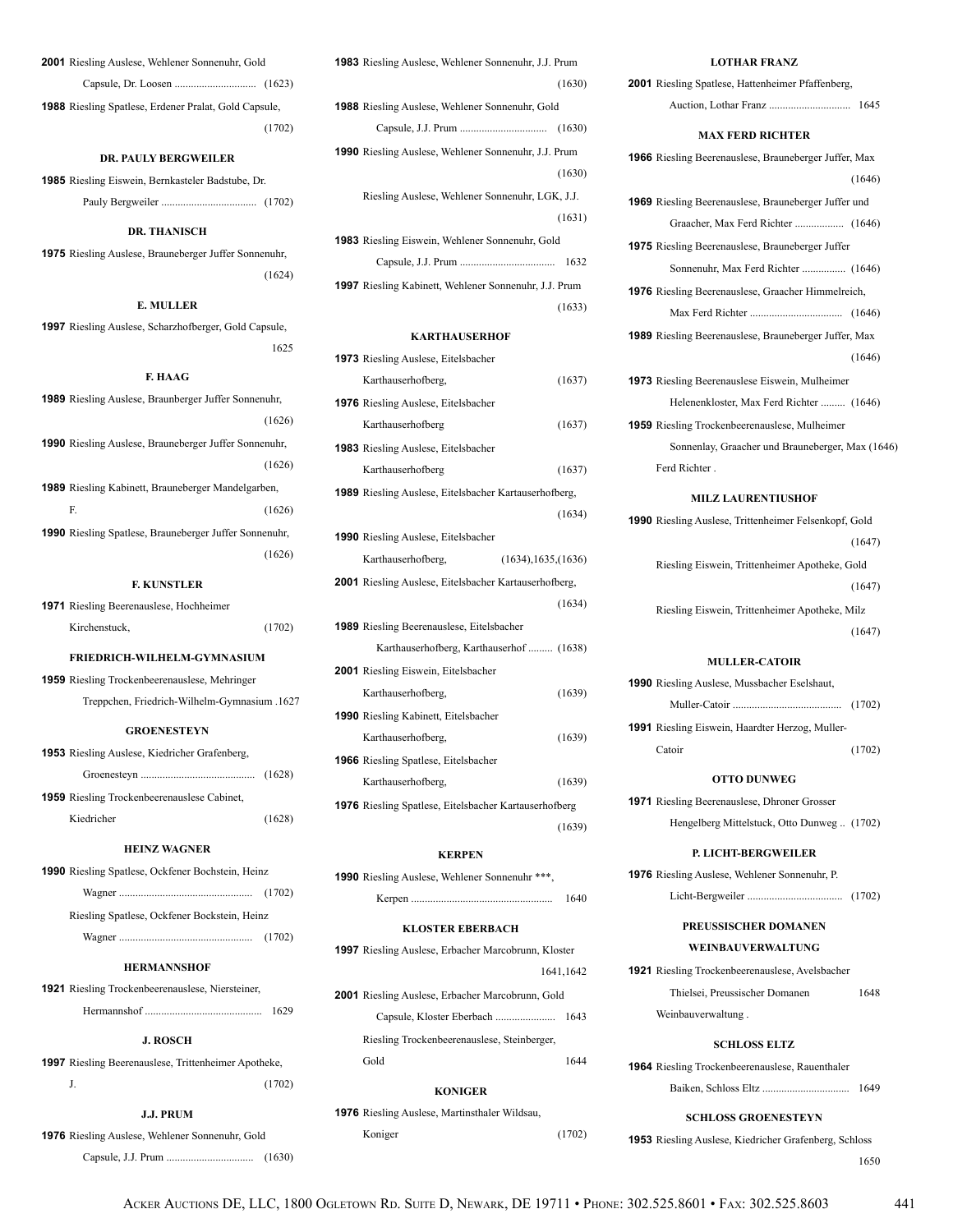| <b>2001</b> Riesling Auslese, Wehlener Sonnenuhr, Gold       |        |  |
|--------------------------------------------------------------|--------|--|
|                                                              |        |  |
| <b>1988</b> Riesling Spatlese, Erdener Pralat, Gold Capsule, |        |  |
|                                                              | (1702) |  |

### **DR. PAULY BERGWEILER**

**1985** Riesling Eiswein, Bernkasteler Badstube, Dr. Pauly Bergweiler ................................... (1702)

### **DR. THANISCH**

**1975** Riesling Auslese, Brauneberger Juffer Sonnenuhr, (1624)

### **E. MULLER**

**1997** Riesling Auslese, Scharzhofberger, Gold Capsule, <sup>1625</sup>

### **F. HAAG**

| <b>F. KUNSTLER</b>                                            |
|---------------------------------------------------------------|
| (1626)                                                        |
| <b>1990</b> Riesling Spatlese, Brauneberger Juffer Sonnenuhr, |
| F<br>(1626)                                                   |
| <b>1989</b> Riesling Kabinett, Brauneberger Mandelgarben,     |
| (1626)                                                        |
| <b>1990</b> Riesling Auslese, Brauneberger Juffer Sonnenuhr,  |
| (1626)                                                        |
| <b>1989</b> Riesling Auslese, Braunberger Juffer Sonnenuhr,   |

# **1971** Riesling Beerenauslese, Hochheimer

| Kirchenstuck, | (1702) |
|---------------|--------|
|               |        |

### **FRIEDRICH-WILHELM-GYMNASIUM**

**1959** Riesling Trockenbeerenauslese, Mehringer Treppchen, Friedrich-Wilhelm-Gymnasium .1627

### **GROENESTEYN**

| <b>1953</b> Riesling Auslese, Kiedricher Grafenberg, |        |
|------------------------------------------------------|--------|
|                                                      |        |
| <b>1959</b> Riesling Trockenbeerenauslese Cabinet,   |        |
| Kiedricher                                           | (1628) |

### **HEINZ WAGNER**

| <b>1990</b> Riesling Spatlese, Ockfener Bochstein, Heinz |  |  |
|----------------------------------------------------------|--|--|
|                                                          |  |  |
| Riesling Spatlese, Ockfener Bockstein, Heinz             |  |  |
|                                                          |  |  |

### **HERMANNSHOF**

| <b>921</b> Riesling Trockenbeerenauslese, Niersteiner, |      |
|--------------------------------------------------------|------|
|                                                        | 1629 |

#### **J. ROSCH**

**1997** Riesling Beerenauslese, Trittenheimer Apotheke,  $J.$  (1702)

### **J.J. PRUM**

**1976** Riesling Auslese, Wehlener Sonnenuhr, Gold

Capsule, J.J. Prum ................................ (1630)

| <b>1983</b> Riesling Auslese, Wehlener Sonnenuhr, J.J. Prum  |
|--------------------------------------------------------------|
| (1630)                                                       |
| <b>1988</b> Riesling Auslese, Wehlener Sonnenuhr, Gold       |
|                                                              |
| <b>1990</b> Riesling Auslese, Wehlener Sonnenuhr, J.J. Prum  |
| (1630)                                                       |
| Riesling Auslese, Wehlener Sonnenuhr, LGK, J.J.              |
| (1631)                                                       |
| <b>1983</b> Riesling Eiswein, Wehlener Sonnenuhr, Gold       |
| 1632                                                         |
| <b>1997</b> Riesling Kabinett, Wehlener Sonnenuhr, J.J. Prum |
| (1633)                                                       |

### **KARTHAUSERHOF**

| <b>1973</b> Riesling Auslese, Eitelsbacher                   |        |
|--------------------------------------------------------------|--------|
| Karthauserhofberg,                                           | (1637) |
| <b>1976</b> Riesling Auslese, Eitelsbacher                   |        |
| Karthauserhofberg                                            | (1637) |
| <b>1983</b> Riesling Auslese, Eitelsbacher                   |        |
| Karthauserhofberg                                            | (1637) |
| <b>1989</b> Riesling Auslese, Eitelsbacher Kartauserhofberg, |        |
|                                                              | (1634) |
| <b>1990</b> Riesling Auslese, Eitelsbacher                   |        |
| (1634), 1635, (1636)<br>Karthauserhofberg,                   |        |
| 2001 Riesling Auslese, Eitelsbacher Kartauserhofberg,        |        |
|                                                              | (1634) |
| <b>1989</b> Riesling Beerenauslese, Eitelsbacher             |        |
| Karthauserhofberg, Karthauserhof  (1638)                     |        |
| <b>2001</b> Riesling Eiswein, Eitelsbacher                   |        |
| Karthauserhofberg,                                           | (1639) |
| 1990 Riesling Kabinett, Eitelsbacher                         |        |
| Karthauserhofberg,                                           | (1639) |
| <b>1966</b> Riesling Spatlese, Eitelsbacher                  |        |
| Karthauserhofberg,                                           | (1639) |
| <b>1976</b> Riesling Spatlese, Eitelsbacher Kartauserhofberg |        |
|                                                              | (1639) |
|                                                              |        |

### **KERPEN**

| <b>1990</b> Riesling Auslese, Wehlener Sonnenuhr ***. |      |
|-------------------------------------------------------|------|
|                                                       | 1640 |

#### **KLOSTER EBERBACH**

**1997** Riesling Auslese, Erbacher Marcobrunn, Kloster 1641,1642

**2001** Riesling Auslese, Erbacher Marcobrunn, Gold Capsule, Kloster Eberbach ...................... 1643 Riesling Trockenbeerenauslese, Steinberger,

Gold 1644

#### **KONIGER**

**1976** Riesling Auslese, Martinsthaler Wildsau,

Koniger (1702)

| <b>LOTHAR FRANZ</b>                                          |
|--------------------------------------------------------------|
| <b>2001</b> Riesling Spatlese, Hattenheimer Pfaffenberg,     |
|                                                              |
| <b>MAX FERD RICHTER</b>                                      |
| <b>1966</b> Riesling Beerenauslese, Brauneberger Juffer, Max |
| (1646)                                                       |
| 1969 Riesling Beerenauslese, Brauneberger Juffer und         |
|                                                              |
| <b>1975</b> Riesling Beerenauslese, Brauneberger Juffer      |
| Sonnenuhr, Max Ferd Richter  (1646)                          |
| 1976 Riesling Beerenauslese, Graacher Himmelreich,           |
|                                                              |
| <b>1989</b> Riesling Beerenauslese, Brauneberger Juffer, Max |
| (1646)                                                       |
| <b>1973</b> Riesling Beerenauslese Eiswein, Mulheimer        |
| Helenenkloster, Max Ferd Richter  (1646)                     |
| <b>1959</b> Riesling Trockenbeerenauslese, Mulheimer         |
| Sonnenlay, Graacher und Brauneberger, Max (1646)             |
| Ferd Richter.                                                |
| <b>MILZ LAURENTIUSHOF</b>                                    |
| <b>1990</b> Riesling Auslese, Trittenheimer Felsenkopf, Gold |
| (1647)                                                       |
| Riesling Eiswein, Trittenheimer Apotheke, Gold               |
| (1647)                                                       |
|                                                              |
| Riesling Eiswein, Trittenheimer Apotheke, Milz<br>(1647)     |
|                                                              |
| <b>MULLER-CATOIR</b>                                         |
| <b>1990</b> Riesling Auslese, Mussbacher Eselshaut,          |
|                                                              |
| <b>1991</b> Riesling Eiswein, Haardter Herzog, Muller-       |
| Catoir<br>(1702)                                             |
| <b>OTTO DUNWEG</b>                                           |
| <b>1971</b> Riesling Beerenauslese, Dhroner Grosser          |
| Hengelberg Mittelstuck, Otto Dunweg  (1702)                  |
| <b>P. LICHT-BERGWEILER</b>                                   |
| <b>1976</b> Riesling Auslese, Wehlener Sonnenuhr, P.         |
|                                                              |
| <b>PREUSSISCHER DOMANEN</b>                                  |
| <b>WEINBAIJVERWALTIJNG</b>                                   |
| <b>1921</b> Riesling Trockenbeerenauslese, Avelsbacher       |
| Thielsei, Preussischer Domanen<br>1648                       |
| Weinbauverwaltung.                                           |
|                                                              |
| <b>SCHLOSS ELTZ</b>                                          |
| <b>1964</b> Riesling Trockenbeerenauslese, Rauenthaler       |
| 1649                                                         |

### **SCHLOSS GROENESTEYN**

**1953** Riesling Auslese, Kiedricher Grafenberg, Schloss <sup>1650</sup>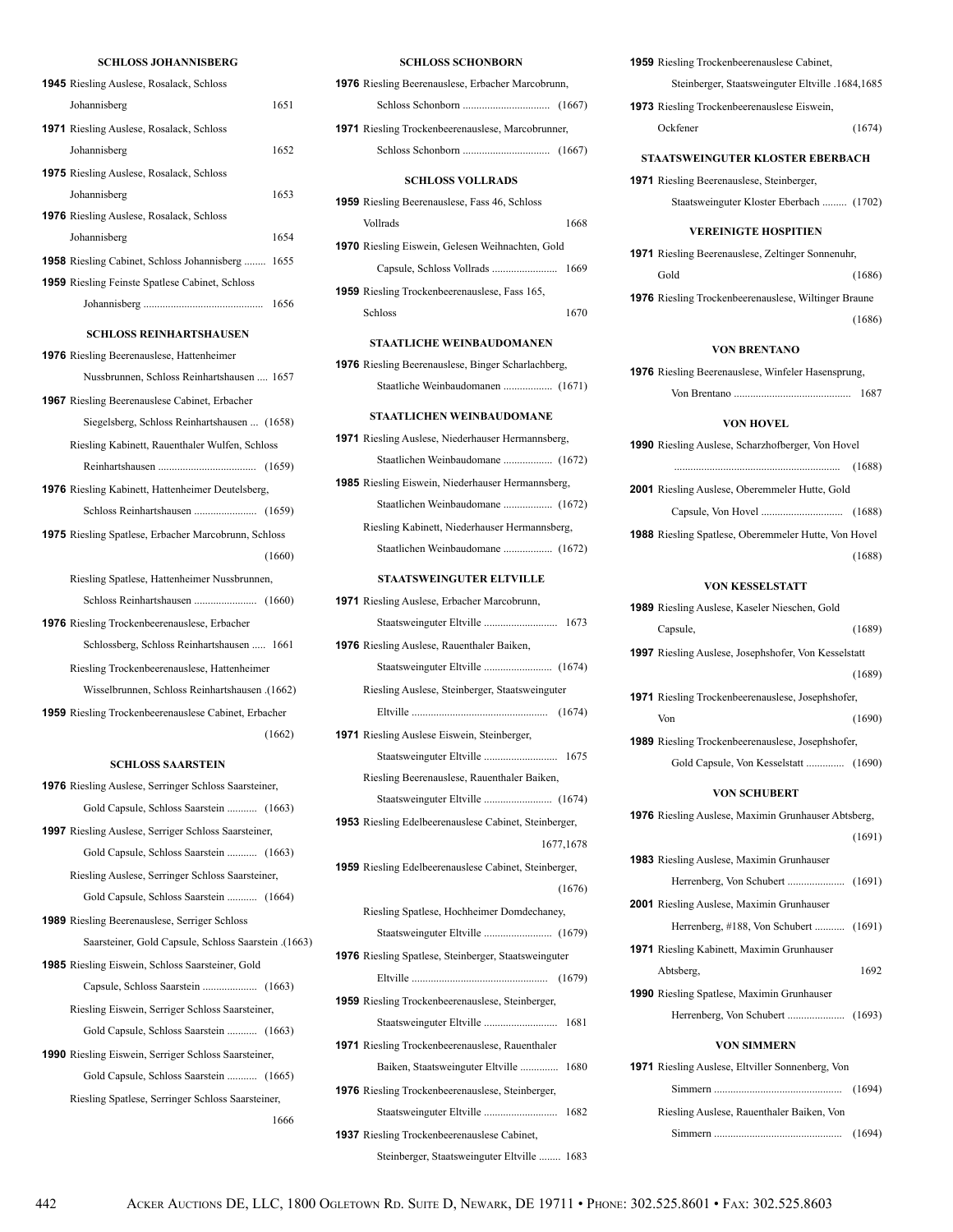### **SCHLOSS JOHANNISBERG**

| <b>1945</b> Riesling Auslese, Rosalack, Schloss             |
|-------------------------------------------------------------|
| 1651<br>Johannisberg                                        |
| 1971 Riesling Auslese, Rosalack, Schloss                    |
| 1652<br>Johannisberg                                        |
| <b>1975</b> Riesling Auslese, Rosalack, Schloss             |
| Johannisberg<br>1653                                        |
| 1976 Riesling Auslese, Rosalack, Schloss                    |
| 1654<br>Johannisberg                                        |
| <b>1958</b> Riesling Cabinet, Schloss Johannisberg<br>1655  |
| 1959 Riesling Feinste Spatlese Cabinet, Schloss             |
| 1656                                                        |
| <b>SCHLOSS REINHARTSHAUSEN</b>                              |
|                                                             |
| 1976 Riesling Beerenauslese, Hattenheimer                   |
| Nussbrunnen, Schloss Reinhartshausen  1657                  |
| <b>1967</b> Riesling Beerenauslese Cabinet, Erbacher        |
| Siegelsberg, Schloss Reinhartshausen  (1658)                |
| Riesling Kabinett, Rauenthaler Wulfen, Schloss              |
|                                                             |
| 1976 Riesling Kabinett, Hattenheimer Deutelsberg,           |
|                                                             |
| 1975 Riesling Spatlese, Erbacher Marcobrunn, Schloss        |
| (1660)                                                      |
| Riesling Spatlese, Hattenheimer Nussbrunnen,                |
|                                                             |
| 1976 Riesling Trockenbeerenauslese, Erbacher                |
| Schlossberg, Schloss Reinhartshausen  1661                  |
| Riesling Trockenbeerenauslese, Hattenheimer                 |
| (1662). Wisselbrunnen, Schloss Reinhartshausen              |
| <b>1959</b> Riesling Trockenbeerenauslese Cabinet, Erbacher |
| (1662)                                                      |
| <b>SCHLOSS SAARSTEIN</b>                                    |
| 1976 Riesling Auslese, Serringer Schloss Saarsteiner,       |
| Gold Capsule, Schloss Saarstein  (1663)                     |
| 1997 Riesling Auslese, Serriger Schloss Saarsteiner,        |
| Gold Capsule, Schloss Saarstein  (1663)                     |
| Riesling Auslese, Serringer Schloss Saarsteiner,            |

 Gold Capsule, Schloss Saarstein ........... (1664) **1989** Riesling Beerenauslese, Serriger Schloss Saarsteiner, Gold Capsule, Schloss Saarstein .(1663) **1985** Riesling Eiswein, Schloss Saarsteiner, Gold Capsule, Schloss Saarstein .................... (1663) Riesling Eiswein, Serriger Schloss Saarsteiner, Gold Capsule, Schloss Saarstein ........... (1663) **1990** Riesling Eiswein, Serriger Schloss Saarsteiner,

 Gold Capsule, Schloss Saarstein ........... (1665) Riesling Spatlese, Serringer Schloss Saarsteiner, 1666

### **SCHLOSS SCHONBORN**

| SUHLUSS SUHUNBUKN                                         |  |  |
|-----------------------------------------------------------|--|--|
| <b>1976</b> Riesling Beerenauslese, Erbacher Marcobrunn,  |  |  |
|                                                           |  |  |
| <b>1971</b> Riesling Trockenbeerenauslese, Marcobrunner,  |  |  |
|                                                           |  |  |
| <b>SCHLOSS VOLLRADS</b>                                   |  |  |
| <b>1959</b> Riesling Beerenauslese, Fass 46, Schloss      |  |  |
| Vollrads<br>1668                                          |  |  |
| 1970 Riesling Eiswein, Gelesen Weihnachten, Gold          |  |  |
| 1669                                                      |  |  |
| <b>1959</b> Riesling Trockenbeerenauslese, Fass 165,      |  |  |
| Schloss<br>1670                                           |  |  |
|                                                           |  |  |
| <b>STAATLICHE WEINBAUDOMANEN</b>                          |  |  |
| <b>1976</b> Riesling Beerenauslese, Binger Scharlachberg, |  |  |
| Staatliche Weinbaudomanen  (1671)                         |  |  |
| <b>STAATLICHEN WEINBAUDOMANE</b>                          |  |  |
| <b>1971</b> Riesling Auslese, Niederhauser Hermannsberg,  |  |  |
| Staatlichen Weinbaudomane  (1672)                         |  |  |
| <b>1985</b> Riesling Eiswein, Niederhauser Hermannsberg,  |  |  |
|                                                           |  |  |
| Riesling Kabinett, Niederhauser Hermannsberg,             |  |  |
|                                                           |  |  |

#### **STAATSWEINGUTER ELTVILLE**

| 1971 Riesling Auslese, Erbacher Marcobrunn,             |
|---------------------------------------------------------|
|                                                         |
| <b>1976</b> Riesling Auslese, Rauenthaler Baiken,       |
|                                                         |
| Riesling Auslese, Steinberger, Staatsweinguter          |
|                                                         |
| <b>1971</b> Riesling Auslese Eiswein, Steinberger,      |
|                                                         |
| Riesling Beerenauslese, Rauenthaler Baiken,             |
|                                                         |
| 1953 Riesling Edelbeerenauslese Cabinet, Steinberger,   |
| 1677, 1678                                              |
| 1959 Riesling Edelbeerenauslese Cabinet, Steinberger,   |
|                                                         |
| (1676)                                                  |
| Riesling Spatlese, Hochheimer Domdechaney,              |
|                                                         |
| 1976 Riesling Spatlese, Steinberger, Staatsweinguter    |
|                                                         |
| <b>1959</b> Riesling Trockenbeerenauslese, Steinberger, |
| Staatsweinguter Eltville  1681                          |
| 1971 Riesling Trockenbeerenauslese, Rauenthaler         |
| 1680<br>Baiken, Staatsweinguter Eltville                |
| 1976 Riesling Trockenbeerenauslese, Steinberger,        |
| 1682                                                    |
| <b>1937</b> Riesling Trockenbeerenauslese Cabinet,      |

**1959** Riesling Trockenbeerenauslese Cabinet, Steinberger, Staatsweinguter Eltville .1684,1685 **1973** Riesling Trockenbeerenauslese Eiswein,

| Ockfener | (1674) |
|----------|--------|

#### **STAATSWEINGUTER KLOSTER EBERBACH**

**1971** Riesling Beerenauslese, Steinberger, Staatsweinguter Kloster Eberbach ......... (1702)

#### **VEREINIGTE HOSPITIEN**

| <b>1971</b> Riesling Beerenauslese, Zeltinger Sonnenuhr,    |        |  |
|-------------------------------------------------------------|--------|--|
| Gold                                                        | (1686) |  |
| <b>1976</b> Riesling Trockenbeerenauslese, Wiltinger Braune |        |  |
|                                                             | (1686) |  |

### **VON BRENTANO**

**1976** Riesling Beerenauslese, Winfeler Hasensprung, Von Brentano ........................................... 1687

#### **VON HOVEL**

| <b>1990</b> Riesling Auslese, Scharzhofberger, Von Hovel    |        |
|-------------------------------------------------------------|--------|
|                                                             | (1688) |
| <b>2001</b> Riesling Auslese, Oberemmeler Hutte, Gold       |        |
|                                                             |        |
| <b>1988</b> Riesling Spatlese, Oberemmeler Hutte, Von Hovel |        |
|                                                             | (1688) |

### **VON KESSELSTATT**

| <b>1989</b> Riesling Auslese, Kaseler Nieschen, Gold       |        |
|------------------------------------------------------------|--------|
| Capsule,                                                   | (1689) |
| 1997 Riesling Auslese, Josephshofer, Von Kesselstatt       |        |
|                                                            | (1689) |
| <b>1971</b> Riesling Trockenbeerenauslese, Josephshofer,   |        |
| Von                                                        | (1690) |
| <b>1989</b> Riesling Trockenbeerenauslese, Josephshofer,   |        |
| Gold Capsule, Von Kesselstatt  (1690)                      |        |
| <b>VON SCHUBERT</b>                                        |        |
| <b>1976</b> Riesling Auslese, Maximin Grunhauser Abtsberg, |        |
|                                                            | (1691) |
| <b>1983</b> Riesling Auslese, Maximin Grunhauser           |        |
|                                                            |        |
| <b>2001</b> Riesling Auslese, Maximin Grunhauser           |        |
| Herrenberg, #188, Von Schubert  (1691)                     |        |
| <b>1971</b> Riesling Kabinett, Maximin Grunhauser          |        |
| Abtsberg,                                                  | 1692   |
| <b>1990</b> Riesling Spatlese, Maximin Grunhauser          |        |
|                                                            |        |
| <b>VON SIMMERN</b>                                         |        |
| <b>1971</b> Riesling Auslese, Eltviller Sonnenberg, Von    |        |
|                                                            | (1694) |
| Riesling Auslese, Rauenthaler Baiken, Von                  |        |
|                                                            |        |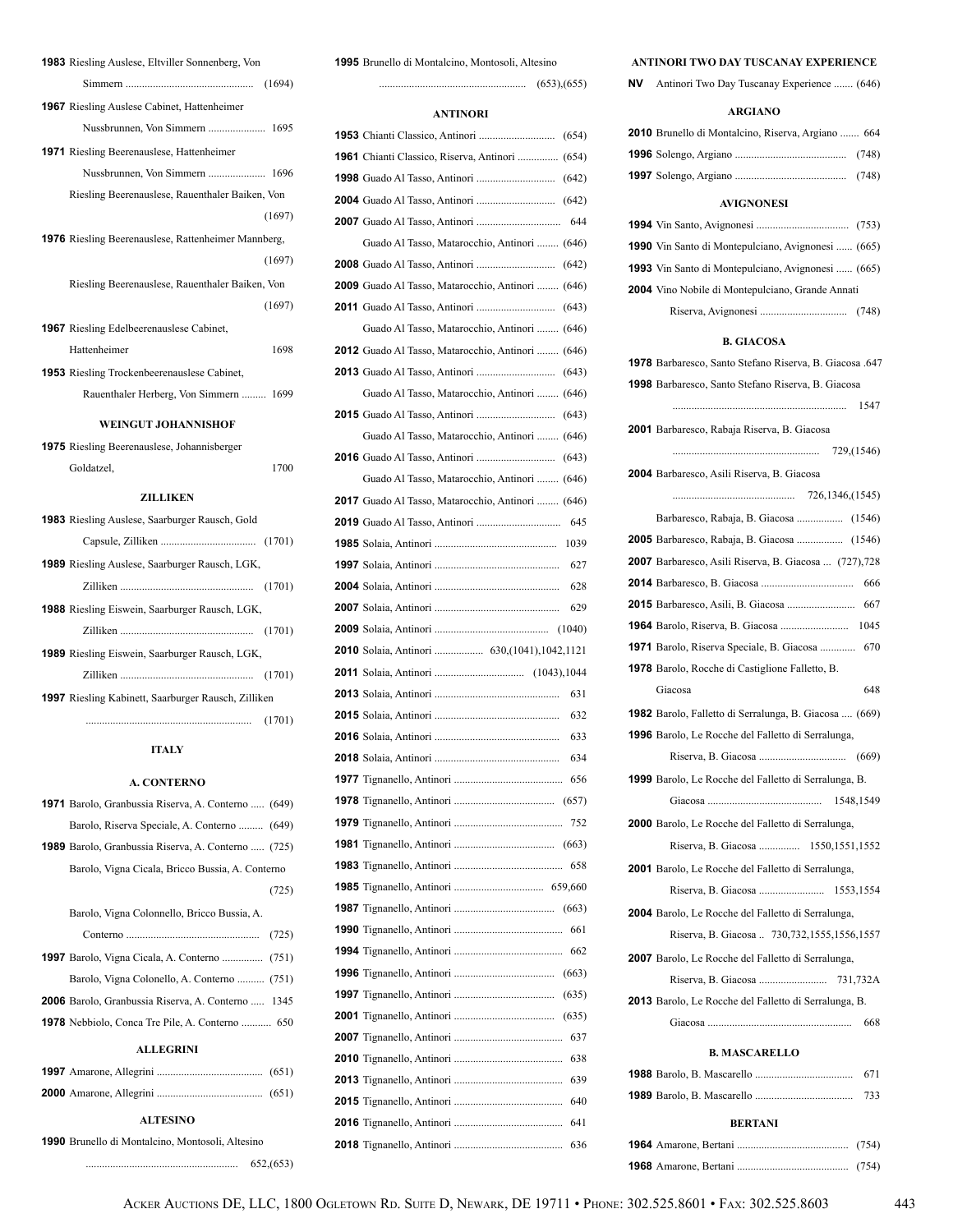| 1983 Riesling Auslese, Eltviller Sonnenberg, Von           |
|------------------------------------------------------------|
|                                                            |
| <b>1967</b> Riesling Auslese Cabinet, Hattenheimer         |
|                                                            |
| <b>1971</b> Riesling Beerenauslese, Hattenheimer           |
|                                                            |
| Riesling Beerenauslese, Rauenthaler Baiken, Von            |
| (1697)                                                     |
| <b>1976</b> Riesling Beerenauslese, Rattenheimer Mannberg, |
| (1697)                                                     |
| Riesling Beerenauslese, Rauenthaler Baiken, Von            |
| (1697)                                                     |
| <b>1967</b> Riesling Edelbeerenauslese Cabinet,            |
| Hattenheimer<br>1698                                       |
| <b>1953</b> Riesling Trockenbeerenauslese Cabinet,         |
| Rauenthaler Herberg, Von Simmern  1699                     |
| <b>WEINGUT JOHANNISHOF</b>                                 |
| <b>1975</b> Riesling Beerenauslese, Johannisberger         |
| 1700<br>Goldatzel,                                         |
| <b>ZILLIKEN</b>                                            |
|                                                            |
| <b>1983</b> Riesling Auslese, Saarburger Rausch, Gold      |
|                                                            |
| <b>1989</b> Riesling Auslese, Saarburger Rausch, LGK,      |
|                                                            |
| 1988 Riesling Eiswein, Saarburger Rausch, LGK,             |
|                                                            |
| 1989 Riesling Eiswein, Saarburger Rausch, LGK,             |
|                                                            |
| <b>1997</b> Riesling Kabinett, Saarburger Rausch, Zilliken |
| $(1701)$                                                   |

### **ITALY**

### **A. CONTERNO**

| 1971 Barolo, Granbussia Riserva, A. Conterno  (649)       |  |  |  |
|-----------------------------------------------------------|--|--|--|
| Barolo, Riserva Speciale, A. Conterno  (649)              |  |  |  |
| 1989 Barolo, Granbussia Riserva, A. Conterno  (725)       |  |  |  |
| Barolo, Vigna Cicala, Bricco Bussia, A. Conterno          |  |  |  |
| (725)                                                     |  |  |  |
| Barolo, Vigna Colonnello, Bricco Bussia, A.               |  |  |  |
|                                                           |  |  |  |
|                                                           |  |  |  |
| Barolo, Vigna Colonello, A. Conterno  (751)               |  |  |  |
| <b>2006</b> Barolo, Granbussia Riserva, A. Conterno  1345 |  |  |  |
| <b>1978</b> Nebbiolo, Conca Tre Pile, A. Conterno  650    |  |  |  |
| <b>ALLEGRINI</b>                                          |  |  |  |
|                                                           |  |  |  |
|                                                           |  |  |  |
| <b>ALTESINO</b>                                           |  |  |  |
| 1990 Brunello di Montalcino, Montosoli, Altesino          |  |  |  |

........................................................ 652,(653)

Brunello di Montalcino, Montosoli, Altesino

...................................................... (653),(655)

### **ANTINORI**

| 1961 Chianti Classico, Riserva, Antinori  (654)   |
|---------------------------------------------------|
|                                                   |
|                                                   |
|                                                   |
| Guado Al Tasso, Matarocchio, Antinori  (646)      |
|                                                   |
| 2009 Guado Al Tasso, Matarocchio, Antinori  (646) |
|                                                   |
| Guado Al Tasso, Matarocchio, Antinori  (646)      |
| 2012 Guado Al Tasso, Matarocchio, Antinori  (646) |
|                                                   |
| Guado Al Tasso, Matarocchio, Antinori  (646)      |
|                                                   |
| Guado Al Tasso, Matarocchio, Antinori  (646)      |
|                                                   |
| Guado Al Tasso, Matarocchio, Antinori  (646)      |
| 2017 Guado Al Tasso, Matarocchio, Antinori  (646) |
|                                                   |
|                                                   |
|                                                   |
|                                                   |
| 629                                               |
|                                                   |
|                                                   |
|                                                   |
|                                                   |
|                                                   |
| 631<br>632                                        |
| 633                                               |
|                                                   |
| 634                                               |
| 656                                               |
|                                                   |
| 752                                               |
|                                                   |
| 658                                               |
|                                                   |
| (663)                                             |
| 661                                               |
| 662                                               |
|                                                   |
| (635)                                             |
|                                                   |
| 637                                               |
| 638                                               |
| 639                                               |
| 640                                               |
| 641<br>636                                        |

### **ANTINORI TWO DAY TUSCANAY EXPERIENCE**

**NV** Antinori Two Day Tuscanay Experience ....... (646)

| <b>ARGIANO</b>                                               |
|--------------------------------------------------------------|
| 2010 Brunello di Montalcino, Riserva, Argiano  664           |
|                                                              |
|                                                              |
| <b>AVIGNONESI</b>                                            |
|                                                              |
| <b>1990</b> Vin Santo di Montepulciano, Avignonesi  (665)    |
| <b>1993</b> Vin Santo di Montepulciano, Avignonesi  (665)    |
| 2004 Vino Nobile di Montepulciano, Grande Annati             |
|                                                              |
| <b>B. GIACOSA</b>                                            |
|                                                              |
| 1978 Barbaresco, Santo Stefano Riserva, B. Giacosa .647      |
| 1998 Barbaresco, Santo Stefano Riserva, B. Giacosa           |
| 1547                                                         |
| 2001 Barbaresco, Rabaja Riserva, B. Giacosa                  |
|                                                              |
| <b>2004</b> Barbaresco, Asili Riserva, B. Giacosa            |
|                                                              |
|                                                              |
| <b>2005</b> Barbaresco, Rabaja, B. Giacosa  (1546)           |
| <b>2007</b> Barbaresco, Asili Riserva, B. Giacosa  (727),728 |
|                                                              |
|                                                              |
|                                                              |
| <b>1971</b> Barolo, Riserva Speciale, B. Giacosa  670        |
| 1978 Barolo, Rocche di Castiglione Falletto, B.              |
| 648<br>Giacosa                                               |
| 1982 Barolo, Falletto di Serralunga, B. Giacosa  (669)       |
| <b>1996</b> Barolo, Le Rocche del Falletto di Serralunga,    |
|                                                              |
| 1999 Barolo, Le Rocche del Falletto di Serralunga, B.        |
| 1548,1549                                                    |
| 2000 Barolo, Le Rocche del Falletto di Serralunga,           |
| Riserva, B. Giacosa  1550,1551,1552                          |
| 2001 Barolo, Le Rocche del Falletto di Serralunga,           |
|                                                              |
| <b>2004</b> Barolo, Le Rocche del Falletto di Serralunga,    |
| Riserva, B. Giacosa  730,732,1555,1556,1557                  |
| 2007 Barolo, Le Rocche del Falletto di Serralunga,           |
|                                                              |
| <b>2013</b> Barolo, Le Rocche del Falletto di Serralunga, B. |
| 668                                                          |
| <b>B. MASCARELLO</b>                                         |
|                                                              |
| 671                                                          |

 Barolo, B. Mascarello .................................... 733 **BERTANI** Amarone, Bertani ......................................... (754) Amarone, Bertani ......................................... (754)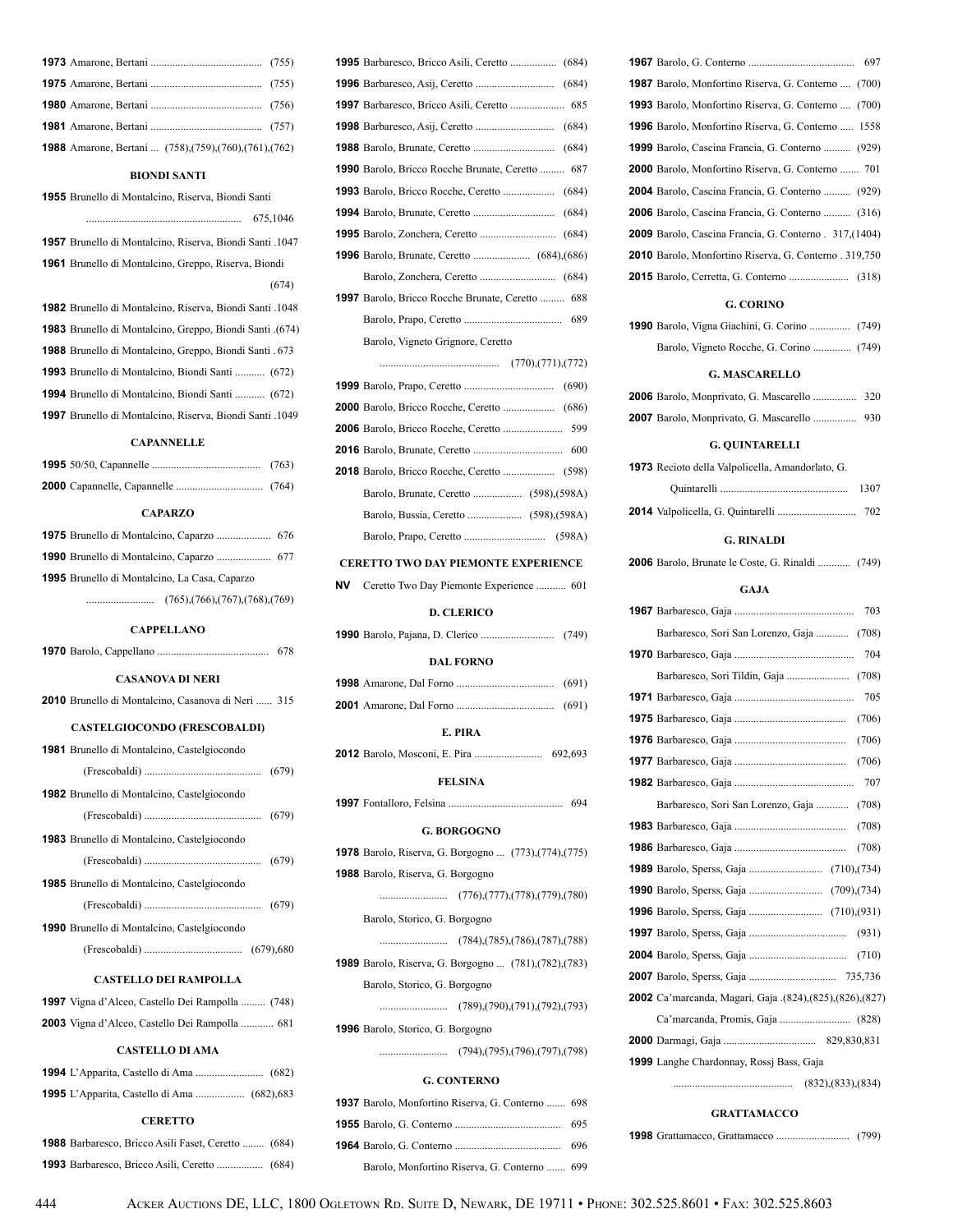| <b>1988</b> Amarone, Bertani  (758), (759), (760), (761), (762) |  |
|-----------------------------------------------------------------|--|

#### **BIONDI SANTI**

 Brunello di Montalcino, Riserva, Biondi Santi ......................................................... 675,1046 Brunello di Montalcino, Riserva, Biondi Santi .1047 Brunello di Montalcino, Greppo, Riserva, Biondi (674) Brunello di Montalcino, Riserva, Biondi Santi .1048

 Brunello di Montalcino, Greppo, Biondi Santi .(674) Brunello di Montalcino, Greppo, Biondi Santi . 673 Brunello di Montalcino, Biondi Santi ........... (672) Brunello di Montalcino, Biondi Santi ........... (672) Brunello di Montalcino, Riserva, Biondi Santi .1049

### **CAPANNELLE**

| <b>CAPARZO</b>                                       |
|------------------------------------------------------|
|                                                      |
|                                                      |
| <b>1995</b> Brunello di Montalcino, La Casa, Caparzo |
|                                                      |

**CAPPELLANO**

| <b>CASANOVA DI NERI</b>                                 |  |  |  |
|---------------------------------------------------------|--|--|--|
| 2010 Brunello di Montalcino, Casanova di Neri  315      |  |  |  |
| <b>CASTELGIOCONDO (FRESCOBALDI)</b>                     |  |  |  |
| 1981 Brunello di Montalcino, Castelgiocondo             |  |  |  |
|                                                         |  |  |  |
| 1982 Brunello di Montalcino, Castelgiocondo             |  |  |  |
|                                                         |  |  |  |
| 1983 Brunello di Montalcino, Castelgiocondo             |  |  |  |
|                                                         |  |  |  |
| 1985 Brunello di Montalcino, Castelgiocondo             |  |  |  |
|                                                         |  |  |  |
| 1990 Brunello di Montalcino, Castelgiocondo             |  |  |  |
|                                                         |  |  |  |
| <b>CASTELLO DEI RAMPOLLA</b>                            |  |  |  |
|                                                         |  |  |  |
| <b>1997</b> Vigna d'Alceo, Castello Dei Rampolla  (748) |  |  |  |
| 2003 Vigna d'Alceo, Castello Dei Rampolla  681          |  |  |  |
| <b>CASTELLO DI AMA</b>                                  |  |  |  |
|                                                         |  |  |  |
|                                                         |  |  |  |

#### **CERETTO**

| <b>1988</b> Barbaresco, Bricco Asili Faset, Ceretto  (684) |  |
|------------------------------------------------------------|--|
|                                                            |  |

|    | <b>1990</b> Barolo, Bricco Rocche Brunate, Ceretto  687       |
|----|---------------------------------------------------------------|
|    |                                                               |
|    |                                                               |
|    |                                                               |
|    |                                                               |
|    |                                                               |
|    | <b>1997</b> Barolo, Bricco Rocche Brunate, Ceretto  688       |
|    |                                                               |
|    | Barolo, Vigneto Grignore, Ceretto                             |
|    |                                                               |
|    |                                                               |
|    |                                                               |
|    |                                                               |
|    |                                                               |
|    |                                                               |
|    |                                                               |
|    |                                                               |
|    |                                                               |
|    | <b>CERETTO TWO DAY PIEMONTE EXPERIENCE</b>                    |
| NV | Ceretto Two Day Piemonte Experience  601                      |
|    |                                                               |
|    | <b>D. CLERICO</b>                                             |
|    |                                                               |
|    | <b>DAL FORNO</b>                                              |
|    |                                                               |
|    |                                                               |
|    |                                                               |
|    | E. PIRA                                                       |
|    | 692.693                                                       |
|    | <b>FELSINA</b>                                                |
|    | 694                                                           |
|    | <b>G. BORGOGNO</b>                                            |
|    | <b>1978</b> Barolo, Riserva, G. Borgogno  (773), (774), (775) |
|    | <b>1988</b> Barolo, Riserva, G. Borgogno                      |
|    |                                                               |
|    | Barolo, Storico, G. Borgogno                                  |
|    |                                                               |
|    | <b>1989</b> Barolo, Riserva, G. Borgogno  (781), (782), (783) |
|    | Barolo, Storico, G. Borgogno                                  |
|    |                                                               |
|    | 1996 Barolo, Storico, G. Borgogno                             |
|    | $(794)$ , $(795)$ , $(796)$ , $(797)$ , $(798)$               |
|    | <b>G. CONTERNO</b>                                            |
|    | 1937 Barolo, Monfortino Riserva, G. Conterno  698             |
|    | 695                                                           |

 Barolo, G. Conterno ....................................... 697 Barolo, Monfortino Riserva, G. Conterno .... (700) Barolo, Monfortino Riserva, G. Conterno .... (700) Barolo, Monfortino Riserva, G. Conterno ..... 1558 Barolo, Cascina Francia, G. Conterno .......... (929) Barolo, Monfortino Riserva, G. Conterno ....... 701 Barolo, Cascina Francia, G. Conterno .......... (929) Barolo, Cascina Francia, G. Conterno .......... (316) Barolo, Cascina Francia, G. Conterno . 317,(1404) Barolo, Monfortino Riserva, G. Conterno . 319,750 Barolo, Cerretta, G. Conterno ...................... (318)

### **G. CORINO**

| <b>1990</b> Barolo, Vigna Giachini, G. Corino  (749)    |  |  |  |
|---------------------------------------------------------|--|--|--|
|                                                         |  |  |  |
| <b>G. MASCARELLO</b>                                    |  |  |  |
| 2006 Barolo, Monprivato, G. Mascarello  320             |  |  |  |
| 2007 Barolo, Monprivato, G. Mascarello  930             |  |  |  |
| <b>G. QUINTARELLI</b>                                   |  |  |  |
| 1973 Recioto della Valpolicella, Amandorlato, G.        |  |  |  |
| 1307                                                    |  |  |  |
|                                                         |  |  |  |
| <b>G. RINALDI</b>                                       |  |  |  |
| 2006 Barolo, Brunate le Coste, G. Rinaldi  (749)        |  |  |  |
| <b>GAJA</b>                                             |  |  |  |
| 703                                                     |  |  |  |
| Barbaresco, Sori San Lorenzo, Gaja  (708)               |  |  |  |
| 704                                                     |  |  |  |
|                                                         |  |  |  |
| 705                                                     |  |  |  |
| (706)                                                   |  |  |  |
| (706)                                                   |  |  |  |
| (706)                                                   |  |  |  |
| 707                                                     |  |  |  |
| Barbaresco, Sori San Lorenzo, Gaja<br>(708)             |  |  |  |
| (708)                                                   |  |  |  |
| (708)                                                   |  |  |  |
|                                                         |  |  |  |
|                                                         |  |  |  |
|                                                         |  |  |  |
|                                                         |  |  |  |
|                                                         |  |  |  |
|                                                         |  |  |  |
| 2002 Ca'marcanda, Magari, Gaja .(824),(825),(826),(827) |  |  |  |
|                                                         |  |  |  |
|                                                         |  |  |  |
| 1999 Langhe Chardonnay, Rossj Bass, Gaja                |  |  |  |
|                                                         |  |  |  |

### **GRATTAMACCO**

|--|--|--|--|--|

Barolo, Monfortino Riserva, G. Conterno ....... 699

| 444 | ACKER AUCTIONS DE, LLC, 1800 OGLETOWN RD. SUITE D, NEWARK, DE 19711 • PHONE: 302.525.8601 • FAX: 302.525.8603 |
|-----|---------------------------------------------------------------------------------------------------------------|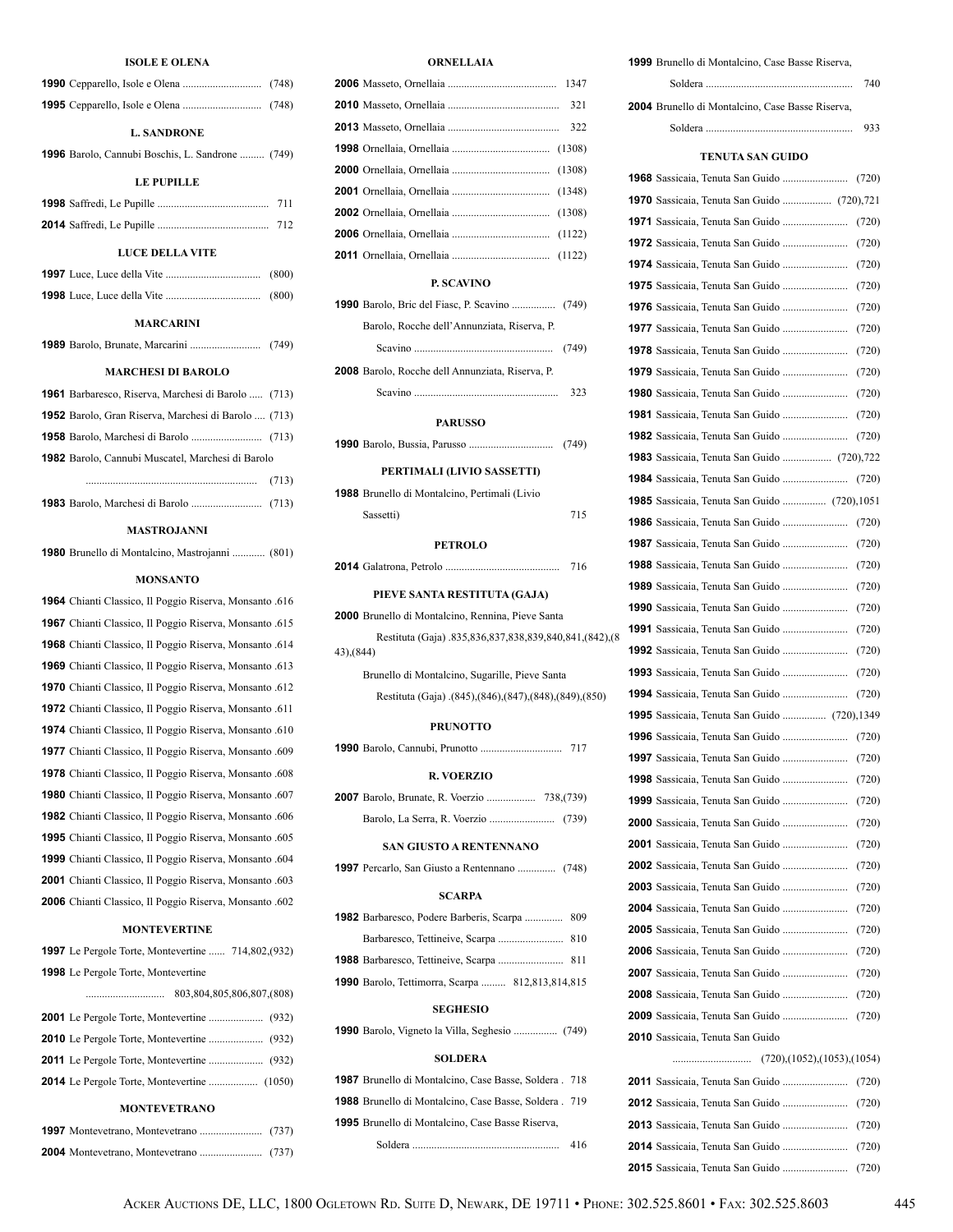#### **ISOLE E OLENA**

| ISOLE E OLENA                                        |       |
|------------------------------------------------------|-------|
|                                                      |       |
|                                                      |       |
| <b>L. SANDRONE</b>                                   |       |
| 1996 Barolo, Cannubi Boschis, L. Sandrone  (749)     |       |
| <b>LE PUPILLE</b>                                    |       |
|                                                      |       |
|                                                      |       |
| <b>LUCE DELLA VITE</b>                               |       |
|                                                      | (800) |
|                                                      | (800) |
| <b>MARCARINI</b>                                     |       |
|                                                      |       |
| <b>MARCHESI DI BAROLO</b>                            |       |
| 1961 Barbaresco, Riserva, Marchesi di Barolo  (713)  |       |
| 1952 Barolo, Gran Riserva, Marchesi di Barolo  (713) |       |
|                                                      |       |
| 1982 Barolo, Cannubi Muscatel, Marchesi di Barolo    |       |
|                                                      |       |
|                                                      |       |
|                                                      |       |

#### **MASTROJANNI**

| 1980 Brunello di Montalcino, Mastrojanni  (801) |  |
|-------------------------------------------------|--|
|-------------------------------------------------|--|

#### **MONSANTO**

 Chianti Classico, Il Poggio Riserva, Monsanto .616 Chianti Classico, Il Poggio Riserva, Monsanto .615 Chianti Classico, Il Poggio Riserva, Monsanto .614 Chianti Classico, Il Poggio Riserva, Monsanto .613 Chianti Classico, Il Poggio Riserva, Monsanto .612 Chianti Classico, Il Poggio Riserva, Monsanto .611 Chianti Classico, Il Poggio Riserva, Monsanto .610 Chianti Classico, Il Poggio Riserva, Monsanto .609 Chianti Classico, Il Poggio Riserva, Monsanto .608 Chianti Classico, Il Poggio Riserva, Monsanto .607 Chianti Classico, Il Poggio Riserva, Monsanto .606 Chianti Classico, Il Poggio Riserva, Monsanto .605 Chianti Classico, Il Poggio Riserva, Monsanto .604 Chianti Classico, Il Poggio Riserva, Monsanto .603 Chianti Classico, Il Poggio Riserva, Monsanto .602

### **MONTEVERTINE**

| <b>1997</b> Le Pergole Torte, Montevertine  714,802,(932) |  |
|-----------------------------------------------------------|--|
| <b>1998</b> Le Pergole Torte, Montevertine                |  |
| 803,804,805,806,807,(808)<br>                             |  |
|                                                           |  |
|                                                           |  |
|                                                           |  |
|                                                           |  |
|                                                           |  |

### **MONTEVETRANO**

| 322 |
|-----|
|     |
|     |
|     |
|     |
|     |
|     |

### **P. SCAVINO**

| <b>PARUSSO</b>                                   |     |
|--------------------------------------------------|-----|
|                                                  | 323 |
| 2008 Barolo, Rocche dell Annunziata, Riserva, P. |     |
|                                                  |     |
| Barolo, Rocche dell'Annunziata, Riserva, P.      |     |
|                                                  |     |

# Barolo, Bussia, Parusso ............................... (749) **PERTIMALI (LIVIO SASSETTI)**

| <b>1988</b> Brunello di Montalcino, Pertimali (Livio) |     |
|-------------------------------------------------------|-----|
| Sassetti)                                             | 715 |

#### **PETROLO**

|  |  |  |  | 716 |  |
|--|--|--|--|-----|--|
|--|--|--|--|-----|--|

#### **PIEVE SANTA RESTITUTA (GAJA)**

| <b>2000</b> Brunello di Montalcino. Rennina. Pieve Santa |
|----------------------------------------------------------|
| Restituta (Gaja) .835,836,837,838,839,840,841,(842),(8   |
| 43). (844)                                               |

Brunello di Montalcino, Sugarille, Pieve Santa Restituta (Gaja) .(845),(846),(847),(848),(849),(850)

#### **PRUNOTTO**

| <b>R. VOERZIO</b>                                                                                     |
|-------------------------------------------------------------------------------------------------------|
|                                                                                                       |
|                                                                                                       |
| <b>SAN GIUSTO A RENTENNANO</b>                                                                        |
|                                                                                                       |
| <b>SCARPA</b>                                                                                         |
| 1982 Barbaresco, Podere Barberis, Scarpa  809                                                         |
|                                                                                                       |
|                                                                                                       |
| <b>1990</b> Barolo, Tettimorra, Scarpa  812,813,814,815                                               |
| <b>SEGHESIO</b>                                                                                       |
| $1000$ D, $V_{\text{c}}$ and $V_{\text{c}}$ is $V_{\text{c}}$ in $\mathcal{C}_{\text{c}}$ .<br>(7.40) |

Barolo, Vigneto la Villa, Seghesio ................ (749)

#### **SOLDERA**

| <b>1987</b> Brunello di Montalcino, Case Basse, Soldera . 718 |     |
|---------------------------------------------------------------|-----|
| <b>1988</b> Brunello di Montalcino. Case Basse. Soldera . 719 |     |
| <b>1995</b> Brunello di Montalcino. Case Basse Riserva.       |     |
|                                                               | 416 |

# Brunello di Montalcino, Case Basse Riserva, Soldera ...................................................... 740 Brunello di Montalcino, Case Basse Riserva, Soldera ...................................................... 933

| TENUTA SAN GUIDO                                   |       |
|----------------------------------------------------|-------|
|                                                    | (720) |
|                                                    |       |
|                                                    | (720) |
|                                                    | (720) |
|                                                    | (720) |
|                                                    | (720) |
|                                                    | (720) |
|                                                    | (720) |
|                                                    | (720) |
|                                                    | (720) |
|                                                    | (720) |
|                                                    | (720) |
|                                                    | (720) |
| <b>1983</b> Sassicaia, Tenuta San Guido  (720),722 |       |
|                                                    | (720) |
| 1985 Sassicaia, Tenuta San Guido  (720),1051       |       |
|                                                    |       |
|                                                    | (720) |
|                                                    | (720) |
|                                                    | (720) |
|                                                    | (720) |
|                                                    | (720) |
|                                                    | (720) |
|                                                    | (720) |
|                                                    | (720) |
| 1995 Sassicaia, Tenuta San Guido  (720),1349       |       |
|                                                    | (720) |
|                                                    | (720) |
|                                                    | (720) |
|                                                    | (720) |
|                                                    | (720) |
|                                                    | (720) |
|                                                    |       |
|                                                    | (720) |
|                                                    | (720) |
|                                                    | (720) |
|                                                    |       |
|                                                    | (720) |
|                                                    | (720) |
|                                                    |       |
| 2010 Sassicaia, Tenuta San Guido                   |       |
| (720),(1052),(1053),(1054)                         |       |
|                                                    | (720) |
|                                                    | (720) |
|                                                    |       |
|                                                    |       |
|                                                    |       |
|                                                    |       |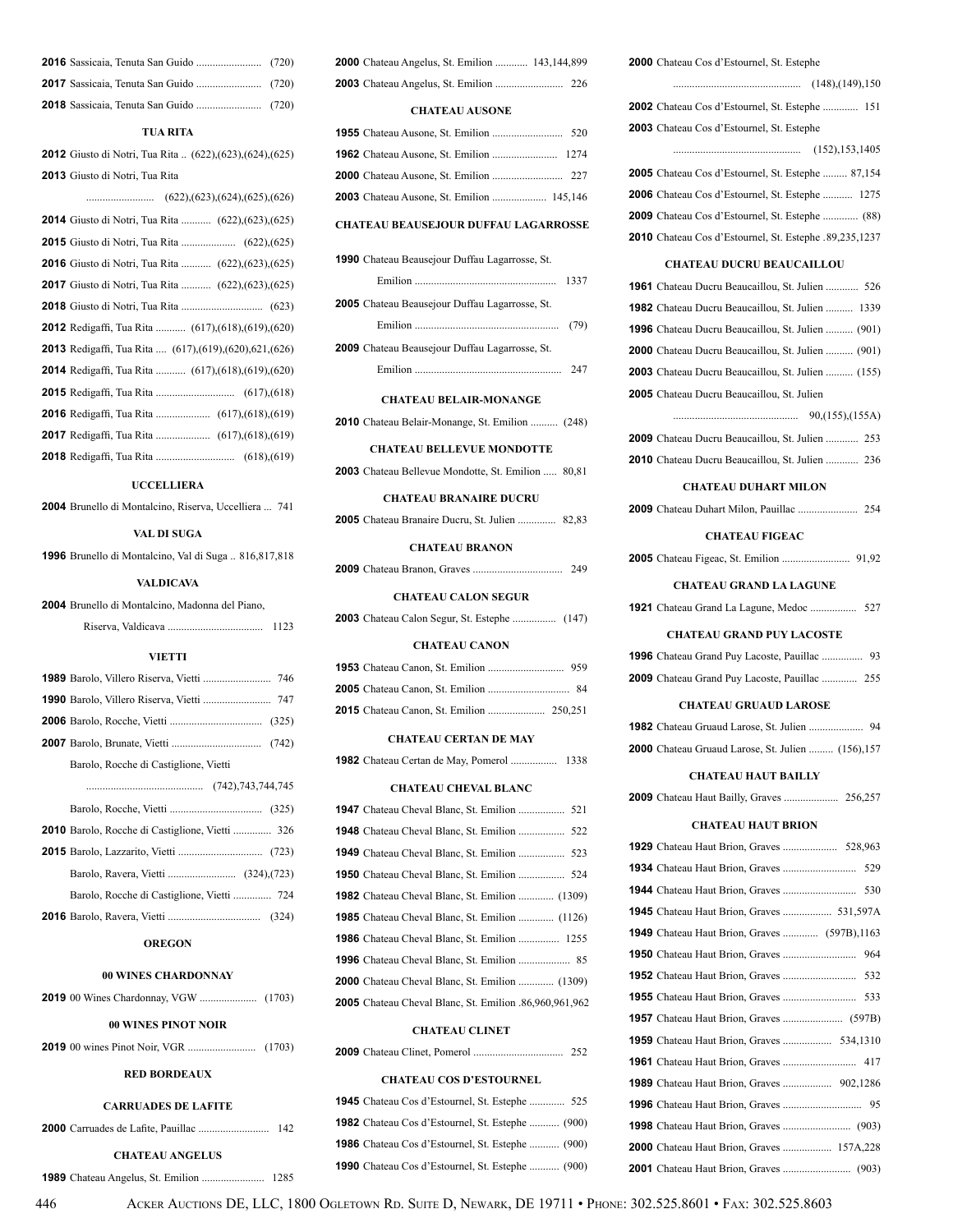### **TUA RITA**

 Giusto di Notri, Tua Rita .. (622),(623),(624),(625) Giusto di Notri, Tua Rita

| (622),(623),(624),(625),(626)                                    |
|------------------------------------------------------------------|
| <b>2014</b> Giusto di Notri, Tua Rita  (622), (623), (625)       |
|                                                                  |
| <b>2016</b> Giusto di Notri, Tua Rita  (622), (623), (625)       |
| <b>2017</b> Giusto di Notri, Tua Rita  (622), (623), (625)       |
|                                                                  |
| <b>2012</b> Redigaffi, Tua Rita  (617), (618), (619), (620)      |
| <b>2013</b> Redigaffi, Tua Rita  (617), (619), (620), 621, (626) |
| <b>2014</b> Redigaffi, Tua Rita  (617), (618), (619), (620)      |
|                                                                  |
|                                                                  |
|                                                                  |
|                                                                  |

### **UCCELLIERA**

Brunello di Montalcino, Riserva, Uccelliera ... 741

### **VAL DI SUGA**

Brunello di Montalcino, Val di Suga .. 816,817,818

#### **VALDICAVA**

| 2004 Brunello di Montalcino, Madonna del Piano, |      |
|-------------------------------------------------|------|
|                                                 | 1123 |

#### **VIETTI**

| 1989 Barolo, Villero Riserva, Vietti  746 |
|-------------------------------------------|
| 1990 Barolo, Villero Riserva, Vietti  747 |
|                                           |
|                                           |
| Barolo, Rocche di Castiglione, Vietti     |
|                                           |
|                                           |
|                                           |
|                                           |
|                                           |
|                                           |
|                                           |

### **OREGON**

### **00 WINES CHARDONNAY**

| 00 WINES PINOT NOIR        |
|----------------------------|
|                            |
| <b>RED BORDEAUX</b>        |
| <b>CARRUADES DE LAFITE</b> |
|                            |
| <b>CHATEAU ANGELUS</b>     |
|                            |

| <b>2000</b> Chateau Angelus, St. Emilion  143,144,899 |  |
|-------------------------------------------------------|--|
|                                                       |  |

#### **CHATEAU AUSONE**

| <b>2003</b> Chateau Ausone, St. Emilion  145,146 |  |
|--------------------------------------------------|--|
|                                                  |  |

### **CHATEAU BEAUSEJOUR DUFFAU LAGARROSSE**

### **CHATEAU BELAIR-MONANGE**

|  |  |  |  | 2010 Chateau Belair-Monange, St. Emilion  (248) |  |  |
|--|--|--|--|-------------------------------------------------|--|--|
|--|--|--|--|-------------------------------------------------|--|--|

### **CHATEAU BELLEVUE MONDOTTE**

Chateau Bellevue Mondotte, St. Emilion ..... 80,81

### **CHATEAU BRANAIRE DUCRU**

| 82,83 |
|-------|
|-------|

#### **CHATEAU BRANON**

|  |  |  |  |  | 249 |
|--|--|--|--|--|-----|
|--|--|--|--|--|-----|

### **CHATEAU CALON SEGUR**

Chateau Calon Segur, St. Estephe ................ (147)

### **CHATEAU CANON**

#### **CHATEAU CERTAN DE MAY**

|  |  |  | 1338 |
|--|--|--|------|
|  |  |  |      |

#### **CHATEAU CHEVAL BLANC**

| 1950 Chateau Cheval Blanc, St. Emilion  524                   |
|---------------------------------------------------------------|
| <b>1982</b> Chateau Cheval Blanc, St. Emilion  (1309)         |
| <b>1985</b> Chateau Cheval Blanc, St. Emilion  (1126)         |
| <b>1986</b> Chateau Cheval Blanc, St. Emilion  1255           |
|                                                               |
| <b>2000</b> Chateau Cheval Blanc, St. Emilion  (1309)         |
| <b>2005</b> Chateau Cheval Blanc, St. Emilion .86,960,961,962 |
|                                                               |

### **CHATEAU CLINET**

| <b>CHATEAU COS D'ESTOURNEL</b>                          |
|---------------------------------------------------------|
| <b>1945</b> Chateau Cos d'Estournel, St. Estephe  525   |
| <b>1982</b> Chateau Cos d'Estournel, St. Estephe  (900) |
| <b>1986</b> Chateau Cos d'Estournel, St. Estephe  (900) |

Chateau Cos d'Estournel, St. Estephe ........... (900)

| <b>2000</b> Chateau Cos d'Estournel, St. Estephe         |
|----------------------------------------------------------|
|                                                          |
| <b>2002</b> Chateau Cos d'Estournel, St. Estephe  151    |
| 2003 Chateau Cos d'Estournel, St. Estephe                |
|                                                          |
| <b>2005</b> Chateau Cos d'Estournel, St. Estephe  87,154 |
| <b>2006</b> Chateau Cos d'Estournel, St. Estephe  1275   |
| 2009 Chateau Cos d'Estournel, St. Estephe  (88)          |
| 2010 Chateau Cos d'Estournel, St. Estephe .89,235,1237   |
| <b>CHATEAU DUCRU BEAUCAILLOU</b>                         |
| <b>1961</b> Chateau Ducru Beaucaillou, St. Julien  526   |
| <b>1982</b> Chateau Ducru Beaucaillou, St. Julien  1339  |
| 1996 Chateau Ducru Beaucaillou, St. Julien  (901)        |
| <b>2000</b> Chateau Ducru Beaucaillou, St. Julien  (901) |
| <b>2003</b> Chateau Ducru Beaucaillou, St. Julien  (155) |
| 2005 Chateau Ducru Beaucaillou, St. Julien               |
|                                                          |
| 2009 Chateau Ducru Beaucaillou, St. Julien  253          |
| 2010 Chateau Ducru Beaucaillou, St. Julien  236          |
| <b>CHATEAU DUHART MILON</b>                              |
|                                                          |
| <b>CHATEAU FIGEAC</b>                                    |
|                                                          |
|                                                          |
| <b>CHATEAU GRAND LA LAGUNE</b>                           |
| 1921 Chateau Grand La Lagune, Medoc  527                 |
| <b>CHATEAU GRAND PUY LACOSTE</b>                         |
| 1996 Chateau Grand Puy Lacoste, Pauillac  93             |
| <b>2009</b> Chateau Grand Puy Lacoste, Pauillac  255     |
| <b>CHATEAU GRUAUD LAROSE</b>                             |
| <b>1982</b> Chateau Gruaud Larose, St. Julien            |
| 2000 Chateau Gruaud Larose, St. Julien  (156),157        |
| <b>CHATEAU HAUT BAILLY</b>                               |
| <b>2009</b> Chateau Haut Bailly, Graves  256,257         |
| <b>CHATEAU HAUT BRION</b>                                |
|                                                          |
|                                                          |
| 530                                                      |
| <b>1945</b> Chateau Haut Brion, Graves  531,597A         |
| <b>1949</b> Chateau Haut Brion, Graves  (597B), 1163     |
|                                                          |
|                                                          |
| 533                                                      |
|                                                          |
|                                                          |
|                                                          |

 Chateau Haut Brion, Graves ............................. 95 Chateau Haut Brion, Graves ......................... (903) Chateau Haut Brion, Graves .................. 157A,228 Chateau Haut Brion, Graves ......................... (903)

Acker Auctions DE, LLC, 1800 Ogletown Rd. Suite D, Newark, DE 19711 • Phone: 302.525.8601 • Fax: 302.525.8603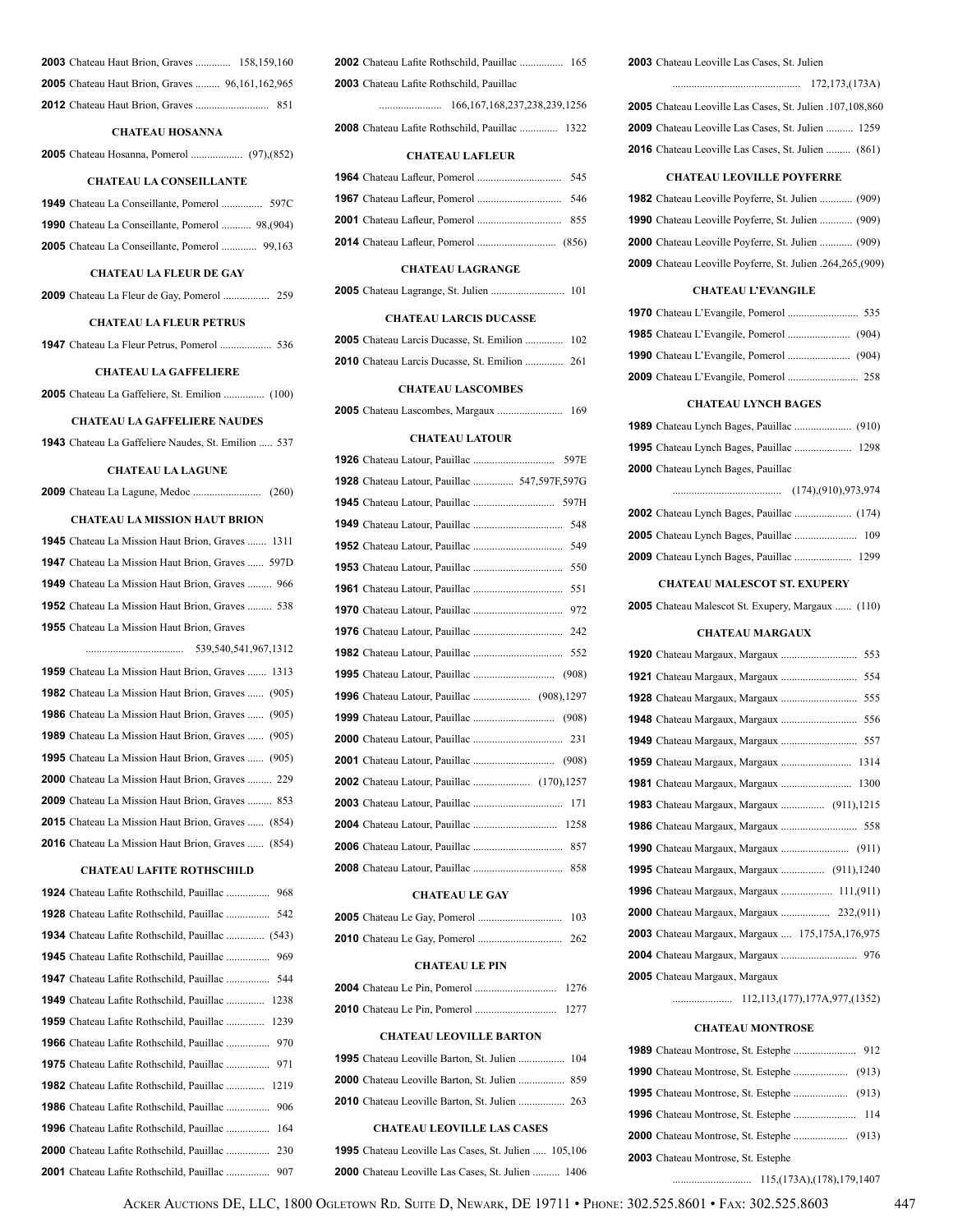| <b>2003</b> Chateau Haut Brion, Graves  158,159,160    |  |
|--------------------------------------------------------|--|
| <b>2005</b> Chateau Haut Brion, Graves  96,161,162,965 |  |
|                                                        |  |

### **CHATEAU HOSANNA**

Chateau Hosanna, Pomerol ................... (97),(852)

### **CHATEAU LA CONSEILLANTE**

| <b>1990</b> Chateau La Conseillante, Pomerol  98, (904) |  |
|---------------------------------------------------------|--|
|                                                         |  |

#### **CHATEAU LA FLEUR DE GAY**

| <b>2009</b> Chateau La Fleur de Gay, Pomerol | 259 |
|----------------------------------------------|-----|
|----------------------------------------------|-----|

#### **CHATEAU LA FLEUR PETRUS**

|--|--|--|--|--|--|--|

### **CHATEAU LA GAFFELIERE**

|  |  |  |  | <b>2005</b> Chateau La Gaffeliere, St. Emilion  (100) |  |  |  |  |
|--|--|--|--|-------------------------------------------------------|--|--|--|--|
|--|--|--|--|-------------------------------------------------------|--|--|--|--|

### **CHATEAU LA GAFFELIERE NAUDES**

| <b>1943</b> Chateau La Gaffeliere Naudes, St. Emilion  537 |  |
|------------------------------------------------------------|--|
|------------------------------------------------------------|--|

#### **CHATEAU LA LAGUNE**

|  |  |  |  |  |  | (260) |  |
|--|--|--|--|--|--|-------|--|
|--|--|--|--|--|--|-------|--|

#### **CHATEAU LA MISSION HAUT BRION**

| <b>1945</b> Chateau La Mission Haut Brion, Graves  1311  |
|----------------------------------------------------------|
| <b>1947</b> Chateau La Mission Haut Brion, Graves  597D  |
| <b>1949</b> Chateau La Mission Haut Brion, Graves  966   |
| <b>1952</b> Chateau La Mission Haut Brion, Graves  538   |
| <b>1955</b> Chateau La Mission Haut Brion, Graves        |
|                                                          |
| <b>1959</b> Chateau La Mission Haut Brion, Graves  1313  |
| <b>1982</b> Chateau La Mission Haut Brion, Graves  (905) |
| <b>1986</b> Chateau La Mission Haut Brion, Graves  (905) |
| <b>1989</b> Chateau La Mission Haut Brion, Graves  (905) |
| <b>1995</b> Chateau La Mission Haut Brion, Graves  (905) |
| <b>2000</b> Chateau La Mission Haut Brion, Graves  229   |
| <b>2009</b> Chateau La Mission Haut Brion, Graves  853   |
| <b>2015</b> Chateau La Mission Haut Brion, Graves  (854) |
| <b>2016</b> Chateau La Mission Haut Brion, Graves  (854) |

### **CHATEAU LAFITE ROTHSCHILD**

| <b>1928</b> Chateau Lafite Rothschild, Pauillac  542   |
|--------------------------------------------------------|
|                                                        |
|                                                        |
|                                                        |
| <b>1949</b> Chateau Lafite Rothschild, Pauillac  1238  |
| <b>1959</b> Chateau Lafite Rothschild, Pauillac  1239  |
|                                                        |
|                                                        |
| <b>1982</b> Chateau Lafite Rothschild, Pauillac  1219  |
|                                                        |
| <b>1996</b> Chateau Lafite Rothschild, Pauillac<br>164 |
| <b>2000</b> Chateau Lafite Rothschild, Pauillac<br>230 |
|                                                        |

|                                          | <b>2002</b> Chateau Lafite Rothschild, Pauillac  165 |  |
|------------------------------------------|------------------------------------------------------|--|
| 2003 Chateau Lafite Rothschild. Pauillac |                                                      |  |
|                                          | 166.167.168.237.238.239.1256                         |  |

Chateau Lafite Rothschild, Pauillac .............. 1322

#### **CHATEAU LAFLEUR**

#### **CHATEAU LAGRANGE**

|  | 101 |
|--|-----|
|--|-----|

### **CHATEAU LARCIS DUCASSE**

|  |  | <b>2005</b> Chateau Larcis Ducasse, St. Emilion  102 |  |
|--|--|------------------------------------------------------|--|
|  |  | <b>2010</b> Chateau Larcis Ducasse, St. Emilion  261 |  |

#### **CHATEAU LASCOMBES**

|  |  |  |  | 169 |
|--|--|--|--|-----|
|--|--|--|--|-----|

#### **CHATEAU LATOUR**

| 1928 Chateau Latour, Pauillac  547,597F,597G |
|----------------------------------------------|
|                                              |
| 548                                          |
| 549                                          |
| 550                                          |
| 551                                          |
| 972                                          |
| 242                                          |
| 552                                          |
|                                              |
|                                              |
|                                              |
|                                              |
|                                              |
|                                              |
| 171                                          |
| 1258                                         |
| 857                                          |
| 858                                          |

#### **CHATEAU LE GAY**

#### **CHATEAU LE PIN**

#### **CHATEAU LEOVILLE BARTON**

| <b>1995</b> Chateau Leoville Barton, St. Julien  104 |  |
|------------------------------------------------------|--|
|                                                      |  |
|                                                      |  |

### **CHATEAU LEOVILLE LAS CASES**

 Chateau Leoville Las Cases, St. Julien ..... 105,106 Chateau Leoville Las Cases, St. Julien .......... 1406

#### Chateau Leoville Las Cases, St. Julien

| 172,173,(173A)                                            |
|-----------------------------------------------------------|
| 2005 Chateau Leoville Las Cases, St. Julien .107,108,860  |
| <b>2009</b> Chateau Leoville Las Cases, St. Julien  1259  |
| <b>2016</b> Chateau Leoville Las Cases, St. Julien  (861) |
|                                                           |

### **CHATEAU LEOVILLE POYFERRE**

| <b>1982</b> Chateau Leoville Poyferre, St. Julien  (909)   |  |
|------------------------------------------------------------|--|
| <b>1990</b> Chateau Leoville Poyferre, St. Julien  (909)   |  |
| <b>2000</b> Chateau Leoville Poyferre, St. Julien  (909)   |  |
| 2009 Chateau Leoville Poyferre, St. Julien .264,265, (909) |  |

### **CHATEAU L'EVANGILE**

### **CHATEAU LYNCH BAGES**

| 2000 Chateau Lynch Bages, Pauillac |  |
|------------------------------------|--|
|                                    |  |
|                                    |  |
| $\sim$                             |  |

### **CHATEAU MALESCOT ST. EXUPERY**

Chateau Malescot St. Exupery, Margaux ...... (110)

### **CHATEAU MARGAUX**

| 554                                              |
|--------------------------------------------------|
| 555                                              |
| 556                                              |
|                                                  |
|                                                  |
| <b>1981</b> Chateau Margaux, Margaux  1300       |
| <b>1983</b> Chateau Margaux, Margaux  (911),1215 |
|                                                  |
|                                                  |
|                                                  |
| <b>1996</b> Chateau Margaux, Margaux  111, (911) |
|                                                  |
| 2003 Chateau Margaux, Margaux  175,175A,176,975  |
|                                                  |
| 2005 Chateau Margaux, Margaux                    |

...................... 112,113,(177),177A,977,(1352)

### **CHATEAU MONTROSE**

| 2003 Chateau Montrose, St. Estephe |  |
|------------------------------------|--|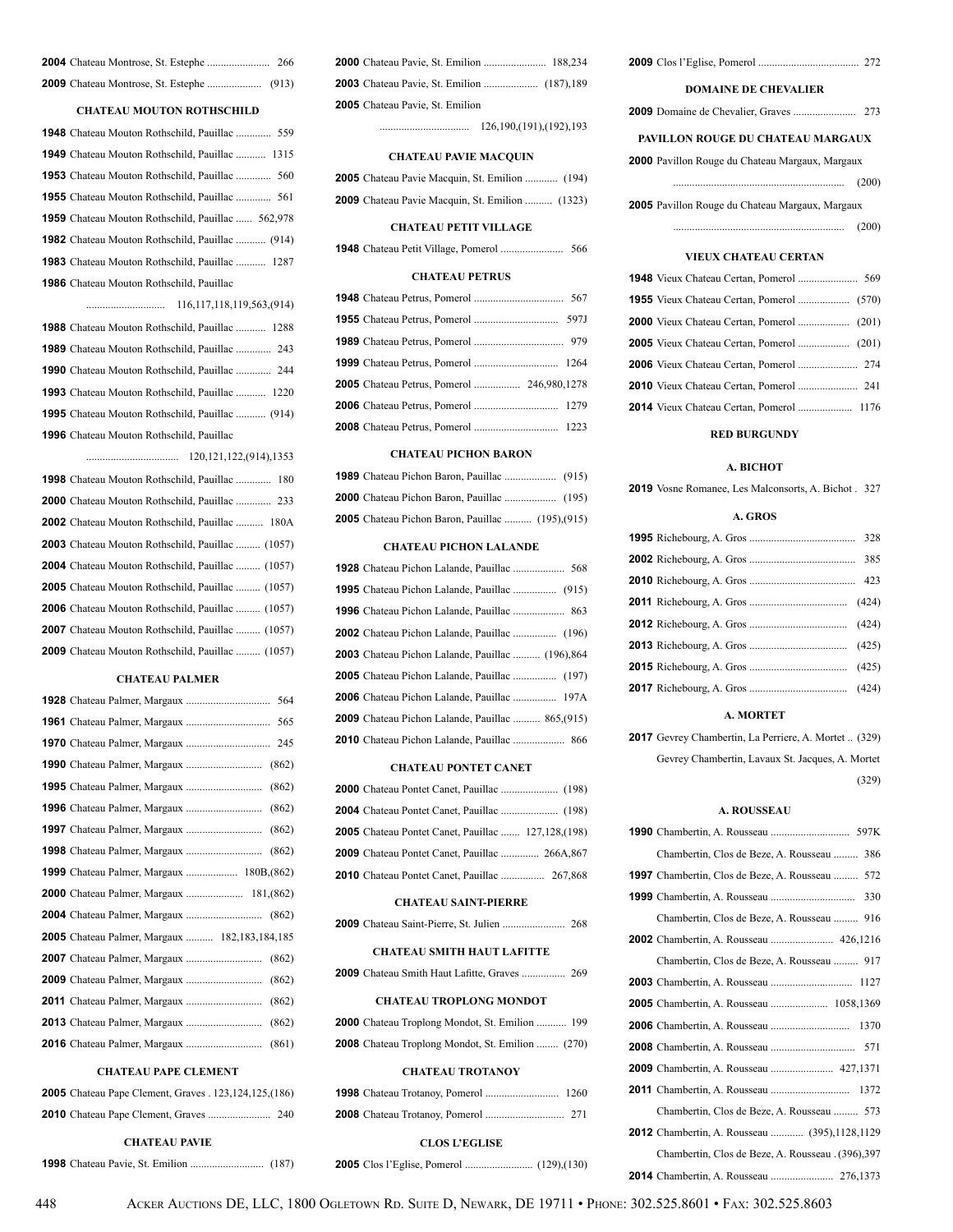#### **CHATEAU MOUTON ROTHSCHILD**

| <b>1948</b> Chateau Mouton Rothschild, Pauillac  559    |
|---------------------------------------------------------|
| <b>1949</b> Chateau Mouton Rothschild, Pauillac  1315   |
| <b>1953</b> Chateau Mouton Rothschild, Pauillac  560    |
| 1955 Chateau Mouton Rothschild, Pauillac  561           |
| 1959 Chateau Mouton Rothschild, Pauillac  562,978       |
| <b>1982</b> Chateau Mouton Rothschild, Pauillac  (914)  |
| 1983 Chateau Mouton Rothschild, Pauillac  1287          |
| 1986 Chateau Mouton Rothschild, Pauillac                |
|                                                         |
| 1988 Chateau Mouton Rothschild, Pauillac  1288          |
| 1989 Chateau Mouton Rothschild, Pauillac  243           |
| <b>1990</b> Chateau Mouton Rothschild, Pauillac  244    |
| <b>1993</b> Chateau Mouton Rothschild, Pauillac  1220   |
| <b>1995</b> Chateau Mouton Rothschild, Pauillac  (914)  |
| <b>1996</b> Chateau Mouton Rothschild, Pauillac         |
|                                                         |
| <b>1998</b> Chateau Mouton Rothschild, Pauillac<br>180  |
| <b>2000</b> Chateau Mouton Rothschild, Pauillac  233    |
| <b>2002</b> Chateau Mouton Rothschild, Pauillac  180A   |
| 2003 Chateau Mouton Rothschild, Pauillac  (1057)        |
| 2004 Chateau Mouton Rothschild, Pauillac  (1057)        |
| 2005 Chateau Mouton Rothschild, Pauillac  (1057)        |
| <b>2006</b> Chateau Mouton Rothschild, Pauillac  (1057) |
| 2007 Chateau Mouton Rothschild, Pauillac  (1057)        |
| 2009 Chateau Mouton Rothschild, Pauillac  (1057)        |

#### **CHATEAU PALMER**

| <b>2005</b> Chateau Palmer, Margaux  182,183,184,185 |
|------------------------------------------------------|
|                                                      |
|                                                      |
|                                                      |
| (862)                                                |
|                                                      |

#### **CHATEAU PAPE CLEMENT**

| <b>2005</b> Chateau Pape Clement, Graves . 123, 124, 125, (186) |     |
|-----------------------------------------------------------------|-----|
|                                                                 | 240 |

#### **CHATEAU PAVIE**

Chateau Pavie, St. Emilion ........................... (187)

| <b>2005</b> Chateau Pavie, St. Emilion |  |
|----------------------------------------|--|

................................. 126,190,(191),(192),193

#### **CHATEAU PAVIE MACQUIN**

| <b>2005</b> Chateau Pavie Macquin, St. Emilion  (194)  |  |
|--------------------------------------------------------|--|
| <b>2009</b> Chateau Pavie Macquin, St. Emilion  (1323) |  |

#### **CHATEAU PETIT VILLAGE**

Chateau Petit Village, Pomerol ....................... 566

### **CHATEAU PETRUS**

| 2005 Chateau Petrus, Pomerol  246.980.1278 |  |
|--------------------------------------------|--|
|                                            |  |
|                                            |  |

#### **CHATEAU PICHON BARON**

| <b>2005</b> Chateau Pichon Baron, Pauillac  (195), (915) |  |
|----------------------------------------------------------|--|

#### **CHATEAU PICHON LALANDE**

| <b>2003</b> Chateau Pichon Lalande, Pauillac  (196),864  |
|----------------------------------------------------------|
|                                                          |
| 2006 Chateau Pichon Lalande, Pauillac  197A              |
| <b>2009</b> Chateau Pichon Lalande, Pauillac  865, (915) |
|                                                          |

#### **CHATEAU PONTET CANET**

| <b>2005</b> Chateau Pontet Canet, Pauillac  127,128, (198) |
|------------------------------------------------------------|
| 2009 Chateau Pontet Canet, Pauillac  266A,867              |
|                                                            |

#### **CHATEAU SAINT-PIERRE**

|--|--|--|--|--|--|--|

### **CHATEAU SMITH HAUT LAFITTE**

Chateau Smith Haut Lafitte, Graves ................ 269

#### **CHATEAU TROPLONG MONDOT**

| <b>2000</b> Chateau Troplong Mondot, St. Emilion  199   |  |
|---------------------------------------------------------|--|
| <b>2008</b> Chateau Troplong Mondot, St. Emilion  (270) |  |

#### **CHATEAU TROTANOY**

#### **CLOS L'EGLISE**

Clos l'Eglise, Pomerol ......................... (129),(130)

| <b>DOMAINE DE CHEVALIER</b> |  |
|-----------------------------|--|
|                             |  |

### **PAVILLON ROUGE DU CHATEAU MARGAUX**

| <b>2000</b> Pavillon Rouge du Chateau Margaux, Margaux |       |
|--------------------------------------------------------|-------|
|                                                        | (200) |
| $\overline{O}$                                         |       |

 Pavillon Rouge du Chateau Margaux, Margaux ............................................................... (200)

#### **VIEUX CHATEAU CERTAN**

| <b>2014</b> Vieux Chateau Certan, Pomerol  1176 |  |
|-------------------------------------------------|--|

#### **RED BURGUNDY**

#### **A. BICHOT**

Vosne Romanee, Les Malconsorts, A. Bichot . 327

#### **A. GROS**

### **A. MORTET**

 Gevrey Chambertin, La Perriere, A. Mortet .. (329) Gevrey Chambertin, Lavaux St. Jacques, A. Mortet (329)

### **A. ROUSSEAU**

| Chambertin, Clos de Beze, A. Rousseau<br>386             |
|----------------------------------------------------------|
| <b>1997</b> Chambertin, Clos de Beze, A. Rousseau<br>572 |
| 330                                                      |
| Chambertin, Clos de Beze, A. Rousseau  916               |
|                                                          |
| Chambertin, Clos de Beze, A. Rousseau  917               |
|                                                          |
|                                                          |
| 1370                                                     |
| 571                                                      |
|                                                          |
| 1372                                                     |
| Chambertin, Clos de Beze, A. Rousseau  573               |
| <b>2012</b> Chambertin, A. Rousseau  (395), 1128, 1129   |
| Chambertin, Clos de Beze, A. Rousseau . (396), 397       |
|                                                          |

Acker Auctions DE, LLC, 1800 Ogletown Rd. Suite D, Newark, DE 19711 • Phone: 302.525.8601 • Fax: 302.525.8603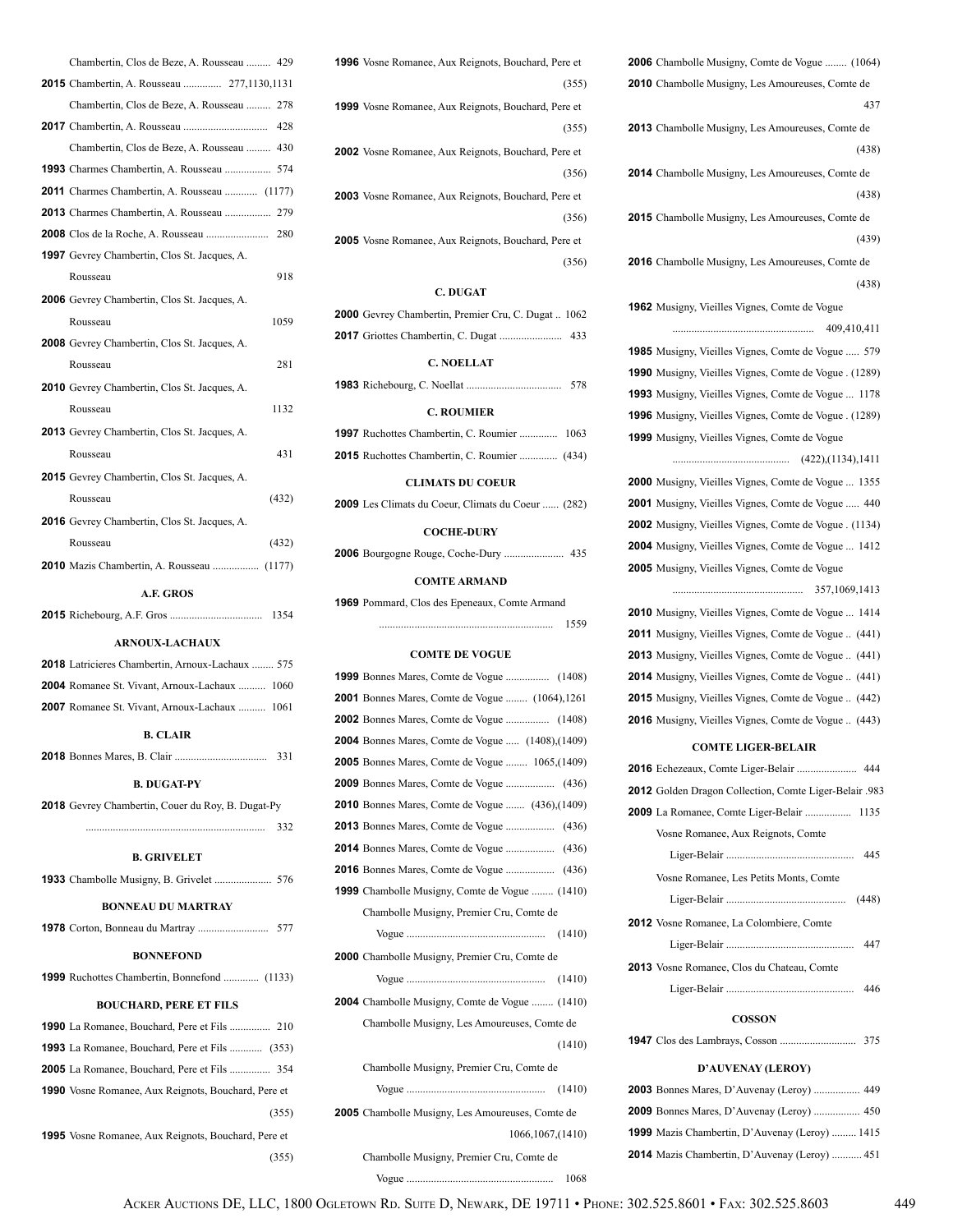| Chambertin, Clos de Beze, A. Rousseau  429                 |
|------------------------------------------------------------|
| <b>2015</b> Chambertin, A. Rousseau  277,1130,1131         |
| Chambertin, Clos de Beze, A. Rousseau  278                 |
|                                                            |
| Chambertin, Clos de Beze, A. Rousseau  430                 |
|                                                            |
| <b>2011</b> Charmes Chambertin, A. Rousseau  (1177)        |
|                                                            |
| 280                                                        |
| <b>1997</b> Gevrey Chambertin, Clos St. Jacques, A.        |
| 918<br>Rousseau                                            |
| <b>2006</b> Gevrey Chambertin, Clos St. Jacques, A.        |
| 1059<br>Rousseau                                           |
| <b>2008</b> Gevrey Chambertin, Clos St. Jacques, A.        |
| 281<br>Rousseau                                            |
| <b>2010</b> Gevrey Chambertin, Clos St. Jacques, A.        |
| 1132<br>Rousseau                                           |
| <b>2013</b> Gevrey Chambertin, Clos St. Jacques, A.        |
| 431<br>Rousseau                                            |
| <b>2015</b> Gevrey Chambertin, Clos St. Jacques, A.        |
| (432)<br>Rousseau                                          |
| <b>2016</b> Gevrey Chambertin, Clos St. Jacques, A.        |
| (432)<br>Rousseau                                          |
| 2010 Mazis Chambertin, A. Rousseau  (1177)                 |
| A.F. GROS                                                  |
| 1354                                                       |
| <b>ARNOUX-LACHAUX</b>                                      |
| <b>2018</b> Latricieres Chambertin, Arnoux-Lachaux  575    |
| <b>2004</b> Romanee St. Vivant, Arnoux-Lachaux  1060       |
| <b>2007</b> Romanee St. Vivant, Arnoux-Lachaux  1061       |
| <b>B. CLAIR</b>                                            |
| 331                                                        |
| <b>B. DUGAT-PY</b>                                         |
| <b>2018</b> Gevrey Chambertin, Couer du Roy, B. Dugat-Py   |
| 332                                                        |
|                                                            |
| <b>B. GRIVELET</b>                                         |
|                                                            |
| <b>BONNEAU DU MARTRAY</b>                                  |
|                                                            |
| <b>BONNEFOND</b>                                           |
| <b>1999</b> Ruchottes Chambertin, Bonnefond  (1133)        |
| <b>BOUCHARD, PERE ET FILS</b>                              |
|                                                            |
| <b>1993</b> La Romanee, Bouchard, Pere et Fils  (353)      |
| <b>2005</b> La Romanee, Bouchard, Pere et Fils  354        |
| 1990 Vosne Romanee, Aux Reignots, Bouchard, Pere et        |
| (355)                                                      |
| <b>1995</b> Vosne Romanee, Aux Reignots, Bouchard, Pere et |
| (355)                                                      |

| <b>1996</b> Vosne Romanee, Aux Reignots, Bouchard, Pere et |
|------------------------------------------------------------|
| (355)                                                      |
| <b>1999</b> Vosne Romanee, Aux Reignots, Bouchard, Pere et |
| (355)                                                      |
| <b>2002</b> Vosne Romanee, Aux Reignots, Bouchard, Pere et |
| (356)                                                      |
| <b>2003</b> Vosne Romanee, Aux Reignots, Bouchard, Pere et |
| (356)                                                      |
| <b>2005</b> Vosne Romanee, Aux Reignots, Bouchard, Pere et |
| (356)                                                      |
|                                                            |

### **C. DUGAT**

| <b>C. NOELLAT</b>                                          |  |
|------------------------------------------------------------|--|
|                                                            |  |
| <b>2000</b> Gevrey Chambertin, Premier Cru, C. Dugat  1062 |  |

|  |  |  | 578 |
|--|--|--|-----|
|--|--|--|-----|

### **C. ROUMIER**

| <b>1997</b> Ruchottes Chambertin, C. Roumier  1063  |  |
|-----------------------------------------------------|--|
| <b>2015</b> Ruchottes Chambertin, C. Roumier  (434) |  |

### **CLIMATS DU COEUR**

| <b>2009</b> Les Climats du Coeur, Climats du Coeur  (282) |  |  |
|-----------------------------------------------------------|--|--|
|-----------------------------------------------------------|--|--|

### **COCHE-DURY**

**2006** Bourgogne Rouge, Coche-Dury ...................... 435

### **COMTE ARMAND**

**1969** Pommard, Clos des Epeneaux, Comte Armand

#### **COMTE DE VOGUE**

................................................................ 1559

| <b>2001</b> Bonnes Mares, Comte de Vogue  (1064), 1261   |  |
|----------------------------------------------------------|--|
|                                                          |  |
| <b>2004</b> Bonnes Mares, Comte de Vogue  (1408), (1409) |  |
| <b>2005</b> Bonnes Mares, Comte de Vogue  1065, (1409)   |  |
|                                                          |  |
| <b>2010</b> Bonnes Mares, Comte de Vogue  (436), (1409)  |  |
|                                                          |  |
|                                                          |  |
|                                                          |  |
| <b>1999</b> Chambolle Musigny, Comte de Vogue  (1410)    |  |
| Chambolle Musigny, Premier Cru, Comte de                 |  |
|                                                          |  |
| <b>2000</b> Chambolle Musigny, Premier Cru, Comte de     |  |
|                                                          |  |
| <b>2004</b> Chambolle Musigny, Comte de Vogue  (1410)    |  |
| Chambolle Musigny, Les Amoureuses, Comte de              |  |
| (1410)                                                   |  |
| Chambolle Musigny, Premier Cru, Comte de                 |  |
|                                                          |  |
| <b>2005</b> Chambolle Musigny, Les Amoureuses, Comte de  |  |
| 1066, 1067, (1410)                                       |  |
| Chambolle Musigny, Premier Cru, Comte de                 |  |
| 1068                                                     |  |

| <b>2010</b> Chambolle Musigny, Les Amoureuses, Comte de       |
|---------------------------------------------------------------|
| 437                                                           |
| 2013 Chambolle Musigny, Les Amoureuses, Comte de              |
| (438)                                                         |
| 2014 Chambolle Musigny, Les Amoureuses, Comte de              |
| (438)                                                         |
| 2015 Chambolle Musigny, Les Amoureuses, Comte de              |
| (439)                                                         |
|                                                               |
| 2016 Chambolle Musigny, Les Amoureuses, Comte de              |
| (438)                                                         |
| 1962 Musigny, Vieilles Vignes, Comte de Vogue                 |
| 409,410,411                                                   |
| <b>1985</b> Musigny, Vieilles Vignes, Comte de Vogue  579     |
| <b>1990</b> Musigny, Vieilles Vignes, Comte de Vogue . (1289) |
| 1993 Musigny, Vieilles Vignes, Comte de Vogue  1178           |
| <b>1996</b> Musigny, Vieilles Vignes, Comte de Vogue . (1289) |
| <b>1999</b> Musigny, Vieilles Vignes, Comte de Vogue          |
|                                                               |
| <b>2000</b> Musigny, Vieilles Vignes, Comte de Vogue  1355    |
| <b>2001</b> Musigny, Vieilles Vignes, Comte de Vogue  440     |
| <b>2002</b> Musigny, Vieilles Vignes, Comte de Vogue . (1134) |
| <b>2004</b> Musigny, Vieilles Vignes, Comte de Vogue  1412    |
| <b>2005</b> Musigny, Vieilles Vignes, Comte de Vogue          |
|                                                               |
| <b>2010</b> Musigny, Vieilles Vignes, Comte de Vogue  1414    |
| <b>2011</b> Musigny, Vieilles Vignes, Comte de Vogue  (441)   |
| <b>2013</b> Musigny, Vieilles Vignes, Comte de Vogue  (441)   |
| 2014 Musigny, Vieilles Vignes, Comte de Vogue  (441)          |
| <b>2015</b> Musigny, Vieilles Vignes, Comte de Vogue  (442)   |
| 2016 Musigny, Vieilles Vignes, Comte de Vogue  (443)          |
| <b>COMTE LIGER-BELAIR</b>                                     |
|                                                               |
| 2012 Golden Dragon Collection, Comte Liger-Belair .983        |
| <b>2009</b> La Romanee, Comte Liger-Belair  1135              |
| Vosne Romanee, Aux Reignots, Comte                            |
|                                                               |

**2006** Chambolle Musigny, Comte de Vogue ........ (1064)

|                                                 | 445 |
|-------------------------------------------------|-----|
| Vosne Romanee, Les Petits Monts, Comte          |     |
|                                                 |     |
| <b>2012</b> Vosne Romanee, La Colombiere, Comte |     |

|                                                   | 447 |
|---------------------------------------------------|-----|
| <b>2013</b> Vosne Romanee, Clos du Chateau, Comte |     |
|                                                   | 446 |

### **COSSON**

**1947** Clos des Lambrays, Cosson ............................ 375

### **D'AUVENAY (LEROY)**

| <b>2003</b> Bonnes Mares, D'Auvenay (Leroy)  449      |
|-------------------------------------------------------|
| <b>2009</b> Bonnes Mares, D'Auvenay (Leroy)  450      |
| <b>1999</b> Mazis Chambertin, D'Auvenay (Leroy)  1415 |
| <b>2014</b> Mazis Chambertin, D'Auvenay (Leroy)  451  |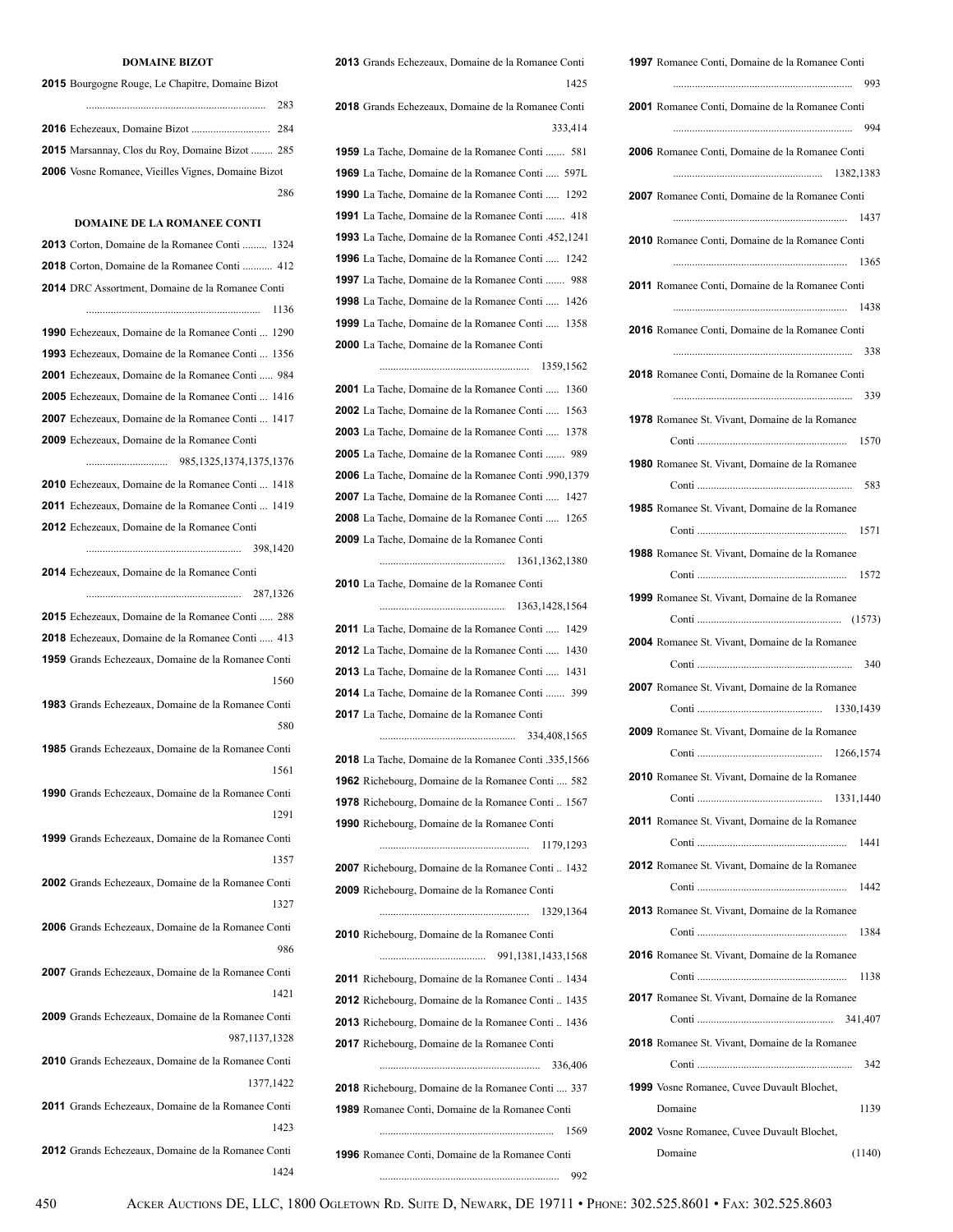| <b>1997</b> Romanee Conti, Domaine de la Romanee Conti               |
|----------------------------------------------------------------------|
|                                                                      |
| 2001 Romanee Conti, Domaine de la Romanee Conti                      |
|                                                                      |
| 2006 Romanee Conti, Domaine de la Romanee Conti                      |
|                                                                      |
| 2007 Romanee Conti, Domaine de la Romanee Conti                      |
|                                                                      |
| 2010 Romanee Conti, Domaine de la Romanee Conti                      |
|                                                                      |
| 2011 Romanee Conti, Domaine de la Romanee Conti                      |
|                                                                      |
| 2016 Romanee Conti, Domaine de la Romanee Conti                      |
| 338                                                                  |
| 2018 Romanee Conti, Domaine de la Romanee Conti                      |
|                                                                      |
| <b>1978</b> Romanee St. Vivant, Domaine de la Romanee                |
|                                                                      |
| 1980 Romanee St. Vivant, Domaine de la Romanee                       |
|                                                                      |
| <b>1985</b> Romanee St. Vivant, Domaine de la Romanee                |
|                                                                      |
| <b>1988</b> Romanee St. Vivant, Domaine de la Romanee                |
|                                                                      |
| 1999 Romanee St. Vivant, Domaine de la Romanee                       |
|                                                                      |
| <b>2004</b> Romanee St. Vivant, Domaine de la Romanee                |
|                                                                      |
|                                                                      |
| 2007 Romanee St. Vivant, Domaine de la Romanee                       |
| 2009 Romanee St. Vivant, Domaine de la Romanee                       |
|                                                                      |
|                                                                      |
| 2010 Romanee St. Vivant, Domaine de la Romanee                       |
|                                                                      |
| <b>2011</b> Romanee St. Vivant, Domaine de la Romanee                |
|                                                                      |
| <b>2012</b> Romanee St. Vivant, Domaine de la Romanee                |
|                                                                      |
| <b>2013</b> Romanee St. Vivant, Domaine de la Romanee                |
|                                                                      |
| <b>2016</b> Romanee St. Vivant, Domaine de la Romanee                |
|                                                                      |
| <b>2017</b> Romanee St. Vivant, Domaine de la Romanee                |
|                                                                      |
| <b>2018</b> Romanee St. Vivant, Domaine de la Romanee                |
|                                                                      |
| <b>1999</b> Vosne Romanee, Cuvee Duvault Blochet,<br>1139<br>Domaine |
|                                                                      |
| <b>2002</b> Vosne Romanee, Cuvee Duvault Blochet,                    |
| (1140)<br>Domaine                                                    |

 Grands Echezeaux, Domaine de la Romanee Conti <sup>1425</sup>

 Grands Echezeaux, Domaine de la Romanee Conti 333,414 La Tache, Domaine de la Romanee Conti ....... 581 La Tache, Domaine de la Romanee Conti ..... 597L

 La Tache, Domaine de la Romanee Conti ..... 1292 La Tache, Domaine de la Romanee Conti ....... 418 La Tache, Domaine de la Romanee Conti .452,1241 La Tache, Domaine de la Romanee Conti ..... 1242 La Tache, Domaine de la Romanee Conti ....... 988 La Tache, Domaine de la Romanee Conti ..... 1426 La Tache, Domaine de la Romanee Conti ..... 1358

La Tache, Domaine de la Romanee Conti

 ....................................................... 1359,1562 La Tache, Domaine de la Romanee Conti ..... 1360 La Tache, Domaine de la Romanee Conti ..... 1563 La Tache, Domaine de la Romanee Conti ..... 1378 La Tache, Domaine de la Romanee Conti ....... 989 La Tache, Domaine de la Romanee Conti .990,1379 La Tache, Domaine de la Romanee Conti ..... 1427 La Tache, Domaine de la Romanee Conti ..... 1265 La Tache, Domaine de la Romanee Conti .............................................. 1361,1362,1380

 La Tache, Domaine de la Romanee Conti .............................................. 1363,1428,1564 La Tache, Domaine de la Romanee Conti ..... 1429 La Tache, Domaine de la Romanee Conti ..... 1430 La Tache, Domaine de la Romanee Conti ..... 1431 La Tache, Domaine de la Romanee Conti ....... 399 La Tache, Domaine de la Romanee Conti 334,408,1565 La Tache, Domaine de la Romanee Conti .335,1566

 Richebourg, Domaine de la Romanee Conti .... 582 Richebourg, Domaine de la Romanee Conti .. 1567 Richebourg, Domaine de la Romanee Conti ....................................................... 1179,1293

 Richebourg, Domaine de la Romanee Conti .. 1432 Richebourg, Domaine de la Romanee Conti

....................................................... 1329,1364

 Richebourg, Domaine de la Romanee Conti ....................................... 991,1381,1433,1568 Richebourg, Domaine de la Romanee Conti .. 1434 Richebourg, Domaine de la Romanee Conti .. 1435 Richebourg, Domaine de la Romanee Conti .. 1436 Richebourg, Domaine de la Romanee Conti ........................................................... 336,406 Richebourg, Domaine de la Romanee Conti .... 337

Romanee Conti, Domaine de la Romanee Conti

Romanee Conti, Domaine de la Romanee Conti

.................................................................. 992

................................................................ 1569

#### **DOMAINE BIZOT**

Bourgogne Rouge, Le Chapitre, Domaine Bizot

|                                                           | 283 |
|-----------------------------------------------------------|-----|
|                                                           |     |
| <b>2015</b> Marsannay, Clos du Roy, Domaine Bizot  285    |     |
| <b>2006</b> Vosne Romanee, Vieilles Vignes, Domaine Bizot |     |
|                                                           | 286 |

### **DOMAINE DE LA ROMANEE CONTI**

| <b>2013</b> Corton, Domaine de la Romanee Conti  1324     |
|-----------------------------------------------------------|
| <b>2018</b> Corton, Domaine de la Romanee Conti  412      |
| <b>2014</b> DRC Assortment, Domaine de la Romanee Conti   |
| $\cdots$ 1136                                             |
| <b>1990</b> Echezeaux, Domaine de la Romanee Conti 1290   |
| <b>1993</b> Echezeaux, Domaine de la Romanee Conti  1356  |
| <b>2001</b> Echezeaux, Domaine de la Romanee Conti  984   |
| <b>2005</b> Echezeaux, Domaine de la Romanee Conti  1416  |
| 2007 Echezeaux, Domaine de la Romanee Conti 1417          |
| <b>2009</b> Echezeaux, Domaine de la Romanee Conti        |
|                                                           |
| <b>2010</b> Echezeaux, Domaine de la Romanee Conti  1418  |
| <b>2011</b> Echezeaux, Domaine de la Romanee Conti  1419  |
| <b>2012</b> Echezeaux, Domaine de la Romanee Conti        |
|                                                           |
| 2014 Echezeaux, Domaine de la Romanee Conti               |
|                                                           |
| 2015 Echezeaux, Domaine de la Romanee Conti  288          |
| 2018 Echezeaux, Domaine de la Romanee Conti  413          |
| <b>1959</b> Grands Echezeaux, Domaine de la Romanee Conti |
| 1560                                                      |
| <b>1983</b> Grands Echezeaux, Domaine de la Romanee Conti |
| 580                                                       |
| <b>1985</b> Grands Echezeaux, Domaine de la Romanee Conti |
| 1561                                                      |
| <b>1990</b> Grands Echezeaux, Domaine de la Romanee Conti |
| 1291                                                      |
| <b>1999</b> Grands Echezeaux, Domaine de la Romanee Conti |
| 1357                                                      |
| 2002 Grands Echezeaux, Domaine de la Romanee Conti        |
| 1327                                                      |
| 2006 Grands Echezeaux, Domaine de la Romanee Conti        |
| 986                                                       |
| 2007 Grands Echezeaux, Domaine de la Romanee Conti        |
| 1421                                                      |
| <b>2009</b> Grands Echezeaux, Domaine de la Romanee Conti |
| 987,1137,1328                                             |
| 2010 Grands Echezeaux, Domaine de la Romanee Conti        |
| 1377,1422                                                 |
| <b>2011</b> Grands Echezeaux, Domaine de la Romanee Conti |
| 1423                                                      |
|                                                           |
| 2012 Grands Echezeaux, Domaine de la Romanee Conti        |

1424

450 ACKER AUCTIONS DE, LLC, 1800 OGLETOWN RD. SUITE D, NEWARK, DE 19711 • PHONE: 302.525.8601 • FAX: 302.525.8603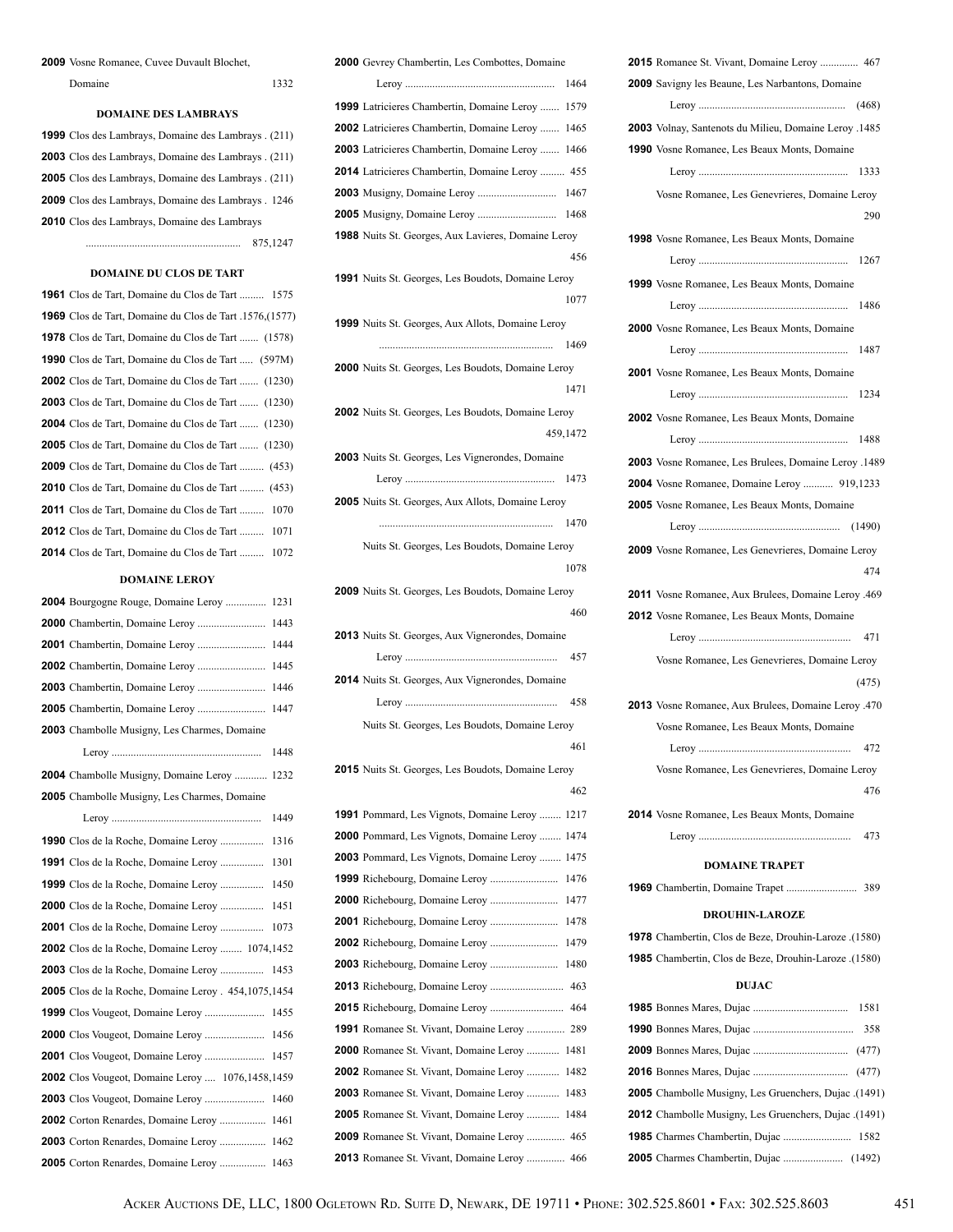### Vosne Romanee, Cuvee Duvault Blochet,

| Domaine |  |  |
|---------|--|--|
|         |  |  |

### **DOMAINE DES LAMBRAYS**

| 1999 Clos des Lambrays, Domaine des Lambrays. (211)        |
|------------------------------------------------------------|
| <b>2003</b> Clos des Lambrays, Domaine des Lambrays. (211) |
| <b>2005</b> Clos des Lambrays, Domaine des Lambrays. (211) |
| <b>2009</b> Clos des Lambrays, Domaine des Lambrays. 1246  |
| <b>2010</b> Clos des Lambrays, Domaine des Lambrays        |
| 875.1247                                                   |

### **DOMAINE DU CLOS DE TART**

| 1961 Clos de Tart, Domaine du Clos de Tart  1575                |
|-----------------------------------------------------------------|
| <b>1969</b> Clos de Tart, Domaine du Clos de Tart .1576, (1577) |
| <b>1978</b> Clos de Tart, Domaine du Clos de Tart  (1578)       |
| <b>1990</b> Clos de Tart, Domaine du Clos de Tart  (597M)       |
| <b>2002</b> Clos de Tart, Domaine du Clos de Tart  (1230)       |
| <b>2003</b> Clos de Tart, Domaine du Clos de Tart  (1230)       |
| <b>2004</b> Clos de Tart, Domaine du Clos de Tart  (1230)       |
| <b>2005</b> Clos de Tart, Domaine du Clos de Tart  (1230)       |
| <b>2009</b> Clos de Tart, Domaine du Clos de Tart  (453)        |
| <b>2010</b> Clos de Tart, Domaine du Clos de Tart  (453)        |
| <b>2011</b> Clos de Tart, Domaine du Clos de Tart  1070         |
| <b>2012</b> Clos de Tart, Domaine du Clos de Tart  1071         |
| 2014 Clos de Tart, Domaine du Clos de Tart  1072                |

#### **DOMAINE LEROY**

| 2004 Bourgogne Rouge, Domaine Leroy<br>1231             |
|---------------------------------------------------------|
| 1443                                                    |
| 1444                                                    |
| 1445                                                    |
| 1446                                                    |
| 1447                                                    |
| 2003 Chambolle Musigny, Les Charmes, Domaine            |
| 1448                                                    |
| <b>2004</b> Chambolle Musigny, Domaine Leroy<br>1232    |
| <b>2005</b> Chambolle Musigny, Les Charmes, Domaine     |
| 1449                                                    |
| <b>1990</b> Clos de la Roche, Domaine Leroy<br>1316     |
| <b>1991</b> Clos de la Roche, Domaine Leroy<br>1301     |
| 1450                                                    |
| <b>2000</b> Clos de la Roche, Domaine Leroy<br>1451     |
| <b>2001</b> Clos de la Roche, Domaine Leroy<br>1073     |
| 2002 Clos de la Roche, Domaine Leroy  1074,1452         |
| 2003 Clos de la Roche, Domaine Leroy<br>1453            |
| 2005 Clos de la Roche, Domaine Leroy . 454,1075,1454    |
| 1455                                                    |
| 1456                                                    |
| 1457                                                    |
| <b>2002</b> Clos Vougeot, Domaine Leroy  1076,1458,1459 |
| 1460                                                    |
| <b>2002</b> Corton Renardes, Domaine Leroy<br>1461      |
| <b>2003</b> Corton Renardes, Domaine Leroy<br>1462      |
| 2005 Corton Renardes, Domaine Leroy<br>1463             |

| <b>2000</b> Gevrey Chambertin, Les Combottes, Domaine      |          |
|------------------------------------------------------------|----------|
|                                                            | 1464     |
| 1999 Latricieres Chambertin, Domaine Leroy  1579           |          |
| <b>2002</b> Latricieres Chambertin, Domaine Leroy  1465    |          |
| <b>2003</b> Latricieres Chambertin, Domaine Leroy  1466    |          |
| <b>2014</b> Latricieres Chambertin, Domaine Leroy  455     |          |
|                                                            |          |
|                                                            |          |
| <b>1988</b> Nuits St. Georges, Aux Lavieres, Domaine Leroy |          |
|                                                            | 456      |
| <b>1991</b> Nuits St. Georges, Les Boudots, Domaine Leroy  |          |
|                                                            | 1077     |
| <b>1999</b> Nuits St. Georges, Aux Allots, Domaine Leroy   |          |
|                                                            | 1469     |
| <b>2000</b> Nuits St. Georges, Les Boudots, Domaine Leroy  |          |
|                                                            | 1471     |
| <b>2002</b> Nuits St. Georges, Les Boudots, Domaine Leroy  |          |
|                                                            | 459,1472 |
| 2003 Nuits St. Georges, Les Vignerondes, Domaine           |          |
|                                                            |          |
| <b>2005</b> Nuits St. Georges, Aux Allots, Domaine Leroy   |          |
|                                                            | 1470     |
| Nuits St. Georges, Les Boudots, Domaine Leroy              |          |
|                                                            | 1078     |
| <b>2009</b> Nuits St. Georges, Les Boudots, Domaine Leroy  |          |
|                                                            |          |
|                                                            | 460      |
| <b>2013</b> Nuits St. Georges, Aux Vignerondes, Domaine    |          |
|                                                            | 457      |
| 2014 Nuits St. Georges, Aux Vignerondes, Domaine           |          |
|                                                            |          |
| Nuits St. Georges, Les Boudots, Domaine Leroy              |          |
|                                                            | - 461    |
| <b>2015</b> Nuits St. Georges, Les Boudots, Domaine Leroy  |          |
|                                                            | 462      |
| <b>1991</b> Pommard, Les Vignots, Domaine Leroy            | 1217     |
| 2000 Pommard, Les Vignots, Domaine Leroy                   | 1474     |
| <b>2003</b> Pommard, Les Vignots, Domaine Leroy            | 1475     |
|                                                            | 1476     |
|                                                            | 1477     |
|                                                            | 1478     |
|                                                            | 1479     |
|                                                            | 1480     |
|                                                            |          |
|                                                            |          |
| <b>1991</b> Romanee St. Vivant, Domaine Leroy              | 289      |
| <b>2000</b> Romanee St. Vivant, Domaine Leroy              | 1481     |
| <b>2002</b> Romanee St. Vivant, Domaine Leroy              | 1482     |
| <b>2003</b> Romanee St. Vivant, Domaine Leroy              | 1483     |
| <b>2005</b> Romanee St. Vivant, Domaine Leroy              | 1484     |
| <b>2009</b> Romanee St. Vivant, Domaine Leroy  465         |          |

| 2015 Romanee St. Vivant, Domaine Leroy  467                  |
|--------------------------------------------------------------|
| 2009 Savigny les Beaune, Les Narbantons, Domaine             |
|                                                              |
| 2003 Volnay, Santenots du Milieu, Domaine Leroy .1485        |
| 1990 Vosne Romanee, Les Beaux Monts, Domaine                 |
| 1333                                                         |
|                                                              |
| Vosne Romanee, Les Genevrieres, Domaine Leroy                |
| 290                                                          |
| <b>1998</b> Vosne Romanee, Les Beaux Monts, Domaine          |
| 1267                                                         |
| 1999 Vosne Romanee, Les Beaux Monts, Domaine                 |
| 1486                                                         |
| <b>2000</b> Vosne Romanee, Les Beaux Monts, Domaine          |
| 1487                                                         |
|                                                              |
| 2001 Vosne Romanee, Les Beaux Monts, Domaine                 |
| 1234                                                         |
| <b>2002</b> Vosne Romanee, Les Beaux Monts, Domaine          |
| 1488                                                         |
| 2003 Vosne Romanee, Les Brulees, Domaine Leroy .1489         |
| 2004 Vosne Romanee, Domaine Leroy  919,1233                  |
| <b>2005</b> Vosne Romanee, Les Beaux Monts, Domaine          |
|                                                              |
| <b>2009</b> Vosne Romanee, Les Genevrieres, Domaine Leroy    |
| 474                                                          |
|                                                              |
| 2011 Vosne Romanee, Aux Brulees, Domaine Leroy .469          |
| <b>2012</b> Vosne Romanee, Les Beaux Monts, Domaine          |
| 471                                                          |
| Vosne Romanee, Les Genevrieres, Domaine Leroy                |
| (475)                                                        |
| 2013 Vosne Romanee, Aux Brulees, Domaine Leroy .470          |
| Vosne Romanee, Les Beaux Monts, Domaine                      |
| 472                                                          |
| Vosne Romanee, Les Genevrieres, Domaine Leroy                |
| 476                                                          |
|                                                              |
| <b>2014</b> Vosne Romanee, Les Beaux Monts, Domaine          |
| 473                                                          |
| <b>DOMAINE TRAPET</b>                                        |
| 389                                                          |
| <b>DROUHIN-LAROZE</b>                                        |
|                                                              |
| 1978 Chambertin, Clos de Beze, Drouhin-Laroze .(1580)        |
| 1985 Chambertin, Clos de Beze, Drouhin-Laroze .(1580)        |
| <b>DUJAC</b>                                                 |
| 1581                                                         |
| 358                                                          |
|                                                              |
|                                                              |
| (1491). <b>2005</b> Chambolle Musigny, Les Gruenchers, Dujac |
| (1491). <b>2012</b> Chambolle Musigny, Les Gruenchers, Dujac |
| 1985 Charmes Chambertin, Dujac  1582                         |
|                                                              |

Charmes Chambertin, Dujac ...................... (1492)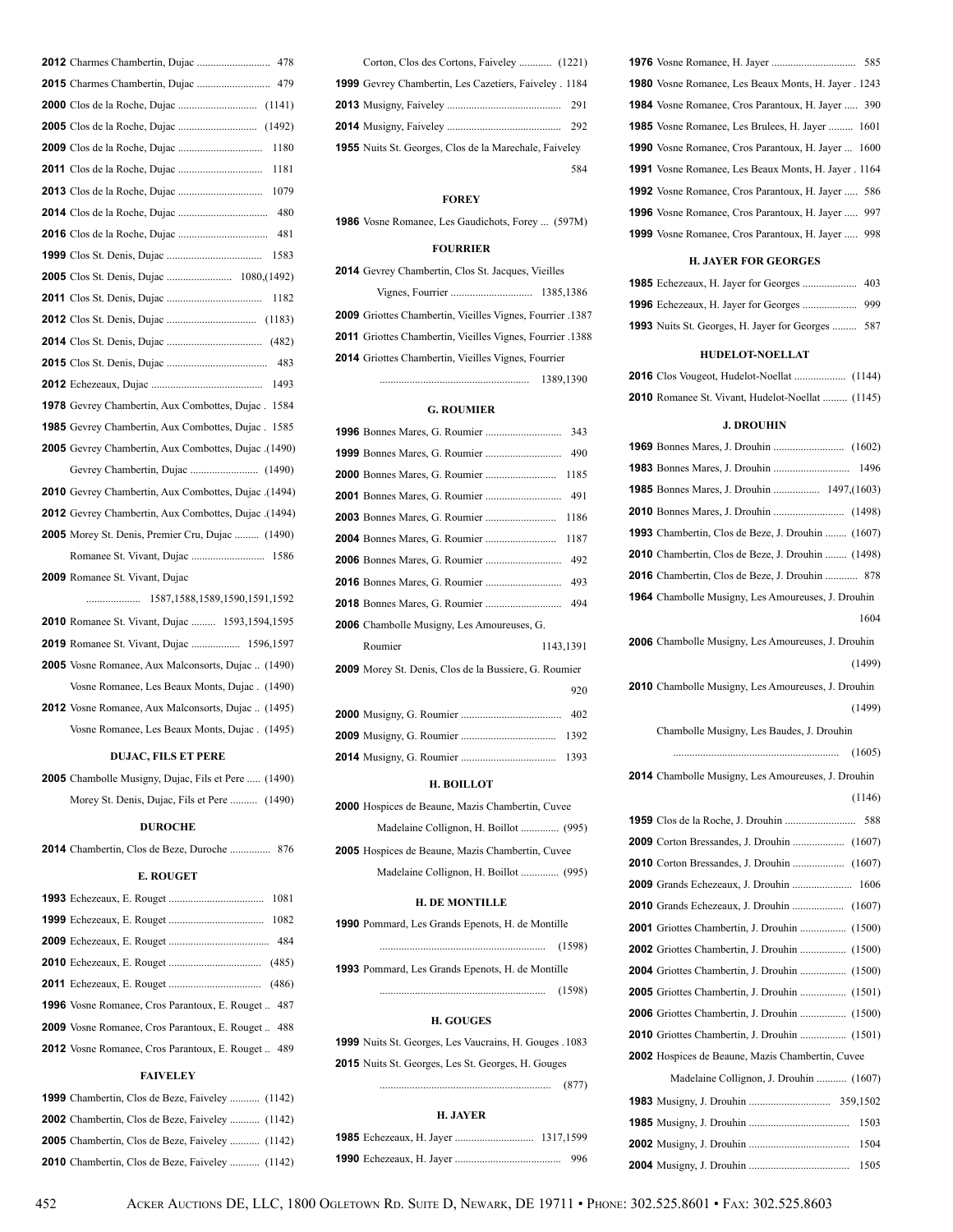| 478                                                          |
|--------------------------------------------------------------|
|                                                              |
|                                                              |
|                                                              |
|                                                              |
| 1181                                                         |
|                                                              |
|                                                              |
| 481                                                          |
| 1583                                                         |
|                                                              |
| 1182                                                         |
|                                                              |
|                                                              |
| 483                                                          |
|                                                              |
| <b>1978</b> Gevrey Chambertin, Aux Combottes, Dujac. 1584    |
| <b>1985</b> Gevrey Chambertin, Aux Combottes, Dujac.<br>1585 |
| 2005 Gevrey Chambertin, Aux Combottes, Dujac. (1490)         |
|                                                              |
| 2010 Gevrey Chambertin, Aux Combottes, Dujac .(1494)         |
| 2012 Gevrey Chambertin, Aux Combottes, Dujac . (1494)        |
| 2005 Morey St. Denis, Premier Cru, Dujac  (1490)             |
|                                                              |
| 2009 Romanee St. Vivant, Dujac                               |
|                                                              |
| 2010 Romanee St. Vivant, Dujac  1593,1594,1595               |
| <b>2019</b> Romanee St. Vivant, Dujac  1596,1597             |
| 2005 Vosne Romanee, Aux Malconsorts, Dujac  (1490)           |
| Vosne Romanee, Les Beaux Monts, Dujac. (1490)                |
| <b>2012</b> Vosne Romanee, Aux Malconsorts, Dujac  (1495)    |
| Vosne Romanee, Les Beaux Monts, Dujac. (1495)                |
|                                                              |

### **DUJAC, FILS ET PERE**

| <b>2005</b> Chambolle Musigny, Dujac, Fils et Pere  (1490) |  |
|------------------------------------------------------------|--|
| Morey St. Denis, Dujac, Fils et Pere  (1490)               |  |

### **DUROCHE**

Chambertin, Clos de Beze, Duroche ............... 876

### **E. ROUGET**

| <b>1996</b> Vosne Romanee, Cros Parantoux, E. Rouget  487 |
|-----------------------------------------------------------|
| <b>2009</b> Vosne Romanee, Cros Parantoux, E. Rouget  488 |
| <b>2012</b> Vosne Romanee, Cros Parantoux, E. Rouget  489 |
| <b>FAIVELEY</b>                                           |

| <b>1999</b> Chambertin, Clos de Beze, Faiveley  (1142) |  |
|--------------------------------------------------------|--|
| <b>2002</b> Chambertin, Clos de Beze, Faiveley  (1142) |  |
| <b>2005</b> Chambertin, Clos de Beze, Faiveley  (1142) |  |
| <b>2010</b> Chambertin, Clos de Beze, Faiveley  (1142) |  |

| 1999 Gevrey Chambertin, Les Cazetiers, Faiveley . 1184        |     |
|---------------------------------------------------------------|-----|
|                                                               |     |
|                                                               |     |
| <b>1955</b> Nuits St. Georges, Clos de la Marechale, Faiveley |     |
|                                                               | 584 |
|                                                               |     |

### **FOREY**

Vosne Romanee, Les Gaudichots, Forey ... (597M)

### **FOURRIER**

| <b>2014</b> Gevrey Chambertin, Clos St. Jacques, Vieilles        |  |
|------------------------------------------------------------------|--|
|                                                                  |  |
| 2009 Griottes Chambertin, Vieilles Vignes, Fourrier .1387        |  |
| <b>2011</b> Griottes Chambertin, Vieilles Vignes, Fourrier .1388 |  |

Griottes Chambertin, Vieilles Vignes, Fourrier

....................................................... 1389,1390

### **G. ROUMIER**

|                                                       | 343  |
|-------------------------------------------------------|------|
|                                                       |      |
|                                                       | 1185 |
|                                                       |      |
|                                                       | 1186 |
|                                                       | 1187 |
|                                                       |      |
|                                                       | 493  |
|                                                       | 494  |
| 2006 Chambolle Musigny, Les Amoureuses, G.            |      |
| Roumier<br>1143,1391                                  |      |
| 2009 Morey St. Denis, Clos de la Bussiere, G. Roumier |      |
|                                                       | 920  |
|                                                       |      |
|                                                       | 1392 |
|                                                       | 1393 |

#### **H. BOILLOT**

| <b>2000</b> Hospices de Beaune, Mazis Chambertin, Cuvee |  |
|---------------------------------------------------------|--|
| Madelaine Collignon, H. Boillot  (995)                  |  |
| <b>2005</b> Hospices de Beaune, Mazis Chambertin, Cuvee |  |
|                                                         |  |

### **H. DE MONTILLE**

| <b>1990</b> Pommard, Les Grands Epenots, H. de Montille |        |  |
|---------------------------------------------------------|--------|--|
|                                                         | (1598) |  |
| <b>1993</b> Pommard, Les Grands Epenots, H. de Montille |        |  |
|                                                         | (1598) |  |

### **H. GOUGES**

|  |  | 1999 Nuits St. Georges, Les Vaucrains, H. Gouges . 1083   |  |  |
|--|--|-----------------------------------------------------------|--|--|
|  |  | <b>2015</b> Nuits St. Georges, Les St. Georges, H. Gouges |  |  |

............................................................... (877)

### **H. JAYER**

| <b>1980</b> Vosne Romanee, Les Beaux Monts, H. Jayer . 1243 |  |
|-------------------------------------------------------------|--|
| <b>1984</b> Vosne Romanee, Cros Parantoux, H. Jayer  390    |  |
| 1985 Vosne Romanee, Les Brulees, H. Jayer  1601             |  |
| <b>1990</b> Vosne Romanee, Cros Parantoux, H. Jayer  1600   |  |
| <b>1991</b> Vosne Romanee, Les Beaux Monts, H. Jayer . 1164 |  |
| <b>1992</b> Vosne Romanee, Cros Parantoux, H. Jayer  586    |  |
| <b>1996</b> Vosne Romanee, Cros Parantoux, H. Jayer  997    |  |
| <b>1999</b> Vosne Romanee, Cros Parantoux, H. Jayer  998    |  |

### **H. JAYER FOR GEORGES**

| <b>1993</b> Nuits St. Georges, H. Jayer for Georges  587 |  |
|----------------------------------------------------------|--|

#### **HUDELOT-NOELLAT**

| 2010 Romanee St. Vivant, Hudelot-Noellat  (1145) |  |
|--------------------------------------------------|--|

### **J. DROUHIN**

| 1993 Chambertin, Clos de Beze, J. Drouhin  (1607)        |
|----------------------------------------------------------|
| <b>2010</b> Chambertin, Clos de Beze, J. Drouhin  (1498) |
| <b>2016</b> Chambertin, Clos de Beze, J. Drouhin  878    |
| 1964 Chambolle Musigny, Les Amoureuses, J. Drouhin       |
| 1604                                                     |
| 2006 Chambolle Musigny, Les Amoureuses, J. Drouhin       |
| (1499)                                                   |
| 2010 Chambolle Musigny, Les Amoureuses, J. Drouhin       |
| (1499)                                                   |
| Chambolle Musigny, Les Baudes, J. Drouhin                |
|                                                          |
| 2014 Chambolle Musigny, Les Amoureuses, J. Drouhin       |
| (1146)                                                   |
|                                                          |
|                                                          |
|                                                          |
| 2009 Grands Echezeaux, J. Drouhin  1606                  |
| 2010 Grands Echezeaux, J. Drouhin  (1607)                |
| 2001 Griottes Chambertin, J. Drouhin  (1500)             |
| <b>2002</b> Griottes Chambertin, J. Drouhin  (1500)      |
|                                                          |
| 2005 Griottes Chambertin, J. Drouhin  (1501)             |
|                                                          |
|                                                          |
| 2002 Hospices de Beaune, Mazis Chambertin, Cuvee         |
| Madelaine Collignon, J. Drouhin  (1607)                  |
|                                                          |
| 1503                                                     |
| 1504                                                     |
| 1505                                                     |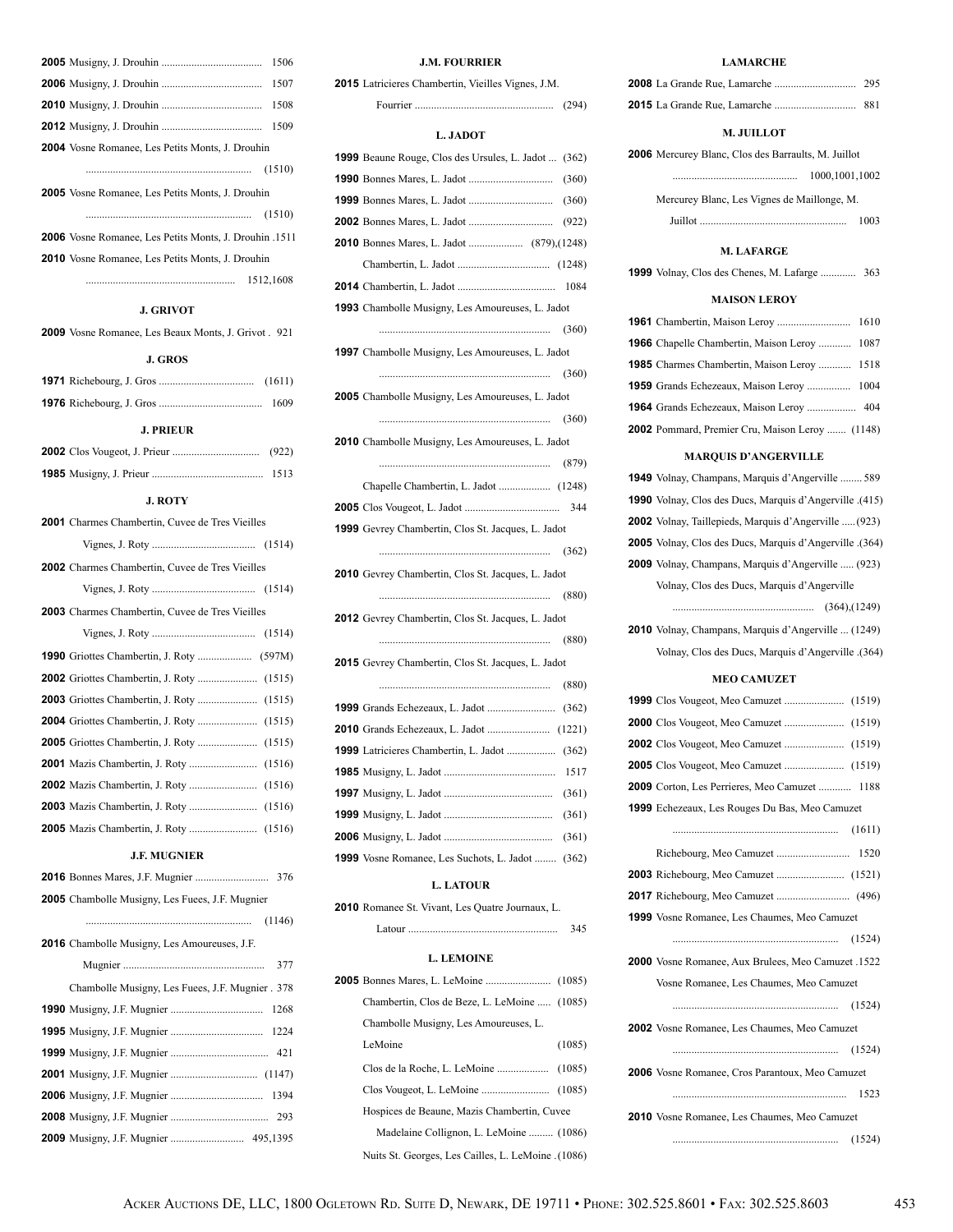| 1506                                                    |
|---------------------------------------------------------|
| 1507                                                    |
| 1508                                                    |
| 1509                                                    |
| <b>2004</b> Vosne Romanee, Les Petits Monts, J. Drouhin |
| (1510)                                                  |
| <b>2005</b> Vosne Romanee, Les Petits Monts, J. Drouhin |
| (1510)                                                  |
| 2006 Vosne Romanee, Les Petits Monts, J. Drouhin .1511  |
| <b>2010</b> Vosne Romanee, Les Petits Monts, J. Drouhin |
| 1512.1608                                               |

### **J. GRIVOT**

Vosne Romanee, Les Beaux Monts, J. Grivot . 921

### **J. GROS**

| <b>J. PRIEUR</b> |  |
|------------------|--|
|                  |  |
|                  |  |

#### **J. ROTY**

| <b>2001</b> Charmes Chambertin, Cuvee de Tres Vieilles |  |
|--------------------------------------------------------|--|
|                                                        |  |
| <b>2002</b> Charmes Chambertin, Cuvee de Tres Vieilles |  |
|                                                        |  |
| <b>2003</b> Charmes Chambertin, Cuvee de Tres Vieilles |  |
|                                                        |  |
|                                                        |  |
|                                                        |  |
|                                                        |  |
|                                                        |  |
|                                                        |  |
|                                                        |  |
|                                                        |  |
|                                                        |  |
|                                                        |  |
|                                                        |  |

## **J.F. MUGNIER**

| <b>2005</b> Chambolle Musigny, Les Fuees, J.F. Mugnier |
|--------------------------------------------------------|
|                                                        |
| <b>2016</b> Chambolle Musigny, Les Amoureuses, J.F.    |
| 377                                                    |
| Chambolle Musigny, Les Fuees, J.F. Mugnier. 378        |
|                                                        |
|                                                        |
|                                                        |
|                                                        |
|                                                        |
|                                                        |
|                                                        |

### **J.M. FOURRIER**

| Fourrier | (294) |
|----------|-------|
|----------|-------|

### **L. JADOT**

| 1999 Beaune Rouge, Clos des Ursules, L. Jadot  (362)      |
|-----------------------------------------------------------|
| (360)                                                     |
| (360)                                                     |
| (922)                                                     |
|                                                           |
|                                                           |
|                                                           |
| 1993 Chambolle Musigny, Les Amoureuses, L. Jadot          |
|                                                           |
| 1997 Chambolle Musigny, Les Amoureuses, L. Jadot          |
|                                                           |
| 2005 Chambolle Musigny, Les Amoureuses, L. Jadot          |
|                                                           |
| 2010 Chambolle Musigny, Les Amoureuses, L. Jadot          |
| (879)                                                     |
|                                                           |
|                                                           |
| <b>1999</b> Gevrey Chambertin, Clos St. Jacques, L. Jadot |
| (362)                                                     |
|                                                           |
| 2010 Gevrey Chambertin, Clos St. Jacques, L. Jadot        |
|                                                           |
| 2012 Gevrey Chambertin, Clos St. Jacques, L. Jadot        |
| (880)                                                     |
| 2015 Gevrey Chambertin, Clos St. Jacques, L. Jadot        |
|                                                           |
| (362)                                                     |
|                                                           |
| 1999 Latricieres Chambertin, L. Jadot  (362)              |
| 1517                                                      |
| (361)                                                     |
| (361)                                                     |
| (361)                                                     |
| 1999 Vosne Romanee, Les Suchots, L. Jadot<br>(362)        |

### **L. LATOUR**

|  | 2010 Romanee St. Vivant, Les Quatre Journaux, L. |  |  |  |  |  |
|--|--------------------------------------------------|--|--|--|--|--|
|--|--------------------------------------------------|--|--|--|--|--|

| Latour | 345 |
|--------|-----|
|--------|-----|

### **L. LEMOINE**

| Chambertin, Clos de Beze, L. LeMoine  (1085)       |        |
|----------------------------------------------------|--------|
| Chambolle Musigny, Les Amoureuses, L.              |        |
| LeMoine                                            | (1085) |
|                                                    |        |
|                                                    |        |
| Hospices de Beaune, Mazis Chambertin, Cuvee        |        |
| Madelaine Collignon, L. LeMoine  (1086)            |        |
| (1086). Nuits St. Georges, Les Cailles, L. LeMoine |        |

### **LAMARCHE**

|                                                            | 881  |  |
|------------------------------------------------------------|------|--|
| M. JUILLOT                                                 |      |  |
| <b>2006</b> Mercurey Blanc, Clos des Barraults, M. Juillot |      |  |
| 1000.1001.1002                                             |      |  |
| Mercurey Blanc, Les Vignes de Maillonge, M.                |      |  |
|                                                            | 1003 |  |
|                                                            |      |  |

### **M. LAFARGE**

Volnay, Clos des Chenes, M. Lafarge ............. 363

### **MAISON LEROY**

| <b>1966</b> Chapelle Chambertin, Maison Leroy  1087 |  |
|-----------------------------------------------------|--|
| <b>1985</b> Charmes Chambertin, Maison Leroy  1518  |  |
|                                                     |  |
|                                                     |  |
| 2002 Pommard, Premier Cru, Maison Leroy  (1148)     |  |

### **MARQUIS D'ANGERVILLE**

| MARQUIS D'ARGERVILLE                                     |
|----------------------------------------------------------|
| 1949 Volnay, Champans, Marquis d'Angerville  589         |
| 1990 Volnay, Clos des Ducs, Marquis d'Angerville .(415)  |
| 2002 Volnay, Taillepieds, Marquis d'Angerville  (923)    |
| 2005 Volnay, Clos des Ducs, Marquis d'Angerville . (364) |
| 2009 Volnay, Champans, Marquis d'Angerville  (923)       |
| Volnay, Clos des Ducs, Marquis d'Angerville              |
|                                                          |
| 2010 Volnay, Champans, Marquis d'Angerville  (1249)      |
| (364). Volnay, Clos des Ducs, Marquis d'Angerville       |
| <b>MEO CAMUZET</b>                                       |
|                                                          |
|                                                          |
|                                                          |
|                                                          |
| 2009 Corton, Les Perrieres, Meo Camuzet  1188            |
| 1999 Echezeaux, Les Rouges Du Bas, Meo Camuzet           |
|                                                          |
| 1520                                                     |
|                                                          |
|                                                          |
| <b>1999</b> Vosne Romanee, Les Chaumes, Meo Camuzet      |
| (1524)                                                   |
| 2000 Vosne Romanee, Aux Brulees, Meo Camuzet .1522       |
| Vosne Romanee, Les Chaumes, Meo Camuzet                  |
| (1524)                                                   |
| 2002 Vosne Romanee. Les Chaumes. Meo Camuzet             |

| <b>ZUUZ</b> VOSIIC KOMANCC, LCS CHAUMICS, IVICO CANIUZCI |        |
|----------------------------------------------------------|--------|
|                                                          | (1524) |
| <b>2006</b> Vosne Romanee, Cros Parantoux, Meo Camuzet   |        |
|                                                          | 1523   |
| <b>2010</b> Vosne Romanee. Les Chaumes. Meo Camuzet      |        |
|                                                          |        |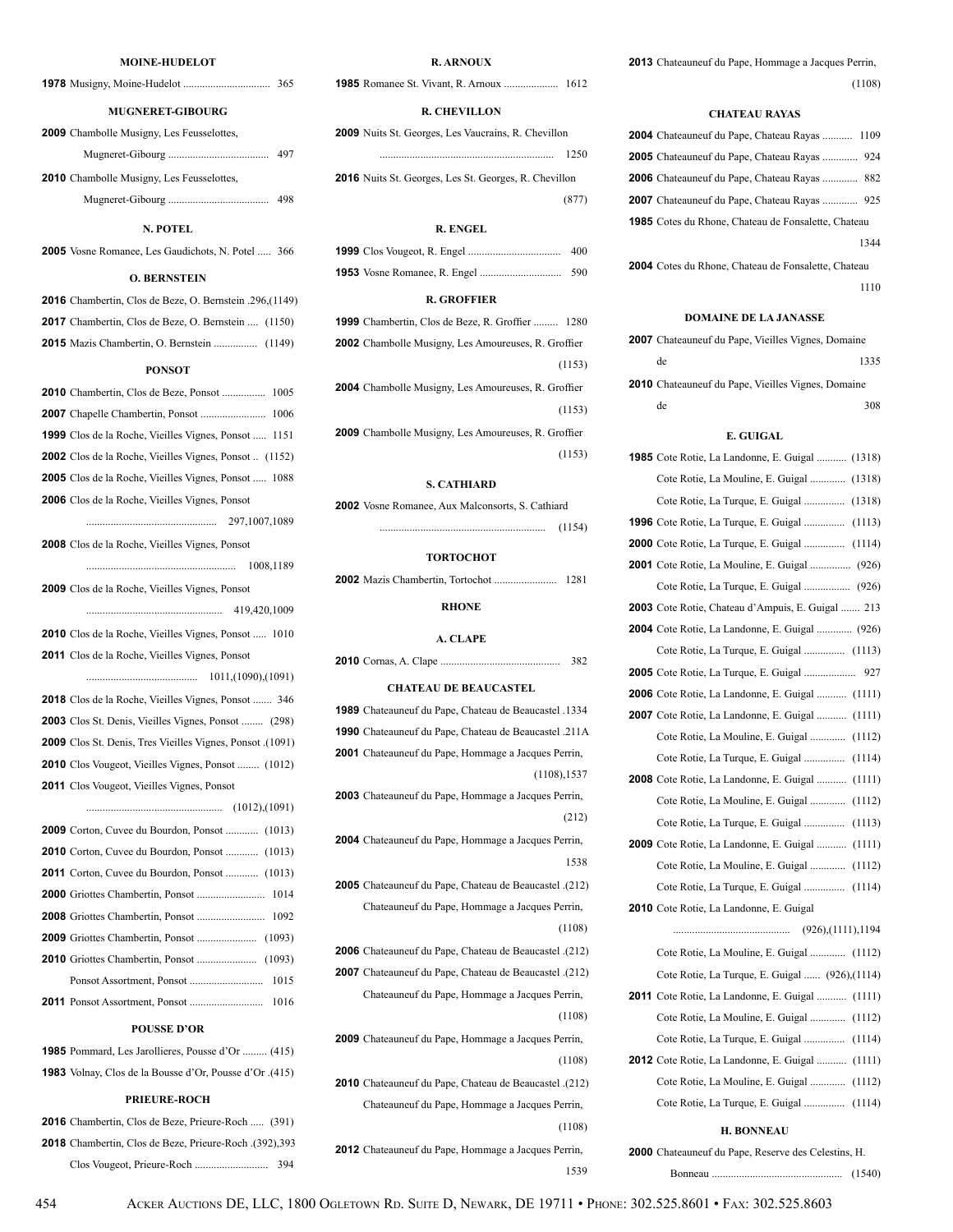#### **MOINE-HUDELOT**

**1978** Musigny, Moine-Hudelot ................................ 365

### **MUGNERET-GIBOURG**

| <b>2009</b> Chambolle Musigny, Les Feusselottes, |  |
|--------------------------------------------------|--|
|--------------------------------------------------|--|

|                                                  | 497 |
|--------------------------------------------------|-----|
| <b>2010</b> Chambolle Musigny, Les Feusselottes, |     |

| 498 |
|-----|
|-----|

### **N. POTEL**

**2005** Vosne Romanee, Les Gaudichots, N. Potel ..... 366

#### **O. BERNSTEIN**

| <b>POUSSE D'OR</b>                                           |
|--------------------------------------------------------------|
|                                                              |
|                                                              |
|                                                              |
|                                                              |
|                                                              |
|                                                              |
| <b>2011</b> Corton, Cuvee du Bourdon, Ponsot  (1013)         |
| 2010 Corton, Cuvee du Bourdon, Ponsot  (1013)                |
| <b>2009</b> Corton, Cuvee du Bourdon, Ponsot  (1013)         |
|                                                              |
| <b>2011</b> Clos Vougeot, Vieilles Vignes, Ponsot            |
| <b>2010</b> Clos Vougeot, Vieilles Vignes, Ponsot  (1012)    |
| 2009 Clos St. Denis, Tres Vieilles Vignes, Ponsot .(1091)    |
| <b>2003</b> Clos St. Denis, Vieilles Vignes, Ponsot  (298)   |
| 2018 Clos de la Roche, Vieilles Vignes, Ponsot  346          |
|                                                              |
| 2011 Clos de la Roche, Vieilles Vignes, Ponsot               |
| 2010 Clos de la Roche, Vieilles Vignes, Ponsot  1010         |
|                                                              |
| 2009 Clos de la Roche, Vieilles Vignes, Ponsot               |
|                                                              |
| 2008 Clos de la Roche, Vieilles Vignes, Ponsot               |
|                                                              |
| 2006 Clos de la Roche, Vieilles Vignes, Ponsot               |
| <b>2005</b> Clos de la Roche, Vieilles Vignes, Ponsot  1088  |
| <b>2002</b> Clos de la Roche, Vieilles Vignes, Ponsot (1152) |
| <b>1999</b> Clos de la Roche, Vieilles Vignes, Ponsot  1151  |
| 1006                                                         |
| 2010 Chambertin, Clos de Beze, Ponsot  1005                  |
| <b>PONSOT</b>                                                |
| <b>2015</b> Mazis Chambertin, O. Bernstein  (1149)           |
| <b>2017</b> Chambertin, Clos de Beze, O. Bernstein  (1150)   |
| 2016 Chambertin, Clos de Beze, O. Bernstein .296, (1149)     |
|                                                              |

| <b>1985</b> Pommard, Les Jarollieres, Pousse d'Or  (415) |  |
|----------------------------------------------------------|--|
| 1983 Volnay, Clos de la Bousse d'Or, Pousse d'Or. (415)  |  |

#### **PRIEURE-ROCH**

**2016** Chambertin, Clos de Beze, Prieure-Roch ..... (391) **2018** Chambertin, Clos de Beze, Prieure-Roch .(392),393 Clos Vougeot, Prieure-Roch ........................... 394

### **R. ARNOUX**

**1985** Romanee St. Vivant, R. Arnoux .................... 1612

### **R. CHEVILLON**

**2009** Nuits St. Georges, Les Vaucrains, R. Chevillon

**2016** Nuits St. Georges, Les St. Georges, R. Chevillon (877)

................................................................ 1250

#### **R. ENGEL**

|  | 400 |
|--|-----|
|  |     |

#### **R. GROFFIER**

| <b>1999</b> Chambertin, Clos de Beze, R. Groffier  1280 |
|---------------------------------------------------------|
| 2002 Chambolle Musigny, Les Amoureuses, R. Groffier     |
| (1153)                                                  |
| 2004 Chambolle Musigny, Les Amoureuses, R. Groffier     |
| (1153)                                                  |
| 2009 Chambolle Musigny, Les Amoureuses, R. Groffier     |
| (1153)                                                  |
|                                                         |

#### **S. CATHIARD**

| <b>2002</b> Vosne Romanee, Aux Malconsorts, S. Cathiard |        |  |
|---------------------------------------------------------|--------|--|
|                                                         | (1154) |  |

#### **TORTOCHOT**

**2002** Mazis Chambertin, Tortochot ....................... 1281

#### **RHONE**

#### **A. CLAPE**

|  | 382 |
|--|-----|
|--|-----|

#### **CHATEAU DE BEAUCASTEL**

- **1989** Chateauneuf du Pape, Chateau de Beaucastel .1334 **1990** Chateauneuf du Pape, Chateau de Beaucastel .211A
- **2001** Chateauneuf du Pape, Hommage a Jacques Perrin,

(1108),1537

- **2003** Chateauneuf du Pape, Hommage a Jacques Perrin, (212)
- **2004** Chateauneuf du Pape, Hommage a Jacques Perrin, <sup>1538</sup>
- **2005** Chateauneuf du Pape, Chateau de Beaucastel .(212) Chateauneuf du Pape, Hommage a Jacques Perrin, (1108)
- **2006** Chateauneuf du Pape, Chateau de Beaucastel .(212)
- **2007** Chateauneuf du Pape, Chateau de Beaucastel .(212) Chateauneuf du Pape, Hommage a Jacques Perrin, (1108)
- **2009** Chateauneuf du Pape, Hommage a Jacques Perrin, (1108)
- **2010** Chateauneuf du Pape, Chateau de Beaucastel .(212) Chateauneuf du Pape, Hommage a Jacques Perrin, (1108)
- **2012** Chateauneuf du Pape, Hommage a Jacques Perrin, <sup>1539</sup>

**2013** Chateauneuf du Pape, Hommage a Jacques Perrin, (1108)

#### **CHATEAU RAYAS**

| <b>2004</b> Chateauneuf du Pape, Chateau Rayas  1109 |      |
|------------------------------------------------------|------|
| 2005 Chateauneuf du Pape, Chateau Rayas  924         |      |
| <b>2006</b> Chateauneuf du Pape, Chateau Rayas  882  |      |
| <b>2007</b> Chateauneuf du Pape, Chateau Rayas  925  |      |
| 1985 Cotes du Rhone, Chateau de Fonsalette, Chateau  |      |
|                                                      | 1344 |
| 2004 Cotes du Rhone, Chateau de Fonsalette, Chateau  |      |
|                                                      | 1110 |

### **DOMAINE DE LA JANASSE**

| <b>2007</b> Chateauneuf du Pape, Vieilles Vignes, Domaine |      |
|-----------------------------------------------------------|------|
| de                                                        | 1335 |
| <b>2010</b> Chateauneuf du Pape, Vieilles Vignes, Domaine |      |
| de                                                        | 308  |

### **E. GUIGAL**

| <b>1985</b> Cote Rotie, La Landonne, E. Guigal  (1318) |  |
|--------------------------------------------------------|--|
| Cote Rotie, La Mouline, E. Guigal  (1318)              |  |
| Cote Rotie, La Turque, E. Guigal  (1318)               |  |
| <b>1996</b> Cote Rotie, La Turque, E. Guigal  (1113)   |  |
| <b>2000</b> Cote Rotie, La Turque, E. Guigal  (1114)   |  |
| <b>2001</b> Cote Rotie, La Mouline, E. Guigal  (926)   |  |
| Cote Rotie, La Turque, E. Guigal  (926)                |  |
| 2003 Cote Rotie, Chateau d'Ampuis, E. Guigal  213      |  |
| <b>2004</b> Cote Rotie, La Landonne, E. Guigal  (926)  |  |
| Cote Rotie, La Turque, E. Guigal  (1113)               |  |
|                                                        |  |
| 2006 Cote Rotie, La Landonne, E. Guigal  (1111)        |  |
| <b>2007</b> Cote Rotie, La Landonne, E. Guigal  (1111) |  |
| Cote Rotie, La Mouline, E. Guigal  (1112)              |  |
| Cote Rotie, La Turque, E. Guigal  (1114)               |  |
| 2008 Cote Rotie, La Landonne, E. Guigal  (1111)        |  |
| Cote Rotie, La Mouline, E. Guigal  (1112)              |  |
| Cote Rotie, La Turque, E. Guigal  (1113)               |  |
| 2009 Cote Rotie, La Landonne, E. Guigal  (1111)        |  |
| Cote Rotie, La Mouline, E. Guigal  (1112)              |  |
| Cote Rotie, La Turque, E. Guigal  (1114)               |  |
| 2010 Cote Rotie, La Landonne, E. Guigal                |  |
|                                                        |  |
| Cote Rotie, La Mouline, E. Guigal  (1112)              |  |
| Cote Rotie, La Turque, E. Guigal  (926),(1114)         |  |
| <b>2011</b> Cote Rotie, La Landonne, E. Guigal  (1111) |  |
| Cote Rotie, La Mouline, E. Guigal  (1112)              |  |
| Cote Rotie, La Turque, E. Guigal  (1114)               |  |
| <b>2012</b> Cote Rotie, La Landonne, E. Guigal  (1111) |  |
| Cote Rotie, La Mouline, E. Guigal  (1112)              |  |
| Cote Rotie, La Turque, E. Guigal  (1114)               |  |
|                                                        |  |

### **H. BONNEAU**

| 2000 Chateauneuf du Pape, Reserve des Celestins, H. |  |
|-----------------------------------------------------|--|
|                                                     |  |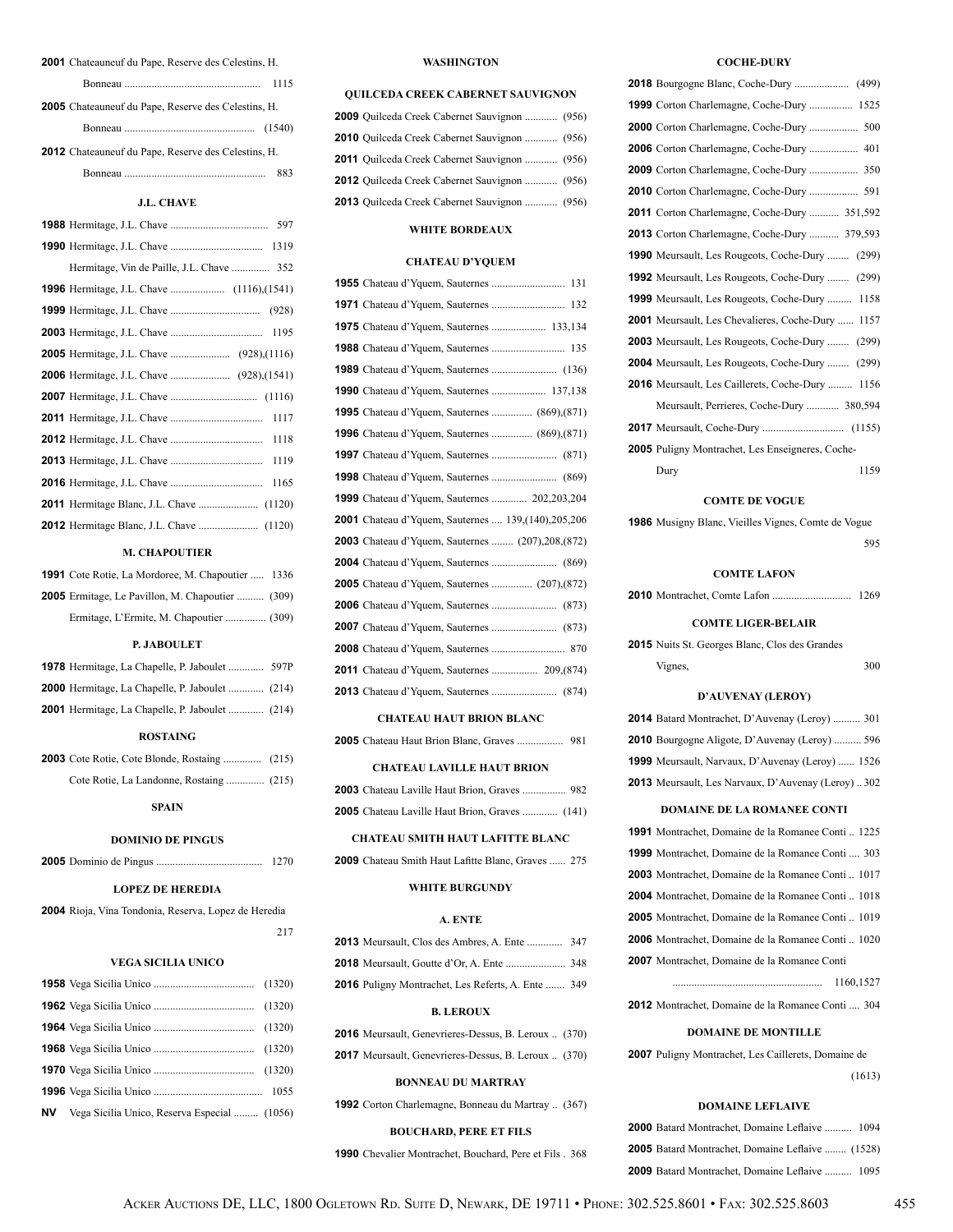| <b>2001</b> Chateauneuf du Pape, Reserve des Celestins, H. |      |
|------------------------------------------------------------|------|
|                                                            | 1115 |
| <b>2005</b> Chateauneuf du Pape, Reserve des Celestins, H. |      |
|                                                            |      |
| <b>2012</b> Chateauneuf du Pape, Reserve des Celestins, H. |      |
|                                                            | 883  |

### **J.L. CHAVE**

| 1117 |
|------|
| 1118 |
| 1119 |
| 1165 |
|      |
|      |

### **M. CHAPOUTIER**

| <b>1991</b> Cote Rotie, La Mordoree, M. Chapoutier  1336 |  |
|----------------------------------------------------------|--|
| <b>2005</b> Ermitage, Le Pavillon, M. Chapoutier  (309)  |  |
| Ermitage, L'Ermite, M. Chapoutier  (309)                 |  |

### **P. JABOULET**

| <b>1978</b> Hermitage, La Chapelle, P. Jaboulet  597P  |  |
|--------------------------------------------------------|--|
| <b>2000</b> Hermitage, La Chapelle, P. Jaboulet  (214) |  |
| <b>2001</b> Hermitage, La Chapelle, P. Jaboulet  (214) |  |

### **ROSTAING**

### **SPAIN**

### **DOMINIO DE PINGUS**

|  | 1270 |  |
|--|------|--|
|--|------|--|

### **LOPEZ DE HEREDIA**

 Rioja, Vina Tondonia, Reserva, Lopez de Heredia <sup>217</sup>

#### **VEGA SICILIA UNICO**

| <b>NV</b> Vega Sicilia Unico, Reserva Especial  (1056) |  |
|--------------------------------------------------------|--|

#### **WASHINGTON**

#### **QUILCEDA CREEK CABERNET SAUVIGNON**

| 2009 Quilceda Creek Cabernet Sauvignon  (956)        |  |
|------------------------------------------------------|--|
| 2010 Quilceda Creek Cabernet Sauvignon  (956)        |  |
| <b>2011</b> Quilceda Creek Cabernet Sauvignon  (956) |  |
| 2012 Ouilceda Creek Cabernet Sauvignon  (956)        |  |
| 2013 Quilceda Creek Cabernet Sauvignon  (956)        |  |

### **WHITE BORDEAUX**

### **CHATEAU D'YQUEM**

| <b>1955</b> Chateau d'Yquem, Sauternes  131                  |
|--------------------------------------------------------------|
|                                                              |
|                                                              |
|                                                              |
|                                                              |
|                                                              |
| <b>1995</b> Chateau d'Yquem, Sauternes  (869), (871)         |
| <b>1996</b> Chateau d'Yquem, Sauternes  (869), (871)         |
|                                                              |
|                                                              |
| <b>1999</b> Chateau d'Yquem, Sauternes  202,203,204          |
| <b>2001</b> Chateau d'Yquem, Sauternes  139, (140), 205, 206 |
| <b>2003</b> Chateau d'Yquem, Sauternes  (207), 208, (872)    |
|                                                              |
| <b>2005</b> Chateau d'Yquem, Sauternes  (207), (872)         |
|                                                              |
|                                                              |
|                                                              |
| <b>2011</b> Chateau d'Yquem, Sauternes  209, (874)           |
|                                                              |
|                                                              |

#### **CHATEAU HAUT BRION BLANC**

Chateau Haut Brion Blanc, Graves ................. 981

### **CHATEAU LAVILLE HAUT BRION**

| <b>2003</b> Chateau Laville Haut Brion, Graves  982   |  |
|-------------------------------------------------------|--|
| <b>2005</b> Chateau Laville Haut Brion, Graves  (141) |  |

### **CHATEAU SMITH HAUT LAFITTE BLANC**

Chateau Smith Haut Lafitte Blanc, Graves ...... 275

### **WHITE BURGUNDY**

#### **A. ENTE**

| <b>2013</b> Meursault, Clos des Ambres, A. Ente  347      |  |
|-----------------------------------------------------------|--|
|                                                           |  |
| <b>2016</b> Puligny Montrachet, Les Referts, A. Ente  349 |  |

#### **B. LEROUX**

|  | <b>2016</b> Meursault, Genevrieres-Dessus, B. Leroux  (370) |  |  |
|--|-------------------------------------------------------------|--|--|
|  | <b>2017</b> Meursault, Genevrieres-Dessus, B. Leroux  (370) |  |  |

#### **BONNEAU DU MARTRAY**

|  |  | <b>1992</b> Corton Charlemagne, Bonneau du Martray  (367) |  |  |  |  |  |  |
|--|--|-----------------------------------------------------------|--|--|--|--|--|--|
|--|--|-----------------------------------------------------------|--|--|--|--|--|--|

### **BOUCHARD, PERE ET FILS**

Chevalier Montrachet, Bouchard, Pere et Fils . 368

### **COCHE-DURY**

| 1999 Corton Charlemagne, Coche-Dury  1525              |
|--------------------------------------------------------|
|                                                        |
|                                                        |
|                                                        |
|                                                        |
| <b>2011</b> Corton Charlemagne, Coche-Dury  351,592    |
| <b>2013</b> Corton Charlemagne, Coche-Dury  379,593    |
| <b>1990</b> Meursault, Les Rougeots, Coche-Dury  (299) |
| <b>1992</b> Meursault, Les Rougeots, Coche-Dury  (299) |
| <b>1999</b> Meursault, Les Rougeots, Coche-Dury  1158  |
| 2001 Meursault, Les Chevalieres, Coche-Dury  1157      |
| <b>2003</b> Meursault, Les Rougeots, Coche-Dury  (299) |
| <b>2004</b> Meursault, Les Rougeots, Coche-Dury  (299) |
| 2016 Meursault, Les Caillerets, Coche-Dury  1156       |
| Meursault, Perrieres, Coche-Dury  380,594              |
|                                                        |
| 2005 Puligny Montrachet, Les Enseigneres, Coche-       |
| Dury<br>1159                                           |
|                                                        |

#### **COMTE DE VOGUE**

 Musigny Blanc, Vieilles Vignes, Comte de Vogue <sup>595</sup>

### **COMTE LAFON**

Montrachet, Comte Lafon ............................. 1269

### **COMTE LIGER-BELAIR**

 Nuits St. Georges Blanc, Clos des Grandes Vignes, 300

### **D'AUVENAY (LEROY)**

| <b>2014</b> Batard Montrachet, D'Auvenay (Leroy)  301   |  |
|---------------------------------------------------------|--|
| <b>2010</b> Bourgogne Aligote, D'Auvenay (Leroy)  596   |  |
| <b>1999</b> Meursault, Narvaux, D'Auvenay (Leroy)  1526 |  |
| 2013 Meursault, Les Narvaux, D'Auvenay (Leroy)302       |  |

#### **DOMAINE DE LA ROMANEE CONTI**

| 1991 Montrachet, Domaine de la Romanee Conti 1225         |  |
|-----------------------------------------------------------|--|
| <b>1999</b> Montrachet, Domaine de la Romanee Conti  303  |  |
| <b>2003</b> Montrachet, Domaine de la Romanee Conti  1017 |  |
| <b>2004</b> Montrachet, Domaine de la Romanee Conti  1018 |  |
| <b>2005</b> Montrachet, Domaine de la Romanee Conti  1019 |  |
| <b>2006</b> Montrachet, Domaine de la Romanee Conti  1020 |  |
| <b>2007</b> Montrachet, Domaine de la Romanee Conti       |  |
| 1160,1527                                                 |  |

Montrachet, Domaine de la Romanee Conti .... 304

### **DOMAINE DE MONTILLE**

 Puligny Montrachet, Les Caillerets, Domaine de (1613)

# **DOMAINE LEFLAIVE**

| <b>2000</b> Batard Montrachet, Domaine Leflaive  1094   |  |
|---------------------------------------------------------|--|
| <b>2005</b> Batard Montrachet, Domaine Leflaive  (1528) |  |
| 2009 Batard Montrachet, Domaine Leflaive  1095          |  |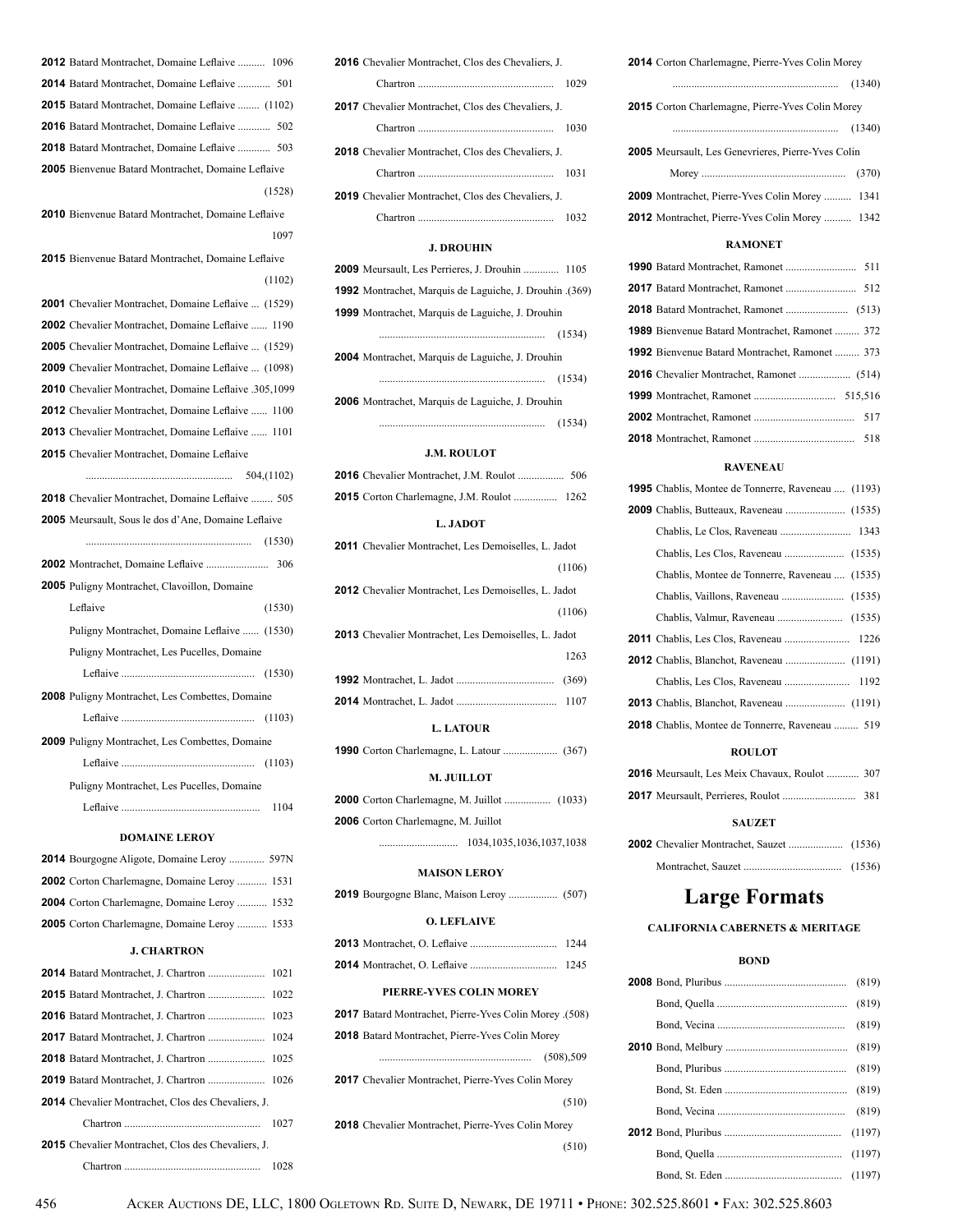| <b>2015</b> Batard Montrachet, Domaine Leflaive  (1102)    |        |
|------------------------------------------------------------|--------|
| <b>2016</b> Batard Montrachet, Domaine Leflaive  502       |        |
| <b>2018</b> Batard Montrachet, Domaine Leflaive  503       |        |
| <b>2005</b> Bienvenue Batard Montrachet, Domaine Leflaive  |        |
|                                                            | (1528) |
| <b>2010</b> Bienvenue Batard Montrachet, Domaine Leflaive  |        |
|                                                            | 1097   |
| <b>2015</b> Bienvenue Batard Montrachet, Domaine Leflaive  |        |
|                                                            | (1102) |
| 2001 Chevalier Montrachet, Domaine Leflaive  (1529)        |        |
| 2002 Chevalier Montrachet, Domaine Leflaive  1190          |        |
| <b>2005</b> Chevalier Montrachet, Domaine Leflaive  (1529) |        |
| <b>2009</b> Chevalier Montrachet, Domaine Leflaive  (1098) |        |
| 2010 Chevalier Montrachet, Domaine Leflaive .305,1099      |        |
| <b>2012</b> Chevalier Montrachet, Domaine Leflaive  1100   |        |
| <b>2013</b> Chevalier Montrachet, Domaine Leflaive  1101   |        |
| 2015 Chevalier Montrachet, Domaine Leflaive                |        |
|                                                            |        |
| 2018 Chevalier Montrachet, Domaine Leflaive  505           |        |
| <b>2005</b> Meursault, Sous le dos d'Ane, Domaine Leflaive |        |
|                                                            |        |
|                                                            |        |
| <b>2005</b> Puligny Montrachet, Clavoillon, Domaine        |        |
| Leflaive                                                   | (1530) |
| Puligny Montrachet, Domaine Leflaive  (1530)               |        |
| Puligny Montrachet, Les Pucelles, Domaine                  |        |
|                                                            |        |
| 2008 Puligny Montrachet, Les Combettes, Domaine            |        |
|                                                            |        |
| <b>2009</b> Puligny Montrachet, Les Combettes, Domaine     |        |
|                                                            |        |
| Puligny Montrachet, Les Pucelles, Domaine                  |        |
|                                                            | 1104   |
|                                                            |        |
| <b>DOMAINE LEROY</b>                                       |        |
| 2014 Bourgogne Aligote, Domaine Leroy  597N                |        |
| <b>2002</b> Corton Charlemagne, Domaine Leroy  1531        |        |
| 2004 Corton Charlemagne, Domaine Leroy  1532               |        |
| <b>2005</b> Corton Charlemagne, Domaine Leroy  1533        |        |
| <b>J. CHARTRON</b>                                         |        |
|                                                            | 1021   |
|                                                            | 1022   |
|                                                            |        |
|                                                            |        |
| <b>2018</b> Batard Montrachet, J. Chartron                 | 1025   |
|                                                            |        |
| <b>2014</b> Chevalier Montrachet, Clos des Chevaliers, J.  |        |
|                                                            | 1027   |
| <b>2015</b> Chevalier Montrachet, Clos des Chevaliers, J.  |        |
|                                                            | 1028   |
| ACKER AUCTIONS DE. LLC. 1<br>456                           |        |

**2012** Batard Montrachet, Domaine Leflaive .......... 1096 **2014** Batard Montrachet, Domaine Leflaive ............ 501

| 2016 Chevalier Montrachet, Clos des Chevaliers, J.        |      |
|-----------------------------------------------------------|------|
|                                                           | 1029 |
| <b>2017</b> Chevalier Montrachet. Clos des Chevaliers. J. |      |
|                                                           | 1030 |
| <b>2018</b> Chevalier Montrachet, Clos des Chevaliers, J. |      |
| Chartron                                                  | 1031 |
| <b>2019</b> Chevalier Montrachet, Clos des Chevaliers, J. |      |
|                                                           |      |

### **J. DROUHIN**

| <b>2009</b> Meursault, Les Perrieres, J. Drouhin  1105   |        |
|----------------------------------------------------------|--------|
| 1992 Montrachet, Marquis de Laguiche, J. Drouhin . (369) |        |
| 1999 Montrachet, Marquis de Laguiche, J. Drouhin         |        |
|                                                          |        |
| <b>2004</b> Montrachet, Marquis de Laguiche, J. Drouhin  |        |
|                                                          | (1534) |
| <b>2006</b> Montrachet, Marquis de Laguiche, J. Drouhin  |        |
|                                                          | (1534) |

### **J.M. ROULOT**

### **L. JADOT**

| <b>2011</b> Chevalier Montrachet, Les Demoiselles, L. Jadot |
|-------------------------------------------------------------|
| (1106)                                                      |
| <b>2012</b> Chevalier Montrachet, Les Demoiselles, L. Jadot |
| (1106)                                                      |
| <b>2013</b> Chevalier Montrachet, Les Demoiselles, L. Jadot |
| 1263                                                        |
|                                                             |
| 1107                                                        |
|                                                             |

### **L. LATOUR**

|--|--|--|--|--|--|

#### **M. JUILLOT**

| 2006 Corton Charlemagne, M. Juillot |  |
|-------------------------------------|--|

............................. 1034,1035,1036,1037,1038

### **MAISON LEROY**

|--|--|--|--|--|--|--|--|

### **O. LEFLAIVE**

### **PIERRE-YVES COLIN MOREY**

| 2017 Batard Montrachet, Pierre-Yves Colin Morey (508)     |            |
|-----------------------------------------------------------|------------|
| <b>2018</b> Batard Montrachet, Pierre-Yves Colin Morey    |            |
|                                                           | (508), 509 |
| <b>2017</b> Chevalier Montrachet, Pierre-Yves Colin Morey |            |
|                                                           | (510)      |
|                                                           |            |

**2018** Chevalier Montrachet, Pierre-Yves Colin Morey (510)

| <b>2014</b> Corton Charlemagne, Pierre-Yves Colin Morey |  |
|---------------------------------------------------------|--|
|                                                         |  |
| 2015 Corton Charlemagne, Pierre-Yves Colin Morey        |  |
|                                                         |  |
| 2005 Meursault, Les Genevrieres, Pierre-Yves Colin      |  |
|                                                         |  |
| <b>2009</b> Montrachet, Pierre-Yves Colin Morey  1341   |  |
| <b>2012</b> Montrachet, Pierre-Yves Colin Morey  1342   |  |
|                                                         |  |

### **RAMONET**

| <b>1989</b> Bienvenue Batard Montrachet, Ramonet  372 |  |
|-------------------------------------------------------|--|
| <b>1992</b> Bienvenue Batard Montrachet, Ramonet  373 |  |
|                                                       |  |
|                                                       |  |
|                                                       |  |
|                                                       |  |

### **RAVENEAU**

| <b>1995</b> Chablis, Montee de Tonnerre, Raveneau  (1193) |  |
|-----------------------------------------------------------|--|
|                                                           |  |
|                                                           |  |
|                                                           |  |
| Chablis, Montee de Tonnerre, Raveneau  (1535)             |  |
|                                                           |  |
|                                                           |  |
|                                                           |  |
|                                                           |  |
|                                                           |  |
|                                                           |  |
| <b>2018</b> Chablis, Montee de Tonnerre, Raveneau  519    |  |
|                                                           |  |

### **ROULOT**

| <b>2016</b> Meursault, Les Meix Chavaux, Roulot  307 |  |
|------------------------------------------------------|--|
|                                                      |  |
|                                                      |  |

### **SAUZET**

# **Large Formats**

### **CALIFORNIA CABERNETS & MERITAGE**

### **BOND**

1800 Ogletown Rd. Suite D, Newark, DE 19711 • Phone: 302.525.8601 • Fax: 302.525.8603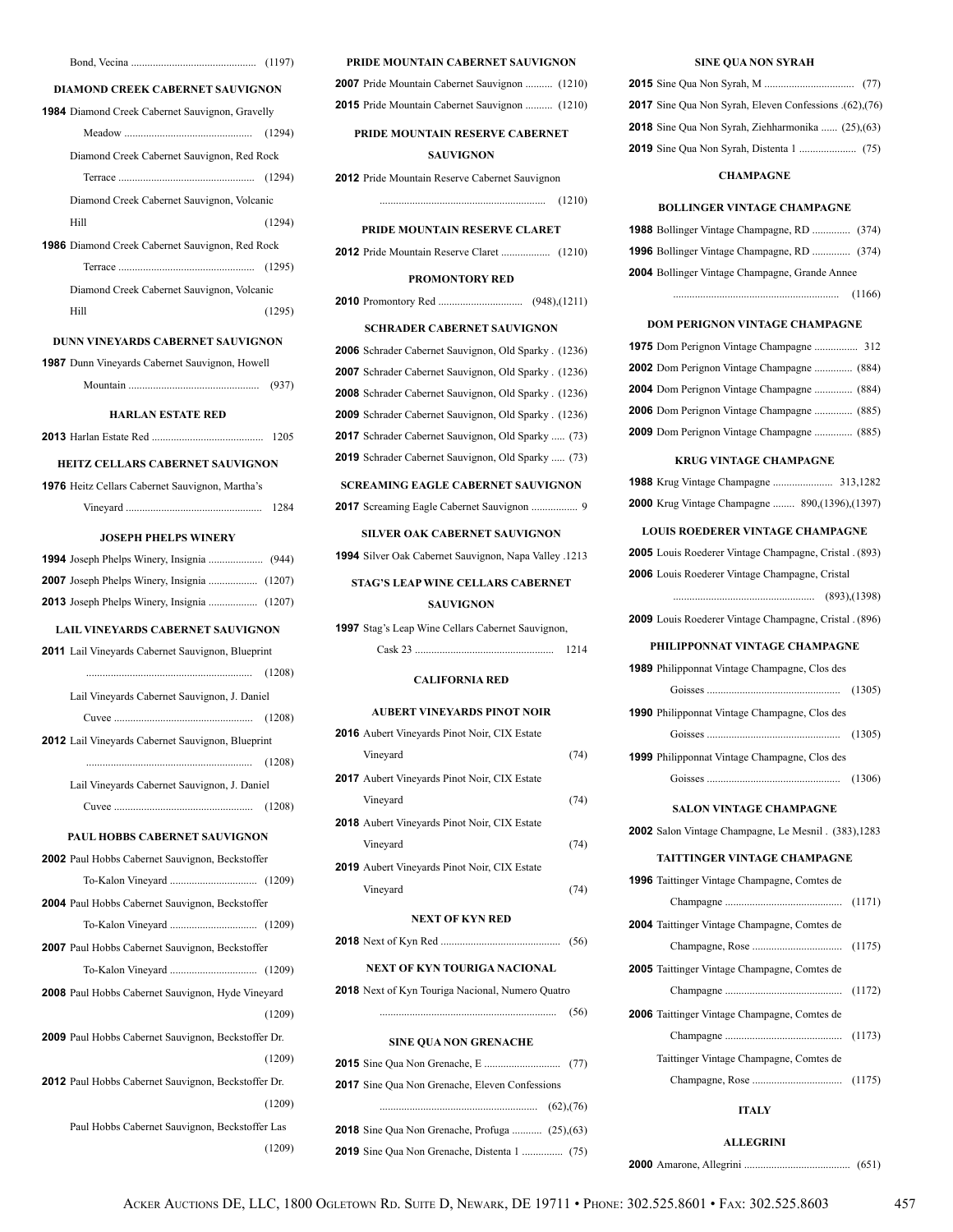| <b>DIAMOND CREEK CABERNET SAUVIGNON</b>                    |
|------------------------------------------------------------|
| <b>1984</b> Diamond Creek Cabernet Sauvignon, Gravelly     |
|                                                            |
| Diamond Creek Cabernet Sauvignon, Red Rock                 |
|                                                            |
| Diamond Creek Cabernet Sauvignon, Volcanic                 |
| Hill<br>(1294)                                             |
| 1986 Diamond Creek Cabernet Sauvignon, Red Rock            |
|                                                            |
| Diamond Creek Cabernet Sauvignon, Volcanic                 |
| (1295)<br>Hill                                             |
| DUNN VINEYARDS CABERNET SAUVIGNON                          |
| <b>1987</b> Dunn Vineyards Cabernet Sauvignon, Howell      |
|                                                            |
|                                                            |
| <b>HARLAN ESTATE RED</b>                                   |
| 1205                                                       |
| <b>HEITZ CELLARS CABERNET SAUVIGNON</b>                    |
| 1976 Heitz Cellars Cabernet Sauvignon, Martha's            |
|                                                            |
| <b>JOSEPH PHELPS WINERY</b>                                |
|                                                            |
|                                                            |
| 2007 Joseph Phelps Winery, Insignia  (1207)                |
| 2013 Joseph Phelps Winery, Insignia  (1207)                |
| LAIL VINEYARDS CABERNET SAUVIGNON                          |
| 2011 Lail Vineyards Cabernet Sauvignon, Blueprint          |
|                                                            |
|                                                            |
| Lail Vineyards Cabernet Sauvignon, J. Daniel               |
|                                                            |
| 2012 Lail Vineyards Cabernet Sauvignon, Blueprint          |
|                                                            |
| Lail Vineyards Cabernet Sauvignon, J. Daniel               |
|                                                            |
| PAUL HOBBS CABERNET SAUVIGNON                              |
| <b>2002</b> Paul Hobbs Cabernet Sauvignon, Beckstoffer     |
|                                                            |
| 2004 Paul Hobbs Cabernet Sauvignon, Beckstoffer            |
|                                                            |
|                                                            |
| 2007 Paul Hobbs Cabernet Sauvignon, Beckstoffer            |
|                                                            |
| <b>2008</b> Paul Hobbs Cabernet Sauvignon, Hyde Vineyard   |
| (1209)                                                     |
| <b>2009</b> Paul Hobbs Cabernet Sauvignon, Beckstoffer Dr. |
| (1209)                                                     |
| <b>2012</b> Paul Hobbs Cabernet Sauvignon, Beckstoffer Dr. |
| (1209)                                                     |
| Paul Hobbs Cabernet Sauvignon, Beckstoffer Las             |
| (1209)                                                     |

### **PRIDE MOUNTAIN CABERNET SAUVIGNON**

| <b>2007</b> Pride Mountain Cabernet Sauvignon  (1210) |  |
|-------------------------------------------------------|--|
| <b>2015</b> Pride Mountain Cabernet Sauvignon  (1210) |  |

### **PRIDE MOUNTAIN RESERVE CABERNET SAUVIGNON**

**2012** Pride Mountain Reserve Cabernet Sauvignon

............................................................. (1210)

### **PRIDE MOUNTAIN RESERVE CLARET**

**2012** Pride Mountain Reserve Claret .................. (1210)

#### **PROMONTORY RED**

**2010** Promontory Red ............................... (948),(1211)

#### **SCHRADER CABERNET SAUVIGNON**

 Schrader Cabernet Sauvignon, Old Sparky . (1236) Schrader Cabernet Sauvignon, Old Sparky . (1236) Schrader Cabernet Sauvignon, Old Sparky . (1236) Schrader Cabernet Sauvignon, Old Sparky . (1236) Schrader Cabernet Sauvignon, Old Sparky ..... (73) Schrader Cabernet Sauvignon, Old Sparky ..... (73)

#### **SCREAMING EAGLE CABERNET SAUVIGNON**

**2017** Screaming Eagle Cabernet Sauvignon ................. 9

#### **SILVER OAK CABERNET SAUVIGNON**

**1994** Silver Oak Cabernet Sauvignon, Napa Valley .1213

### **STAG'S LEAP WINE CELLARS CABERNET**

### **SAUVIGNON**

| <b>1997</b> Stag's Leap Wine Cellars Cabernet Sauvignon, |      |  |
|----------------------------------------------------------|------|--|
|                                                          | 1214 |  |
| <b>CALIFORNIA RED</b>                                    |      |  |
| <b>AUBERT VINEYARDS PINOT NOIR</b>                       |      |  |
| <b>2016</b> Aubert Vinevards Pinot Noir, CIX Estate      |      |  |

| <b>NEXT OF KYN RED</b> |                                                     |      |
|------------------------|-----------------------------------------------------|------|
|                        | Vineyard                                            | (74) |
|                        | <b>2019</b> Aubert Vineyards Pinot Noir, CIX Estate |      |
|                        | Vinevard                                            | (74) |
|                        | <b>2018</b> Aubert Vineyards Pinot Noir, CIX Estate |      |
|                        | Vineyard                                            | (74) |
|                        | <b>2017</b> Aubert Vineyards Pinot Noir, CIX Estate |      |
|                        | Vinevard                                            | (74) |

|  | (56) |  |
|--|------|--|
|--|------|--|

### **NEXT OF KYN TOURIGA NACIONAL**

**2018** Next of Kyn Touriga Nacional, Numero Quatro

................................................................. (56)

#### **SINE QUA NON GRENACHE**

| 2017 Sine Oua Non Grenache, Eleven Confessions         |  |
|--------------------------------------------------------|--|
|                                                        |  |
| <b>2018</b> Sine Qua Non Grenache, Profuga  (25), (63) |  |
|                                                        |  |

#### **SINE QUA NON SYRAH**

| 2017 Sine Qua Non Syrah, Eleven Confessions (62), (76)    |  |
|-----------------------------------------------------------|--|
| <b>2018</b> Sine Qua Non Syrah, Ziehharmonika  (25), (63) |  |
|                                                           |  |

#### **CHAMPAGNE**

#### **BOLLINGER VINTAGE CHAMPAGNE**

| <b>1988</b> Bollinger Vintage Champagne, RD  (374)    |        |
|-------------------------------------------------------|--------|
| <b>1996</b> Bollinger Vintage Champagne, RD  (374)    |        |
| <b>2004</b> Bollinger Vintage Champagne, Grande Annee |        |
|                                                       | (1166) |
|                                                       |        |

#### **DOM PERIGNON VINTAGE CHAMPAGNE**

| 1975 Dom Perignon Vintage Champagne  312          |  |
|---------------------------------------------------|--|
| <b>2002</b> Dom Perignon Vintage Champagne  (884) |  |
| 2004 Dom Perignon Vintage Champagne  (884)        |  |
| <b>2006</b> Dom Perignon Vintage Champagne  (885) |  |
| 2009 Dom Perignon Vintage Champagne  (885)        |  |

#### **KRUG VINTAGE CHAMPAGNE**

| <b>2000</b> Krug Vintage Champagne  890, (1396), (1397) |  |
|---------------------------------------------------------|--|

### **LOUIS ROEDERER VINTAGE CHAMPAGNE**

| 2005 Louis Roederer Vintage Champagne, Cristal . (893) |  |
|--------------------------------------------------------|--|
| 2006 Louis Roederer Vintage Champagne, Cristal         |  |
|                                                        |  |
| 2009 Louis Roederer Vintage Champagne, Cristal . (896) |  |
| PHILIPPONNAT VINTAGE CHAMPAGNE                         |  |
| <b>1989</b> Philipponnat Vintage Champagne, Clos des   |  |
| (1305)                                                 |  |
| <b>1990</b> Philipponnat Vintage Champagne, Clos des   |  |
|                                                        |  |
| <b>1999</b> Philipponnat Vintage Champagne, Clos des   |  |

Goisses ................................................. (1306)

#### **SALON VINTAGE CHAMPAGNE**

**2002** Salon Vintage Champagne, Le Mesnil . (383),1283

#### **TAITTINGER VINTAGE CHAMPAGNE**

| <b>1996</b> Taittinger Vintage Champagne, Comtes de |  |
|-----------------------------------------------------|--|
|                                                     |  |
| <b>2004</b> Taittinger Vintage Champagne, Comtes de |  |
|                                                     |  |
| <b>2005</b> Taittinger Vintage Champagne, Comtes de |  |
|                                                     |  |
| 2006 Taittinger Vintage Champagne, Comtes de        |  |
|                                                     |  |
| Taittinger Vintage Champagne, Comtes de             |  |
|                                                     |  |
|                                                     |  |

#### **ITALY**

**ALLEGRINI**

**2000** Amarone, Allegrini ....................................... (651)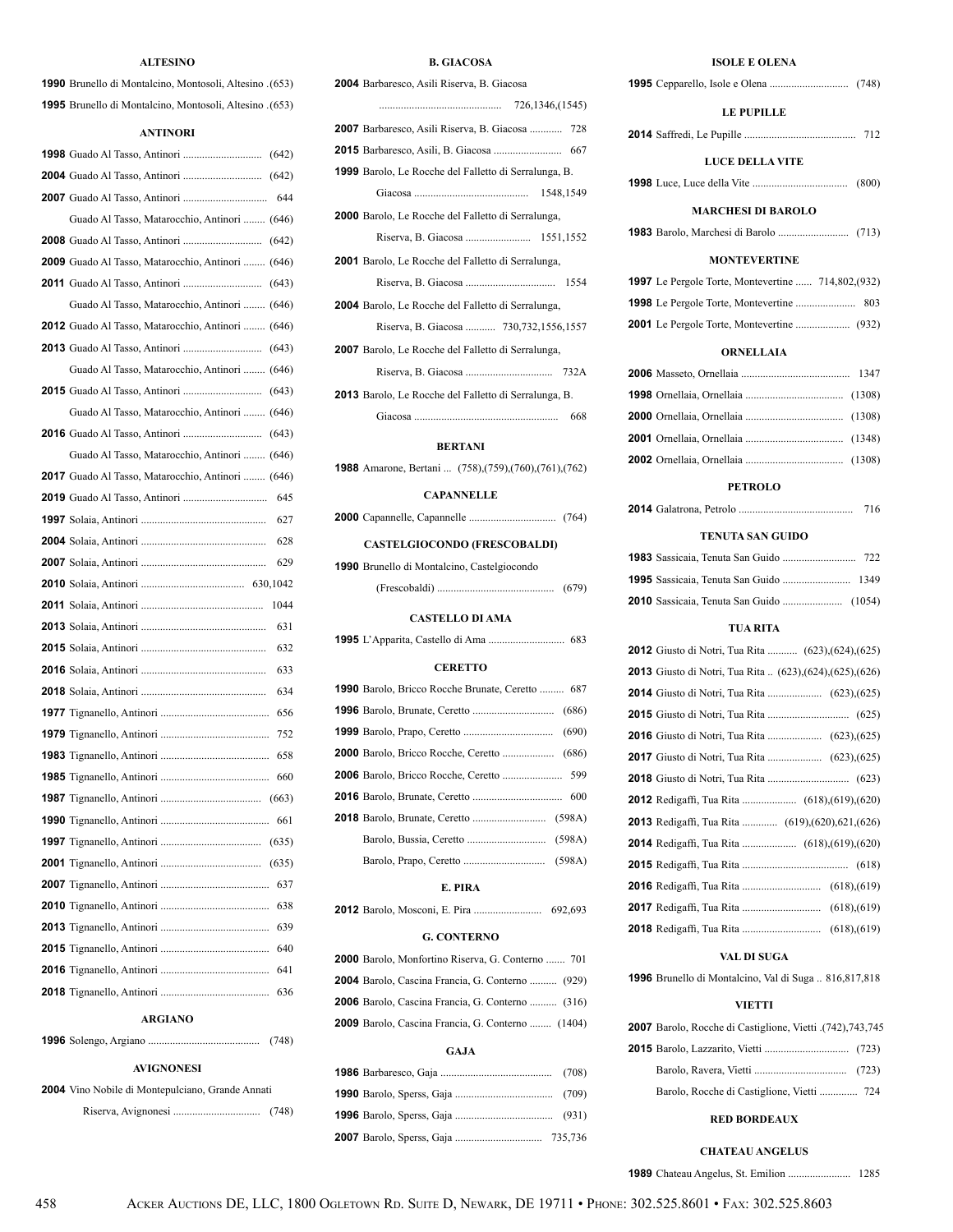### **ALTESINO**

| 1990 Brunello di Montalcino, Montosoli, Altesino . (653) |  |
|----------------------------------------------------------|--|
| 1995 Brunello di Montalcino, Montosoli, Altesino . (653) |  |

### **ANTINORI**

| Guado Al Tasso, Matarocchio, Antinori  (646)      |
|---------------------------------------------------|
|                                                   |
| 2009 Guado Al Tasso, Matarocchio, Antinori  (646) |
|                                                   |
| Guado Al Tasso, Matarocchio, Antinori  (646)      |
| 2012 Guado Al Tasso, Matarocchio, Antinori  (646) |
|                                                   |
| Guado Al Tasso, Matarocchio, Antinori  (646)      |
|                                                   |
| Guado Al Tasso, Matarocchio, Antinori  (646)      |
|                                                   |
| Guado Al Tasso, Matarocchio, Antinori  (646)      |
| 2017 Guado Al Tasso, Matarocchio, Antinori  (646) |
|                                                   |
|                                                   |
|                                                   |
| 629                                               |
|                                                   |
| 1044                                              |
| 631                                               |
| 632                                               |
| 633                                               |
| 634                                               |
|                                                   |
|                                                   |
|                                                   |
|                                                   |
|                                                   |
|                                                   |
|                                                   |
|                                                   |
| 637                                               |
| 638                                               |
| 639                                               |
| 640                                               |
| 641                                               |
| 636                                               |
| <b>ARGIANO</b>                                    |
| 1996 Solengo Argiano<br>(748)                     |

|  | (748 |
|--|------|
|  |      |

### **AVIGNONESI**

 Vino Nobile di Montepulciano, Grande Annati Riserva, Avignonesi ................................ (748)

### **B. GIACOSA**

| 2004 Barbaresco, Asili Riserva, B. Giacosa                   |
|--------------------------------------------------------------|
|                                                              |
| 2007 Barbaresco, Asili Riserva, B. Giacosa  728              |
|                                                              |
| <b>1999</b> Barolo, Le Rocche del Falletto di Serralunga, B. |
| 1548,1549                                                    |
| <b>2000</b> Barolo, Le Rocche del Falletto di Serralunga,    |
|                                                              |
| <b>2001</b> Barolo, Le Rocche del Falletto di Serralunga,    |
| 1554                                                         |
| <b>2004</b> Barolo, Le Rocche del Falletto di Serralunga,    |
| Riserva, B. Giacosa  730,732,1556,1557                       |
| <b>2007</b> Barolo, Le Rocche del Falletto di Serralunga,    |
| 732A                                                         |
| <b>2013</b> Barolo, Le Rocche del Falletto di Serralunga, B. |
| 668                                                          |
|                                                              |

### **BERTANI**

Amarone, Bertani ... (758),(759),(760),(761),(762)

#### **CAPANNELLE**

|  |  |  | (764) |
|--|--|--|-------|
|--|--|--|-------|

### **CASTELGIOCONDO (FRESCOBALDI)**

| 1990 Brunello di Montalcino, Castelgiocondo |       |  |
|---------------------------------------------|-------|--|
|                                             | (679) |  |

### **CASTELLO DI AMA**

|  |  |  |  |  |  |  | 683 |
|--|--|--|--|--|--|--|-----|
|--|--|--|--|--|--|--|-----|

### **CERETTO**

| <b>1990</b> Barolo, Bricco Rocche Brunate, Ceretto  687 |  |
|---------------------------------------------------------|--|
|                                                         |  |
|                                                         |  |
|                                                         |  |
|                                                         |  |
|                                                         |  |
|                                                         |  |
|                                                         |  |
|                                                         |  |

### **E. PIRA**

|  |  |  |  |  |  | 692,693 |
|--|--|--|--|--|--|---------|
|--|--|--|--|--|--|---------|

#### **G. CONTERNO**

| 2000 Barolo, Monfortino Riserva, G. Conterno  701        |
|----------------------------------------------------------|
| <b>2004</b> Barolo, Cascina Francia, G. Conterno  (929)  |
| <b>2006</b> Barolo, Cascina Francia, G. Conterno  (316)  |
| <b>2009</b> Barolo, Cascina Francia, G. Conterno  (1404) |
|                                                          |

### **GAJA**

### **ISOLE E OLENA**

| <b>LE PUPILLE</b>                                            |
|--------------------------------------------------------------|
|                                                              |
| <b>LUCE DELLA VITE</b>                                       |
|                                                              |
| <b>MARCHESI DI BAROLO</b>                                    |
|                                                              |
| <b>MONTEVERTINE</b>                                          |
| 1997 Le Pergole Torte, Montevertine  714,802,(932)           |
|                                                              |
|                                                              |
|                                                              |
| <b>ORNELLAIA</b>                                             |
|                                                              |
|                                                              |
|                                                              |
|                                                              |
|                                                              |
| <b>PETROLO</b><br>716                                        |
|                                                              |
| TENUTA SAN GUIDO                                             |
|                                                              |
| 1995 Sassicaia, Tenuta San Guido  1349                       |
|                                                              |
| <b>TUA RITA</b>                                              |
| <b>2012</b> Giusto di Notri, Tua Rita  (623), (624), (625)   |
| 2013 Giusto di Notri, Tua Rita  (623), (624), (625), (626)   |
|                                                              |
|                                                              |
| <b>2017</b> Giusto di Notri, Tua Rita  (623), (625)          |
|                                                              |
|                                                              |
| 2013 Redigaffi, Tua Rita  (619), (620), 621, (626)           |
|                                                              |
|                                                              |
|                                                              |
|                                                              |
|                                                              |
| VAL DI SUGA                                                  |
| <b>1996</b> Brunello di Montalcino, Val di Suga  816,817,818 |
|                                                              |

### **VIETTI**

| 2007 Barolo, Rocche di Castiglione, Vietti (742), 743, 745 |  |
|------------------------------------------------------------|--|
|                                                            |  |
|                                                            |  |
|                                                            |  |

### **RED BORDEAUX**

**CHATEAU ANGELUS**

Chateau Angelus, St. Emilion ....................... 1285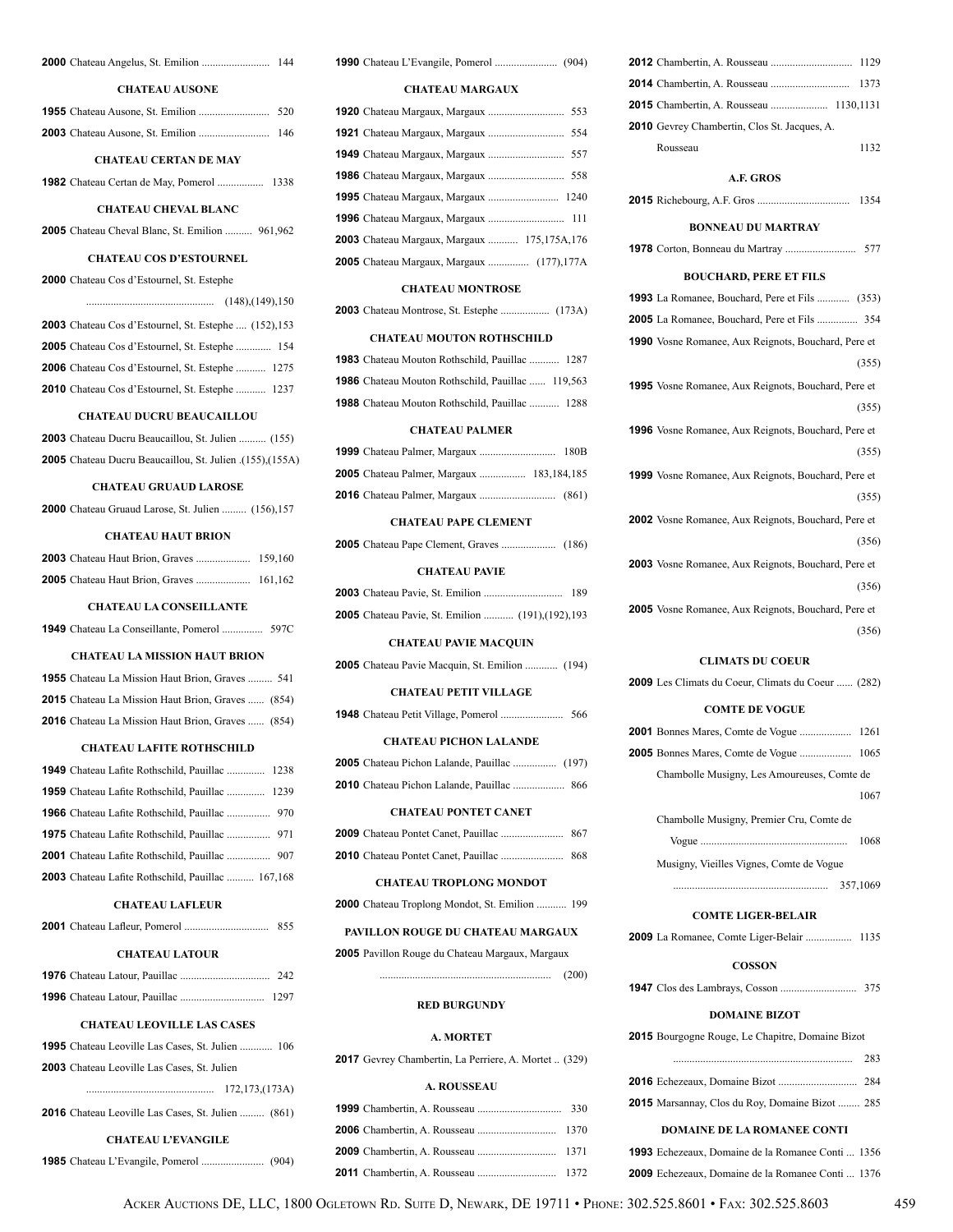| <b>CHATEAU AUSONE</b>                                  |  |
|--------------------------------------------------------|--|
|                                                        |  |
|                                                        |  |
| <b>CHATEAU CERTAN DE MAY</b>                           |  |
|                                                        |  |
| <b>CHATEAU CHEVAL BLANC</b>                            |  |
| <b>2005</b> Chateau Cheval Blanc, St. Emilion  961,962 |  |

### **CHATEAU COS D'ESTOURNEL**

| <b>2000</b> Chateau Cos d'Estournel, St. Estephe       |
|--------------------------------------------------------|
|                                                        |
| 2003 Chateau Cos d'Estournel, St. Estephe  (152), 153  |
| <b>2005</b> Chateau Cos d'Estournel, St. Estephe  154  |
| <b>2006</b> Chateau Cos d'Estournel, St. Estephe  1275 |
| 2010 Chateau Cos d'Estournel, St. Estephe  1237        |

### **CHATEAU DUCRU BEAUCAILLOU**

| <b>2003</b> Chateau Ducru Beaucaillou, St. Julien  (155)         |  |  |
|------------------------------------------------------------------|--|--|
| (1551).(1558). <b>2005</b> Chateau Ducru Beaucaillou, St. Julien |  |  |

#### **CHATEAU GRUAUD LAROSE**

| <b>2000</b> Chateau Gruaud Larose, St. Julien  (156), 157 |  |  |  |  |
|-----------------------------------------------------------|--|--|--|--|
|                                                           |  |  |  |  |

### **CHATEAU HAUT BRION**

### **CHATEAU LA CONSEILLANTE**

|  | <b>1949</b> Chateau La Conseillante, Pomerol | 597C |
|--|----------------------------------------------|------|
|  |                                              |      |

#### **CHATEAU LA MISSION HAUT BRION**

| <b>1955</b> Chateau La Mission Haut Brion, Graves  541   |  |
|----------------------------------------------------------|--|
| <b>2015</b> Chateau La Mission Haut Brion, Graves  (854) |  |
| <b>2016</b> Chateau La Mission Haut Brion, Graves  (854) |  |

#### **CHATEAU LAFITE ROTHSCHILD**

| <b>1949</b> Chateau Lafite Rothschild, Pauillac  1238    |  |
|----------------------------------------------------------|--|
| <b>1959</b> Chateau Lafite Rothschild, Pauillac  1239    |  |
|                                                          |  |
|                                                          |  |
|                                                          |  |
| <b>2003</b> Chateau Lafite Rothschild, Pauillac  167,168 |  |

### **CHATEAU LAFLEUR**

|  |  | 855 |  |
|--|--|-----|--|
|  |  |     |  |

### **CHATEAU LATOUR**

|  | 242  |
|--|------|
|  | 1297 |

### **CHATEAU LEOVILLE LAS CASES**

| <b>CHATEAU L'EVANGILE</b>                                 |
|-----------------------------------------------------------|
| <b>2016</b> Chateau Leoville Las Cases, St. Julien  (861) |
| 172, 173, (173A)                                          |
| <b>2003</b> Chateau Leoville Las Cases. St. Julien        |
| <b>1995</b> Chateau Leoville Las Cases, St. Julien  106   |

|--|--|--|--|--|

| <b>CHATEAU MARGAUX</b> |  |  |
|------------------------|--|--|
|                        |  |  |

| 2003 Chateau Margaux, Margaux  175,175A,176       |  |
|---------------------------------------------------|--|
| <b>2005</b> Chateau Margaux, Margaux  (177), 177A |  |

#### **CHATEAU MONTROSE**

### **CHATEAU MOUTON ROTHSCHILD**

| <b>1983</b> Chateau Mouton Rothschild, Pauillac  1287    |  |
|----------------------------------------------------------|--|
| <b>1986</b> Chateau Mouton Rothschild, Pauillac  119,563 |  |
| <b>1988</b> Chateau Mouton Rothschild, Pauillac  1288    |  |
|                                                          |  |

#### **CHATEAU PALMER**

| <b>2005</b> Chateau Palmer, Margaux  183,184,185 |  |
|--------------------------------------------------|--|
|                                                  |  |

#### **CHATEAU PAPE CLEMENT**

|--|--|--|--|--|--|--|

#### **CHATEAU PAVIE**

|  |                                                           | 189 |
|--|-----------------------------------------------------------|-----|
|  | <b>2005</b> Chateau Pavie, St. Emilion  (191), (192), 193 |     |

#### **CHATEAU PAVIE MACQUIN**

| <b>2005</b> Chateau Pavie Macquin, St. Emilion  (194) |  |  |  |
|-------------------------------------------------------|--|--|--|
|-------------------------------------------------------|--|--|--|

### **CHATEAU PETIT VILLAGE**

| 566 |
|-----|

#### **CHATEAU PICHON LALANDE**

### **CHATEAU PONTET CANET**

#### **CHATEAU TROPLONG MONDOT**

| <b>2000</b> Chateau Troplong Mondot, St. Emilion  199 |  |
|-------------------------------------------------------|--|
|-------------------------------------------------------|--|

### **PAVILLON ROUGE DU CHATEAU MARGAUX**

### Pavillon Rouge du Chateau Margaux, Margaux

### **RED BURGUNDY**

............................................................... (200)

#### **A. MORTET**

| 2017 Gevrey Chambertin, La Perriere, A. Mortet  (329) |  |  |  |  |  |  |  |  |
|-------------------------------------------------------|--|--|--|--|--|--|--|--|
|-------------------------------------------------------|--|--|--|--|--|--|--|--|

### **A. ROUSSEAU**

| 1129                                                       |
|------------------------------------------------------------|
| 1373                                                       |
|                                                            |
| 2010 Gevrey Chambertin, Clos St. Jacques, A.               |
| 1132<br>Rousseau                                           |
| A.F. GROS                                                  |
| 1354                                                       |
| <b>BONNEAU DU MARTRAY</b>                                  |
| 1978 Corton, Bonneau du Martray<br>577                     |
| <b>BOUCHARD, PERE ET FILS</b>                              |
| 1993 La Romanee, Bouchard, Pere et Fils  (353)             |
| <b>2005</b> La Romanee, Bouchard, Pere et Fils  354        |
| 1990 Vosne Romanee, Aux Reignots, Bouchard, Pere et        |
| (355)                                                      |
| <b>1995</b> Vosne Romanee, Aux Reignots, Bouchard, Pere et |
| (355)                                                      |
| <b>1996</b> Vosne Romanee, Aux Reignots, Bouchard, Pere et |
| (355)                                                      |
| <b>1999</b> Vosne Romanee, Aux Reignots, Bouchard, Pere et |
| (355)                                                      |
| <b>2002</b> Vosne Romanee, Aux Reignots, Bouchard, Pere et |
| (356)                                                      |
| <b>2003</b> Vosne Romanee, Aux Reignots, Bouchard, Pere et |
| (356)                                                      |
| <b>2005</b> Vosne Romanee, Aux Reignots, Bouchard, Pere et |
| (356)                                                      |
| <b>CLIMATS DU COEUR</b>                                    |
| 2009 Les Climats du Coeur, Climats du Coeur  (282)         |
| <b>COMTE DE VOGUE</b>                                      |
|                                                            |
| 2005 Bonnes Mares, Comte de Vogue<br>1065                  |
| Chambolle Musigny, Les Amoureuses, Comte de                |
| 1067                                                       |
| Chambolle Musigny, Premier Cru, Comte de                   |
| 1068                                                       |
| Musigny, Vieilles Vignes, Comte de Vogue                   |
|                                                            |

### **COMTE LIGER-BELAIR**

La Romanee, Comte Liger-Belair ................. 1135

### **COSSON**

Clos des Lambrays, Cosson ............................ 375

#### **DOMAINE BIZOT**

Bourgogne Rouge, Le Chapitre, Domaine Bizot

|                                                        | 283 |
|--------------------------------------------------------|-----|
|                                                        |     |
| <b>2015</b> Marsannay, Clos du Roy, Domaine Bizot  285 |     |

### **DOMAINE DE LA ROMANEE CONTI**

| <b>1993</b> Echezeaux, Domaine de la Romanee Conti 1356 |  |  |  |
|---------------------------------------------------------|--|--|--|
| <b>2009</b> Echezeaux, Domaine de la Romanee Conti 1376 |  |  |  |

ACKER AUCTIONS DE, LLC, 1800 OGLETOWN RD. SUITE D, NEWARK, DE 19711 • PHONE: 302.525.8601 • FAX: 302.525.8603 459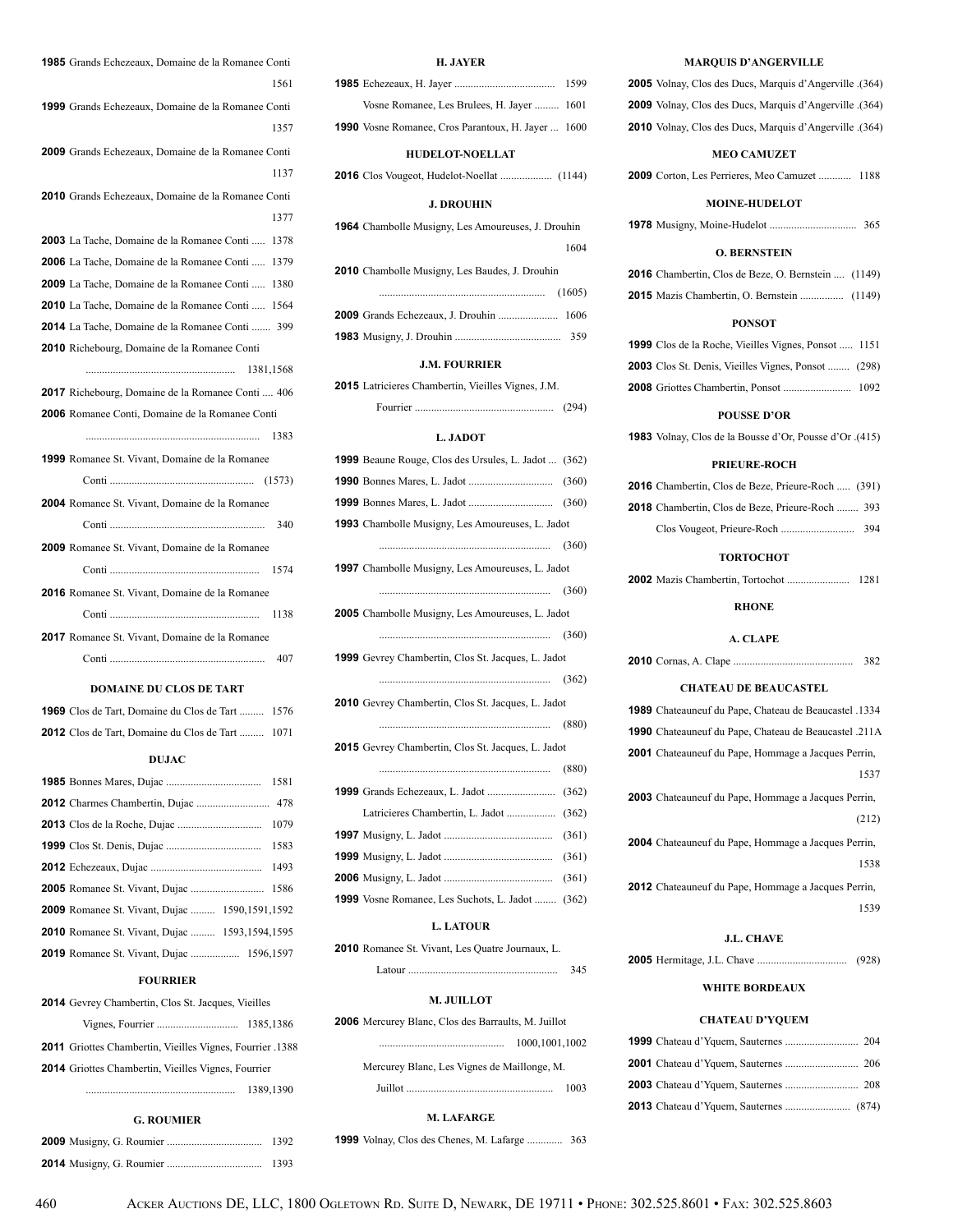| <b>1985</b> Grands Echezeaux, Domaine de la Romanee Conti |
|-----------------------------------------------------------|
| 1561                                                      |
| 1999 Grands Echezeaux, Domaine de la Romanee Conti        |
| 1357                                                      |
| 2009 Grands Echezeaux, Domaine de la Romanee Conti        |
| 1137                                                      |
| 2010 Grands Echezeaux, Domaine de la Romanee Conti        |
| 1377                                                      |
| <b>2003</b> La Tache, Domaine de la Romanee Conti<br>1378 |
| <b>2006</b> La Tache, Domaine de la Romanee Conti  1379   |
| <b>2009</b> La Tache, Domaine de la Romanee Conti  1380   |
| <b>2010</b> La Tache, Domaine de la Romanee Conti  1564   |
| <b>2014</b> La Tache, Domaine de la Romanee Conti  399    |
| <b>2010</b> Richebourg, Domaine de la Romanee Conti       |
|                                                           |
| 2017 Richebourg, Domaine de la Romanee Conti 406          |
| <b>2006</b> Romanee Conti, Domaine de la Romanee Conti    |
| 1383                                                      |
|                                                           |
| 1999 Romanee St. Vivant, Domaine de la Romanee            |
|                                                           |
| 2004 Romanee St. Vivant, Domaine de la Romanee            |
| 340                                                       |
| <b>2009</b> Romanee St. Vivant, Domaine de la Romanee     |
|                                                           |
| 2016 Romanee St. Vivant, Domaine de la Romanee            |
| 1138                                                      |
| <b>2017</b> Romanee St. Vivant, Domaine de la Romanee     |
| 407                                                       |
| <b>DOMAINE DU CLOS DE TART</b>                            |
| <b>1969</b> Clos de Tart, Domaine du Clos de Tart  1576   |
| <b>2012</b> Clos de Tart, Domaine du Clos de Tart<br>1071 |
| DUJAC                                                     |
| 1581                                                      |
| 478                                                       |
| 1079                                                      |
| 1583                                                      |
| 1493                                                      |
| 1586                                                      |
|                                                           |

 Romanee St. Vivant, Dujac ......... 1590,1591,1592 Romanee St. Vivant, Dujac ......... 1593,1594,1595 Romanee St. Vivant, Dujac .................. 1596,1597 **FOURRIER** Gevrey Chambertin, Clos St. Jacques, Vieilles

 Vignes, Fourrier .............................. 1385,1386 **2011** Griottes Chambertin, Vieilles Vignes, Fourrier .1388 **2014** Griottes Chambertin, Vieilles Vignes, Fourrier

....................................................... 1389,1390

**G. ROUMIER 2009** Musigny, G. Roumier ................................... 1392 **2014** Musigny, G. Roumier ................................... 1393

### **H. JAYER**

| Vosne Romanee, Les Brulees, H. Jayer  1601                |  |
|-----------------------------------------------------------|--|
| <b>1990</b> Vosne Romanee, Cros Parantoux, H. Jayer  1600 |  |
| <b>HUDELOT-NOELLAT</b>                                    |  |
|                                                           |  |
|                                                           |  |

### **J. DROUHIN**

| <b>1964</b> Chambolle Musigny, Les Amoureuses, J. Drouhin |        |
|-----------------------------------------------------------|--------|
|                                                           | 1604   |
| 2010 Chambolle Musigny, Les Baudes, J. Drouhin            |        |
|                                                           | (1605) |
|                                                           |        |
|                                                           |        |

#### **J.M. FOURRIER**

**2015** Latricieres Chambertin, Vieilles Vignes, J.M.

| (294)<br>Fourner |  |  |  |  |  |  |  |
|------------------|--|--|--|--|--|--|--|
|------------------|--|--|--|--|--|--|--|

### **L. JADOT**

| L. JADVI                                                    |       |
|-------------------------------------------------------------|-------|
| <b>1999</b> Beaune Rouge, Clos des Ursules, L. Jadot  (362) |       |
|                                                             |       |
|                                                             |       |
| <b>1993</b> Chambolle Musigny, Les Amoureuses, L. Jadot     |       |
|                                                             | (360) |
| <b>1997</b> Chambolle Musigny, Les Amoureuses, L. Jadot     |       |
|                                                             |       |
| <b>2005</b> Chambolle Musigny, Les Amoureuses, L. Jadot     |       |
|                                                             |       |
| 1999 Gevrey Chambertin, Clos St. Jacques, L. Jadot          |       |
|                                                             |       |
| 2010 Gevrey Chambertin, Clos St. Jacques, L. Jadot          |       |
|                                                             | (880) |
| 2015 Gevrey Chambertin, Clos St. Jacques, L. Jadot          |       |
|                                                             | (880) |
|                                                             |       |
|                                                             |       |
|                                                             | (361) |
|                                                             | (361) |
|                                                             | (361) |
| 1999 Vosne Romanee, Les Suchots, L. Jadot                   | (362) |

### **L. LATOUR**

**2010** Romanee St. Vivant, Les Quatre Journaux, L.

### Latour ....................................................... 345

### **M. JUILLOT**

| <b>2006</b> Mercurey Blanc, Clos des Barraults, M. Juillot |                                             |                |
|------------------------------------------------------------|---------------------------------------------|----------------|
|                                                            |                                             | 1000.1001.1002 |
|                                                            | Mercurey Blanc, Les Vignes de Maillonge, M. |                |
|                                                            |                                             | 1003           |

#### **M. LAFARGE**

**1999** Volnay, Clos des Chenes, M. Lafarge ............. 363

### **MARQUIS D'ANGERVILLE**

**2005** Volnay, Clos des Ducs, Marquis d'Angerville .(364) **2009** Volnay, Clos des Ducs, Marquis d'Angerville .(364) **2010** Volnay, Clos des Ducs, Marquis d'Angerville .(364)

#### **MEO CAMUZET**

**2009** Corton, Les Perrieres, Meo Camuzet ............ 1188

#### **MOINE-HUDELOT**

**1978** Musigny, Moine-Hudelot ................................ 365

### **O. BERNSTEIN**

| <b>2016</b> Chambertin, Clos de Beze, O. Bernstein  (1149) |  |
|------------------------------------------------------------|--|
| <b>2015</b> Mazis Chambertin, O. Bernstein  (1149)         |  |

#### **PONSOT**

| <b>1999</b> Clos de la Roche, Vieilles Vignes, Ponsot  1151 |  |
|-------------------------------------------------------------|--|
| <b>2003</b> Clos St. Denis, Vieilles Vignes, Ponsot  (298)  |  |
|                                                             |  |

#### **POUSSE D'OR**

**1983** Volnay, Clos de la Bousse d'Or, Pousse d'Or .(415)

#### **PRIEURE-ROCH**

| <b>2016</b> Chambertin, Clos de Beze, Prieure-Roch  (391) |     |
|-----------------------------------------------------------|-----|
| <b>2018</b> Chambertin. Clos de Beze. Prieure-Roch  393   |     |
|                                                           | 394 |

#### **TORTOCHOT**

**2002** Mazis Chambertin, Tortochot ....................... 1281

#### **RHONE**

### **A. CLAPE**

**2010** Cornas, A. Clape ............................................ 382

#### **CHATEAU DE BEAUCASTEL**

| 1989 Chateauneuf du Pape, Chateau de Beaucastel .1334 |
|-------------------------------------------------------|
| 1990 Chateauneuf du Pape, Chateau de Beaucastel .211A |
| 2001 Chateauneuf du Pape, Hommage a Jacques Perrin,   |
| 1537                                                  |
| 2003 Chateauneuf du Pape, Hommage a Jacques Perrin,   |
| (212)                                                 |
| 2004 Chateauneuf du Pape, Hommage a Jacques Perrin,   |
| 1538                                                  |
| 2012 Chateauneuf du Pape, Hommage a Jacques Perrin,   |
| 1539                                                  |
|                                                       |

### **J.L. CHAVE**

**2005** Hermitage, J.L. Chave ................................. (928)

### **WHITE BORDEAUX**

### **CHATEAU D'YQUEM**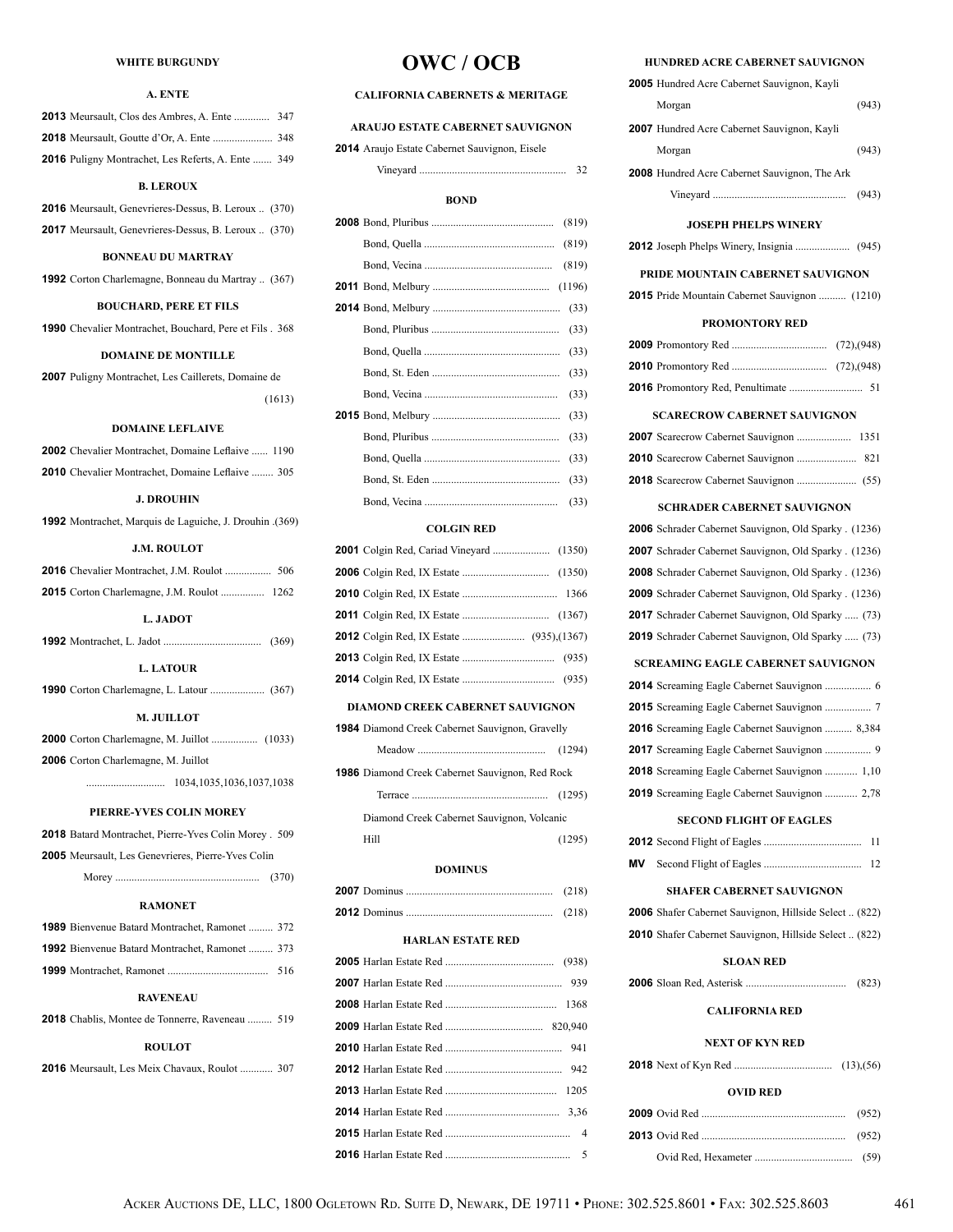### **WHITE BURGUNDY**

### **A. ENTE**

| <b>2013</b> Meursault, Clos des Ambres, A. Ente  347      |  |
|-----------------------------------------------------------|--|
|                                                           |  |
| <b>2016</b> Pulieny Montrachet, Les Referts, A. Ente  349 |  |

### **B. LEROUX**

**2016** Meursault, Genevrieres-Dessus, B. Leroux .. (370) **2017** Meursault, Genevrieres-Dessus, B. Leroux .. (370)

### **BONNEAU DU MARTRAY**

**1992** Corton Charlemagne, Bonneau du Martray .. (367)

### **BOUCHARD, PERE ET FILS 1990** Chevalier Montrachet, Bouchard, Pere et Fils . 368

#### **DOMAINE DE MONTILLE**

**2007** Puligny Montrachet, Les Caillerets, Domaine de (1613)

### **DOMAINE LEFLAIVE**

| <b>2002</b> Chevalier Montrachet, Domaine Leflaive  1190 |  |  |
|----------------------------------------------------------|--|--|
| <b>2010</b> Chevalier Montrachet, Domaine Leflaive  305  |  |  |

### **J. DROUHIN**

**1992** Montrachet, Marquis de Laguiche, J. Drouhin .(369)

### **J.M. ROULOT**

| <b>2015</b> Corton Charlemagne, J.M. Roulot  1262 |
|---------------------------------------------------|
| L. JADOT                                          |
|                                                   |
| <b>L. LATOUR</b>                                  |
|                                                   |
| <b>M. JUILLOT</b>                                 |
|                                                   |
| <b>2006</b> Corton Charlemagne, M. Juillot        |
|                                                   |
| DIEDDE VVES COLIN MODEV                           |

#### **PIERRE-YVES COLIN MOREY**

| <b>2018</b> Batard Montrachet, Pierre-Yves Colin Morey 509 |       |
|------------------------------------------------------------|-------|
| <b>2005</b> Meursault, Les Genevrieres, Pierre-Yves Colin  |       |
|                                                            | (370) |

#### **RAMONET**

| <b>1989</b> Bienvenue Batard Montrachet, Ramonet  372  |     |
|--------------------------------------------------------|-----|
| <b>1992</b> Bienvenue Batard Montrachet, Ramonet  373  |     |
|                                                        | 516 |
| <b>RAVENEAU</b>                                        |     |
| <b>2018</b> Chablis. Montee de Tonnerre. Raveneau  519 |     |
|                                                        |     |

### **ROULOT**

**2016** Meursault, Les Meix Chavaux, Roulot ............ 307

# **OWC / OCB**

### **CALIFORNIA CABERNETS & MERITAGE**

### **ARAUJO ESTATE CABERNET SAUVIGNON**

**2014** Araujo Estate Cabernet Sauvignon, Eisele

#### **BOND**

Vineyard ...................................................... 32

|  | (819) |      |
|--|-------|------|
|  | (819) |      |
|  | (819) |      |
|  |       |      |
|  |       | (33) |
|  |       | (33) |
|  |       | (33) |
|  |       | (33) |
|  |       | (33) |
|  |       | (33) |
|  |       | (33) |
|  |       | (33) |
|  |       | (33) |
|  |       | (33) |
|  |       |      |

### **COLGIN RED**

#### **DIAMOND CREEK CABERNET SAUVIGNON**

| 1984 Diamond Creek Cabernet Sauvignon, Gravelly |        |
|-------------------------------------------------|--------|
|                                                 | (1294) |
| 1986 Diamond Creek Cabernet Sauvignon, Red Rock |        |
|                                                 |        |
| Diamond Creek Cabernet Sauvignon, Volcanic      |        |
| Hill                                            | (1295) |

#### **DOMINUS**

### **HARLAN ESTATE RED**

### **HUNDRED ACRE CABERNET SAUVIGNON**

| <b>2005</b> Hundred Acre Cabernet Sauvignon, Kayli            |       |
|---------------------------------------------------------------|-------|
| Morgan                                                        | (943) |
| <b>2007</b> Hundred Acre Cabernet Sauvignon, Kayli            |       |
| Morgan                                                        | (943) |
| <b>2008</b> Hundred Acre Cabernet Sauvignon, The Ark          |       |
|                                                               | (943) |
|                                                               |       |
| <b>JOSEPH PHELPS WINERY</b>                                   |       |
|                                                               |       |
| PRIDE MOUNTAIN CABERNET SAUVIGNON                             |       |
| <b>2015</b> Pride Mountain Cabernet Sauvignon  (1210)         |       |
| <b>PROMONTORY RED</b>                                         |       |
|                                                               |       |
|                                                               |       |
|                                                               |       |
| <b>SCARECROW CABERNET SAUVIGNON</b>                           |       |
|                                                               |       |
|                                                               |       |
|                                                               |       |
|                                                               |       |
| <b>SCHRADER CABERNET SAUVIGNON</b>                            |       |
| <b>2006</b> Schrader Cabernet Sauvignon, Old Sparky . (1236)  |       |
| 2007 Schrader Cabernet Sauvignon, Old Sparky . (1236)         |       |
| <b>2008</b> Schrader Cabernet Sauvignon, Old Sparky . (1236)  |       |
| <b>2009</b> Schrader Cabernet Sauvignon, Old Sparky . (1236)  |       |
| 2017 Schrader Cabernet Sauvignon, Old Sparky  (73)            |       |
| <b>2019</b> Schrader Cabernet Sauvignon, Old Sparky  (73)     |       |
| <b>SCREAMING EAGLE CABERNET SAUVIGNON</b>                     |       |
|                                                               |       |
|                                                               |       |
| <b>2016</b> Screaming Eagle Cabernet Sauvignon  8,384         |       |
|                                                               |       |
| 2018 Screaming Eagle Cabernet Sauvignon  1,10                 |       |
| 2019 Screaming Eagle Cabernet Sauvignon  2,78                 |       |
| <b>SECOND FLIGHT OF EAGLES</b>                                |       |
|                                                               | 11    |
| Mν                                                            | 12    |
| <b>SHAFER CABERNET SAUVIGNON</b>                              |       |
| 2006 Shafer Cabernet Sauvignon, Hillside Select (822)         |       |
| <b>2010</b> Shafer Cabernet Sauvignon, Hillside Select  (822) |       |
|                                                               |       |
| <b>SLOAN RED</b>                                              |       |
|                                                               |       |
| <b>CALIFORNIA RED</b>                                         |       |
| NEXT OF KYN RED                                               |       |
|                                                               |       |

| <b>OVID RED</b> |  |
|-----------------|--|
|                 |  |
|                 |  |
|                 |  |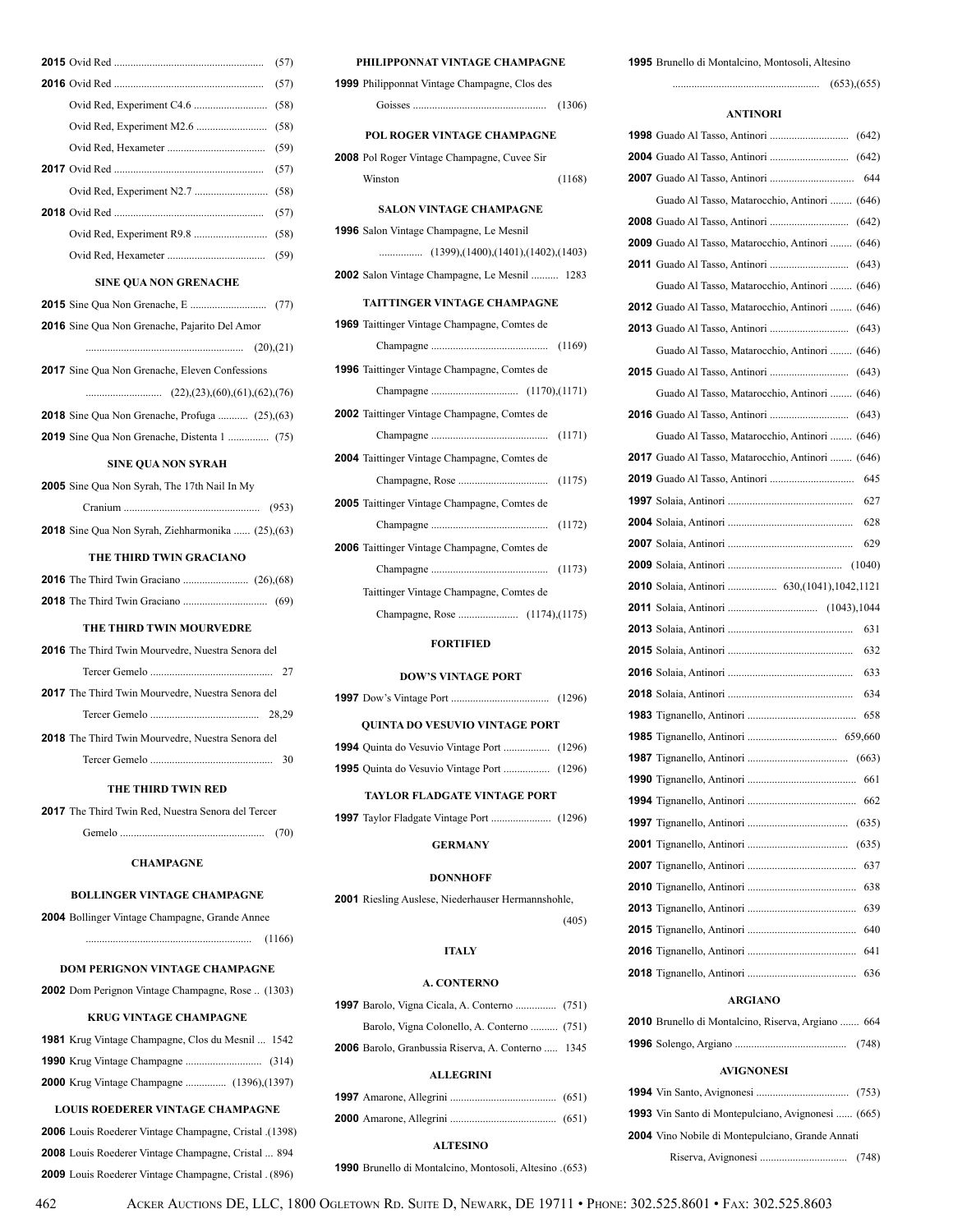| (57)                                                      |    |  |
|-----------------------------------------------------------|----|--|
| (57)                                                      |    |  |
| (58)                                                      |    |  |
| (58)                                                      |    |  |
|                                                           |    |  |
| (57)                                                      |    |  |
| (58)                                                      |    |  |
| (57)                                                      |    |  |
|                                                           |    |  |
| (59)                                                      |    |  |
| <b>SINE QUA NON GRENACHE</b>                              |    |  |
|                                                           |    |  |
| <b>2016</b> Sine Qua Non Grenache, Pajarito Del Amor      |    |  |
|                                                           |    |  |
| <b>2017</b> Sine Qua Non Grenache, Eleven Confessions     |    |  |
|                                                           |    |  |
| <b>2018</b> Sine Qua Non Grenache, Profuga  (25), (63)    |    |  |
|                                                           |    |  |
| <b>SINE QUA NON SYRAH</b>                                 |    |  |
| <b>2005</b> Sine Qua Non Syrah, The 17th Nail In My       |    |  |
| (953)                                                     |    |  |
| 2018 Sine Qua Non Syrah, Ziehharmonika  (25), (63)        |    |  |
| THE THIRD TWIN GRACIANO                                   |    |  |
|                                                           |    |  |
|                                                           |    |  |
| THE THIRD TWIN MOURVEDRE                                  |    |  |
| <b>2016</b> The Third Twin Mourvedre, Nuestra Senora del  |    |  |
|                                                           |    |  |
| <b>2017</b> The Third Twin Mourvedre, Nuestra Senora del  |    |  |
|                                                           |    |  |
| 2018 The Third Twin Mourvedre, Nuestra Senora del         |    |  |
|                                                           | 30 |  |
| THE THIRD TWIN RED                                        |    |  |
| <b>2017</b> The Third Twin Red, Nuestra Senora del Tercer |    |  |
| (70)                                                      |    |  |
| <b>CHAMPAGNE</b>                                          |    |  |

### **BOLLINGER VINTAGE CHAMPAGNE**

| 2004 Bollinger Vintage Champagne, Grande Annee |  |
|------------------------------------------------|--|
|------------------------------------------------|--|

| (1166) |
|--------|
|        |

### **DOM PERIGNON VINTAGE CHAMPAGNE**

|  | 2002 Dom Perignon Vintage Champagne, Rose  (1303) |  |  |
|--|---------------------------------------------------|--|--|
|--|---------------------------------------------------|--|--|

### **KRUG VINTAGE CHAMPAGNE**

| <b>1981</b> Krug Vintage Champagne, Clos du Mesnil  1542 |  |
|----------------------------------------------------------|--|
|                                                          |  |
| <b>2000</b> Krug Vintage Champagne  (1396), (1397)       |  |

### **LOUIS ROEDERER VINTAGE CHAMPAGNE**

| (1398). <b>2006</b> Louis Roederer Vintage Champagne, Cristal |  |
|---------------------------------------------------------------|--|
| <b>2008</b> Louis Roederer Vintage Champagne, Cristal  894    |  |
| 2009 Louis Roederer Vintage Champagne, Cristal. (896)         |  |

| PHILIPPONNAT VINTAGE CHAMPAGNE                      |        |
|-----------------------------------------------------|--------|
| 1999 Philipponnat Vintage Champagne, Clos des       |        |
|                                                     |        |
| POL ROGER VINTAGE CHAMPAGNE                         |        |
| 2008 Pol Roger Vintage Champagne, Cuvee Sir         |        |
| Winston                                             | (1168) |
| <b>SALON VINTAGE CHAMPAGNE</b>                      |        |
| 1996 Salon Vintage Champagne, Le Mesnil             |        |
|                                                     |        |
| 2002 Salon Vintage Champagne, Le Mesnil  1283       |        |
| <b>TAITTINGER VINTAGE CHAMPAGNE</b>                 |        |
| <b>1969</b> Taittinger Vintage Champagne, Comtes de |        |
|                                                     |        |
| <b>1996</b> Taittinger Vintage Champagne, Comtes de |        |
|                                                     |        |
| <b>2002</b> Taittinger Vintage Champagne, Comtes de |        |
|                                                     |        |
| <b>2004</b> Taittinger Vintage Champagne, Comtes de |        |
|                                                     | (1175) |
| <b>2005</b> Taittinger Vintage Champagne, Comtes de |        |
|                                                     |        |
| 2006 Taittinger Vintage Champagne, Comtes de        |        |
|                                                     |        |
| Taittinger Vintage Champagne, Comtes de             |        |
|                                                     |        |
| <b>FORTIFIED</b>                                    |        |
| <b>DOW'S VINTAGE PORT</b>                           |        |
|                                                     |        |
|                                                     |        |
| QUINTA DO VESUVIO VINTAGE PORT                      |        |

#### **TAYLOR FLADGATE VINTAGE PORT**

**1997** Taylor Fladgate Vintage Port ...................... (1296)

### **GERMANY**

### **DONNHOFF**

**2001** Riesling Auslese, Niederhauser Hermannshohle,

# (405)

# **ITALY**

### **A. CONTERNO**

| <b>2006</b> Barolo, Granbussia Riserva, A. Conterno  1345 |  |
|-----------------------------------------------------------|--|
| <b>ALLEGRINI</b>                                          |  |
|                                                           |  |

#### **1995** Brunello di Montalcino, Montosoli, Altesino

...................................................... (653),(655)

#### **ANTINORI**

| 644                                                      |
|----------------------------------------------------------|
| Guado Al Tasso, Matarocchio, Antinori  (646)             |
|                                                          |
| 2009 Guado Al Tasso, Matarocchio, Antinori  (646)        |
|                                                          |
| Guado Al Tasso, Matarocchio, Antinori  (646)             |
| <b>2012</b> Guado Al Tasso, Matarocchio, Antinori  (646) |
|                                                          |
| Guado Al Tasso, Matarocchio, Antinori  (646)             |
|                                                          |
| Guado Al Tasso, Matarocchio, Antinori  (646)             |
|                                                          |
| Guado Al Tasso, Matarocchio, Antinori  (646)             |
| 2017 Guado Al Tasso, Matarocchio, Antinori  (646)        |
| 645                                                      |
| 627                                                      |
| 628                                                      |
| 629                                                      |
|                                                          |
|                                                          |
|                                                          |
| 631                                                      |
| 632                                                      |
| 633                                                      |
| 634                                                      |
| 658                                                      |
|                                                          |
| (663)                                                    |
|                                                          |
| 662                                                      |
| (635)                                                    |
| (635)                                                    |
| 637                                                      |
| 638                                                      |
| 639                                                      |
| 640                                                      |
| 641                                                      |
| 636                                                      |
| <b>ARGIANO</b>                                           |
|                                                          |

### **2010** Brunello di Montalcino, Riserva, Argiano ....... 664 **1996** Solengo, Argiano ......................................... (748)

### **AVIGNONESI**

| <b>1993</b> Vin Santo di Montepulciano, Avignonesi  (665) |  |
|-----------------------------------------------------------|--|
| 2004 Vino Nobile di Montepulciano, Grande Annati          |  |
|                                                           |  |

**ALTESINO**

**1990** Brunello di Montalcino, Montosoli, Altesino .(653)

462 Acker Auctions DE, LLC, 1800 Ogletown Rd. Suite D, Newark, DE 19711 • Phone: 302.525.8601 • Fax: 302.525.8603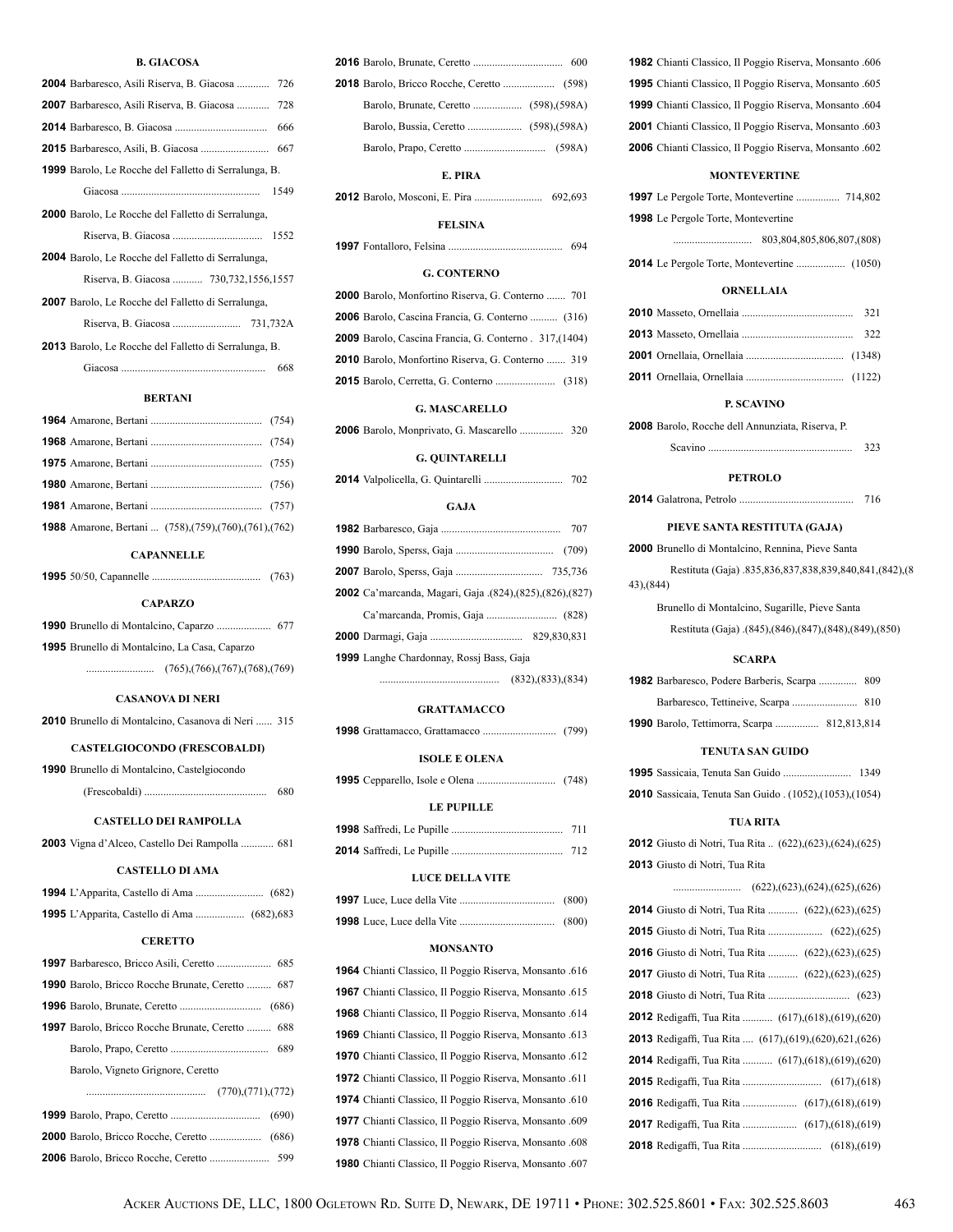### **B. GIACOSA**

| <b>2004</b> Barbaresco, Asili Riserva, B. Giacosa  726       |
|--------------------------------------------------------------|
| 2007 Barbaresco, Asili Riserva, B. Giacosa  728              |
| 666                                                          |
| 667                                                          |
| <b>1999</b> Barolo, Le Rocche del Falletto di Serralunga, B. |
| 1549                                                         |
| <b>2000</b> Barolo, Le Rocche del Falletto di Serralunga,    |
| 1552                                                         |
| <b>2004</b> Barolo, Le Rocche del Falletto di Serralunga,    |
| Riserva, B. Giacosa  730,732,1556,1557                       |
| <b>2007</b> Barolo, Le Rocche del Falletto di Serralunga,    |
|                                                              |
| <b>2013</b> Barolo, Le Rocche del Falletto di Serralunga, B. |
| 668                                                          |

### **BERTANI**

| <b>1988</b> Amarone, Bertani  (758), (759), (760), (761), (762) |  |
|-----------------------------------------------------------------|--|

### **CAPANNELLE**

| <b>CAPARZO</b>                                 |  |  |  |  |  |
|------------------------------------------------|--|--|--|--|--|
| <b>1990</b> Brunello di Montalcino Caparzo 677 |  |  |  |  |  |

| <b>1995</b> Brunello di Montalcino, La Casa, Caparzo |                                                 |
|------------------------------------------------------|-------------------------------------------------|
|                                                      | $(765)$ , $(766)$ , $(767)$ , $(768)$ , $(769)$ |

#### **CASANOVA DI NERI**

|  |  |  | <b>2010</b> Brunello di Montalcino, Casanova di Neri  315 |  |  |  |  |
|--|--|--|-----------------------------------------------------------|--|--|--|--|
|--|--|--|-----------------------------------------------------------|--|--|--|--|

### **CASTELGIOCONDO (FRESCOBALDI)**

| 1990 Brunello di Montalcino, Castelgiocondo |     |
|---------------------------------------------|-----|
|                                             | 680 |

### **CASTELLO DEI RAMPOLLA**

| 2003 Vigna d'Alceo, Castello Dei Rampolla  681 |  |
|------------------------------------------------|--|
|------------------------------------------------|--|

# **CASTELLO DI AMA**

## **CERETTO**

| <b>1990</b> Barolo, Bricco Rocche Brunate, Ceretto  687 |
|---------------------------------------------------------|
|                                                         |
| 1997 Barolo, Bricco Rocche Brunate, Ceretto  688        |
| 689                                                     |
| Barolo, Vigneto Grignore, Ceretto                       |
|                                                         |
|                                                         |
|                                                         |
|                                                         |

### **E. PIRA**

| 692,693 |
|---------|

#### **FELSINA**

|  |  |  | 694 |
|--|--|--|-----|
|--|--|--|-----|

### **G. CONTERNO**

| <b>2000</b> Barolo, Monfortino Riserva, G. Conterno  701     |
|--------------------------------------------------------------|
| 2006 Barolo, Cascina Francia, G. Conterno  (316)             |
| <b>2009</b> Barolo, Cascina Francia, G. Conterno. 317.(1404) |
| 2010 Barolo, Monfortino Riserva, G. Conterno  319            |
|                                                              |
|                                                              |

### **G. MASCARELLO**

Barolo, Monprivato, G. Mascarello ................ 320

## **G. QUINTARELLI**

|  |  |  |  | 702 |
|--|--|--|--|-----|
|--|--|--|--|-----|

#### **GAJA**

| 2002 Ca'marcanda, Magari, Gaja .(824), (825), (826), (827) |  |
|------------------------------------------------------------|--|
|                                                            |  |
|                                                            |  |
| <b>1999</b> Langhe Chardonnay, Rossi Bass, Gaja            |  |
|                                                            |  |

#### **GRATTAMACCO**

### **ISOLE E OLENA**

|--|--|--|

### **LE PUPILLE**

### **LUCE DELLA VITE**

### **MONSANTO**

|  |  | 1964 Chianti Classico, Il Poggio Riserva, Monsanto .616 |  |
|--|--|---------------------------------------------------------|--|
|  |  | 1967 Chianti Classico, Il Poggio Riserva, Monsanto .615 |  |
|  |  | 1968 Chianti Classico, Il Poggio Riserva, Monsanto .614 |  |
|  |  | 1969 Chianti Classico, Il Poggio Riserva, Monsanto .613 |  |
|  |  | 1970 Chianti Classico, Il Poggio Riserva, Monsanto .612 |  |
|  |  | 1972 Chianti Classico, Il Poggio Riserva, Monsanto .611 |  |
|  |  | 1974 Chianti Classico, Il Poggio Riserva, Monsanto .610 |  |
|  |  | 1977 Chianti Classico, Il Poggio Riserva, Monsanto .609 |  |
|  |  | 1978 Chianti Classico, Il Poggio Riserva, Monsanto .608 |  |
|  |  | 1980 Chianti Classico, Il Poggio Riserva, Monsanto .607 |  |

 Chianti Classico, Il Poggio Riserva, Monsanto .606 Chianti Classico, Il Poggio Riserva, Monsanto .605 Chianti Classico, Il Poggio Riserva, Monsanto .604 Chianti Classico, Il Poggio Riserva, Monsanto .603 Chianti Classico, Il Poggio Riserva, Monsanto .602

|            | <b>MONTEVERTINE</b>                                                               |
|------------|-----------------------------------------------------------------------------------|
|            | 1997 Le Pergole Torte, Montevertine  714,802                                      |
|            | <b>1998</b> Le Pergole Torte, Montevertine                                        |
|            |                                                                                   |
|            |                                                                                   |
|            | <b>ORNELLAIA</b>                                                                  |
|            | 321                                                                               |
|            | 322                                                                               |
|            |                                                                                   |
|            |                                                                                   |
|            | P. SCAVINO                                                                        |
|            | 2008 Barolo, Rocche dell Annunziata, Riserva, P.                                  |
|            | 323                                                                               |
|            | <b>PETROLO</b>                                                                    |
|            | 716                                                                               |
|            |                                                                                   |
|            | PIEVE SANTA RESTITUTA (GAJA)<br>2000 Brunello di Montalcino, Rennina, Pieve Santa |
|            | Restituta (Gaja) .835,836,837,838,839,840,841,(842),(8                            |
| 43), (844) |                                                                                   |
|            | Brunello di Montalcino, Sugarille, Pieve Santa                                    |
|            | Restituta (Gaja) .(845),(846),(847),(848),(849),(850)                             |
|            | <b>SCARPA</b>                                                                     |
|            | 1982 Barbaresco, Podere Barberis, Scarpa  809                                     |
|            |                                                                                   |
|            | <b>1990</b> Barolo, Tettimorra, Scarpa  812,813,814                               |
|            | <b>TENUTA SAN GUIDO</b>                                                           |
|            | <b>1995</b> Sassicaia, Tenuta San Guido  1349                                     |
|            | 2010 Sassicaia, Tenuta San Guido. (1052), (1053), (1054)                          |
|            | TUA RITA                                                                          |
|            | <b>2012</b> Giusto di Notri, Tua Rita  (622), (623), (624), (625)                 |
|            | 2013 Giusto di Notri, Tua Rita                                                    |
|            |                                                                                   |
|            | <b>2014</b> Giusto di Notri, Tua Rita  (622), (623), (625)                        |
|            |                                                                                   |
|            | 2016 Giusto di Notri, Tua Rita  (622), (623), (625)                               |
|            | 2017 Giusto di Notri, Tua Rita  (622), (623), (625)                               |
|            |                                                                                   |
|            | 2012 Redigaffi, Tua Rita  (617), (618), (619), (620)                              |
|            | <b>2013</b> Redigaffi, Tua Rita  (617), (619), (620), 621, (626)                  |
|            | <b>2014</b> Redigaffi, Tua Rita  (617), (618), (619), (620)                       |
|            |                                                                                   |
|            | <b>2016</b> Redigaffi, Tua Rita  (617), (618), (619)                              |
|            |                                                                                   |
|            |                                                                                   |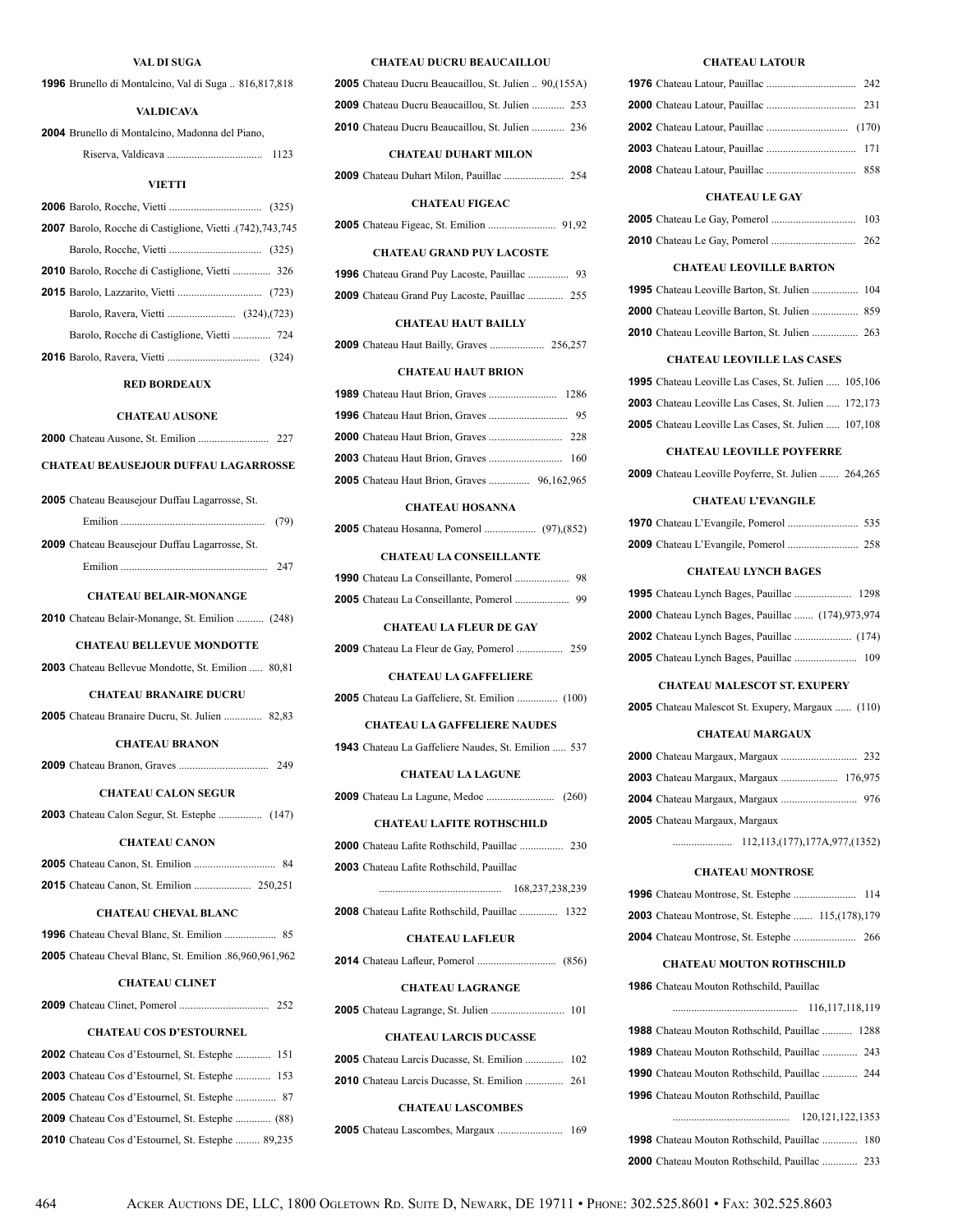### **VAL DI SUGA**

| <b>1996</b> Brunello di Montalcino, Val di Suga  816,817,818  |
|---------------------------------------------------------------|
| <b>VALDICAVA</b>                                              |
| 2004 Brunello di Montalcino, Madonna del Piano,               |
|                                                               |
| <b>VIETTI</b>                                                 |
|                                                               |
|                                                               |
| 2007 Barolo, Rocche di Castiglione, Vietti .(742), 743, 745   |
| 2010 Barolo, Rocche di Castiglione, Vietti  326               |
|                                                               |
|                                                               |
| Barolo, Rocche di Castiglione, Vietti  724                    |
|                                                               |
|                                                               |
| <b>RED BORDEAUX</b>                                           |
| <b>CHATEAU AUSONE</b>                                         |
|                                                               |
| <b>CHATEAU BEAUSEJOUR DUFFAU LAGARROSSE</b>                   |
| <b>2005</b> Chateau Beausejour Duffau Lagarrosse, St.         |
| (79)                                                          |
| 2009 Chateau Beausejour Duffau Lagarrosse, St.                |
|                                                               |
|                                                               |
| <b>CHATEAU BELAIR-MONANGE</b>                                 |
| <b>2010</b> Chateau Belair-Monange, St. Emilion  (248)        |
| <b>CHATEAU BELLEVUE MONDOTTE</b>                              |
| <b>2003</b> Chateau Bellevue Mondotte, St. Emilion  80,81     |
| <b>CHATEAU BRANAIRE DUCRU</b>                                 |
| 2005 Chateau Branaire Ducru, St. Julien  82,83                |
| <b>CHATEAU BRANON</b>                                         |
| 249                                                           |
| <b>CHATEAU CALON SEGUR</b>                                    |
| 2003 Chateau Calon Segur, St. Estephe  (147)                  |
| <b>CHATEAU CANON</b>                                          |
|                                                               |
| 2015 Chateau Canon, St. Emilion  250,251                      |
| <b>CHATEAU CHEVAL BLANC</b>                                   |
|                                                               |
| <b>2005</b> Chateau Cheval Blanc, St. Emilion .86,960,961,962 |
| <b>CHATEAU CLINET</b>                                         |
|                                                               |
| <b>CHATEAU COS D'ESTOURNEL</b>                                |
| <b>2002</b> Chateau Cos d'Estournel, St. Estephe  151         |
| 2003 Chateau Cos d'Estournel, St. Estephe  153                |
| 2005 Chateau Cos d'Estournel, St. Estephe  87                 |
| 2009 Chateau Cos d'Estournel, St. Estephe  (88)               |

Chateau Cos d'Estournel, St. Estephe ......... 89,235

#### **CHATEAU DUCRU BEAUCAILLOU**

| <b>CHATEAU DUHART MILON</b>                                   |  |
|---------------------------------------------------------------|--|
| <b>2010</b> Chateau Ducru Beaucaillou, St. Julien  236        |  |
| <b>2009</b> Chateau Ducru Beaucaillou, St. Julien  253        |  |
| <b>2005</b> Chateau Ducru Beaucaillou, St. Julien  90, (155A) |  |

Chateau Duhart Milon, Pauillac ...................... 254

### **CHATEAU FIGEAC**

Chateau Figeac, St. Emilion ......................... 91,92

### **CHATEAU GRAND PUY LACOSTE**

| <b>2009</b> Chateau Grand Puy Lacoste, Pauillac  255 |  |
|------------------------------------------------------|--|

### **CHATEAU HAUT BAILLY**

|--|--|--|--|--|

#### **CHATEAU HAUT BRION**

| <b>2005</b> Chateau Haut Brion, Graves  96,162,965 |  |
|----------------------------------------------------|--|

#### **CHATEAU HOSANNA**

|--|--|--|--|

### **CHATEAU LA CONSEILLANTE**

#### **CHATEAU LA FLEUR DE GAY**

|--|--|--|--|--|--|--|--|

### **CHATEAU LA GAFFELIERE**

Chateau La Gaffeliere, St. Emilion ............... (100)

#### **CHATEAU LA GAFFELIERE NAUDES**

Chateau La Gaffeliere Naudes, St. Emilion ..... 537

#### **CHATEAU LA LAGUNE**

Chateau La Lagune, Medoc ......................... (260)

### **CHATEAU LAFITE ROTHSCHILD**

| 2003 Chateau Lafite Rothschild, Pauillac |  |
|------------------------------------------|--|

|                                                       | 168.237.238.239 |
|-------------------------------------------------------|-----------------|
| <b>2008</b> Chateau Lafite Rothschild, Pauillac  1322 |                 |

# **CHATEAU LAFLEUR**

Chateau Lafleur, Pomerol ............................. (856)

#### **CHATEAU LAGRANGE**

Chateau Lagrange, St. Julien ........................... 101

### **CHATEAU LARCIS DUCASSE**

|  |  | <b>2005</b> Chateau Larcis Ducasse, St. Emilion  102 |  |
|--|--|------------------------------------------------------|--|
|  |  | <b>2010</b> Chateau Larcis Ducasse, St. Emilion  261 |  |

#### **CHATEAU LASCOMBES**

|  |  |  |  |  | 169 |
|--|--|--|--|--|-----|
|--|--|--|--|--|-----|

#### **CHATEAU LATOUR**

### **CHATEAU LE GAY**

### **CHATEAU LEOVILLE BARTON**

| <b>1995</b> Chateau Leoville Barton, St. Julien  104 |  |
|------------------------------------------------------|--|
|                                                      |  |
|                                                      |  |

### **CHATEAU LEOVILLE LAS CASES**

| <b>1995</b> Chateau Leoville Las Cases, St. Julien  105,106  |  |
|--------------------------------------------------------------|--|
| <b>2003</b> Chateau Leoville Las Cases, St. Julien , 172.173 |  |
| <b>2005</b> Chateau Leoville Las Cases, St. Julien  107,108  |  |

### **CHATEAU LEOVILLE POYFERRE**

Chateau Leoville Poyferre, St. Julien ....... 264,265

### **CHATEAU L'EVANGILE**

### **CHATEAU LYNCH BAGES**

| <b>2000</b> Chateau Lynch Bages, Pauillac  (174), 973, 974 |  |
|------------------------------------------------------------|--|
|                                                            |  |
|                                                            |  |

### **CHATEAU MALESCOT ST. EXUPERY**

Chateau Malescot St. Exupery, Margaux ...... (110)

### **CHATEAU MARGAUX**

| <b>2003</b> Chateau Margaux, Margaux  176,975 |  |
|-----------------------------------------------|--|
|                                               |  |
| <b>2005</b> Chateau Margaux, Margaux          |  |

...................... 112,113,(177),177A,977,(1352)

### **CHATEAU MONTROSE**

| <b>2003</b> Chateau Montrose, St. Estephe  115, (178), 179 |  |  |
|------------------------------------------------------------|--|--|
|                                                            |  |  |

### **CHATEAU MOUTON ROTHSCHILD**

| <b>1986</b> Chateau Mouton Rothschild, Pauillac       |
|-------------------------------------------------------|
|                                                       |
| <b>1988</b> Chateau Mouton Rothschild, Pauillac  1288 |
| <b>1989</b> Chateau Mouton Rothschild, Pauillac  243  |
| <b>1990</b> Chateau Mouton Rothschild, Pauillac  244  |
| <b>1996</b> Chateau Mouton Rothschild. Pauillac       |
|                                                       |
| <b>1998</b> Chateau Mouton Rothschild, Pauillac  180  |
| <b>2000</b> Chateau Mouton Rothschild, Pauillac  233  |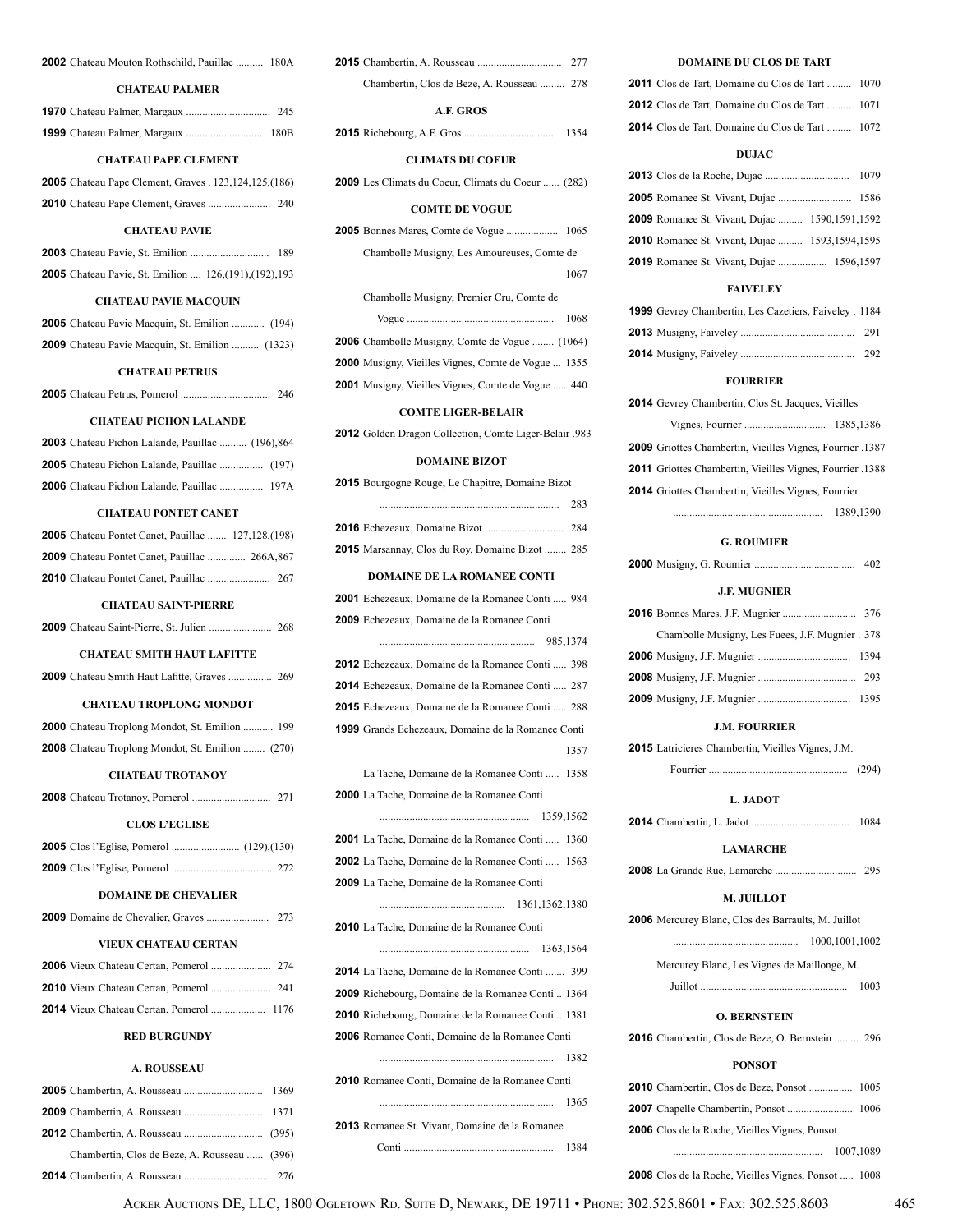#### **2002** Chateau Mouton Rothschild, Pauillac .......... 180A

#### **CHATEAU PALMER**

| <b>CHATEAU PAPE CLEMENT</b>                                     |  |
|-----------------------------------------------------------------|--|
| <b>2005</b> Chateau Pape Clement, Graves . 123, 124, 125, (186) |  |

### **CHATEAU PAVIE**

|  |  |                                                                | 189 |
|--|--|----------------------------------------------------------------|-----|
|  |  | <b>2005</b> Chateau Pavie, St. Emilion  126, (191), (192), 193 |     |

### **CHATEAU PAVIE MACQUIN**

| <b>2005</b> Chateau Pavie Macquin, St. Emilion  (194)  |  |  |  |
|--------------------------------------------------------|--|--|--|
| <b>2009</b> Chateau Pavie Macquin, St. Emilion  (1323) |  |  |  |

### **CHATEAU PETRUS**

|  |  |  |  |  | 246 |
|--|--|--|--|--|-----|
|--|--|--|--|--|-----|

### **CHATEAU PICHON LALANDE**

| <b>2003</b> Chateau Pichon Lalande, Pauillac  (196),864 |  |
|---------------------------------------------------------|--|
|                                                         |  |
| <b>2006</b> Chateau Pichon Lalande, Pauillac  197A      |  |

### **CHATEAU PONTET CANET**

| <b>CHATEAU SAINT-PIERRE</b>                                |  |
|------------------------------------------------------------|--|
|                                                            |  |
| <b>2009</b> Chateau Pontet Canet, Pauillac  266A,867       |  |
| <b>2005</b> Chateau Pontet Canet, Pauillac  127,128, (198) |  |

### **CHATEAU SMITH HAUT LAFITTE**

|--|--|--|

### **CHATEAU TROPLONG MONDOT**

| <b>2000</b> Chateau Troplong Mondot, St. Emilion  199   |  |
|---------------------------------------------------------|--|
| <b>2008</b> Chateau Troplong Mondot, St. Emilion  (270) |  |

#### **CHATEAU TROTANOY**

| <b>CLOS L'EGLISE</b> |  |  |  |  |  |
|----------------------|--|--|--|--|--|

#### **DOMAINE DE CHEVALIER**

### **VIEUX CHATEAU CERTAN**

### **RED BURGUNDY**

#### **A. ROUSSEAU**

| Chambertin, Clos de Beze, A. Rousseau  (396) |  |
|----------------------------------------------|--|
|                                              |  |

| Chambertin, Clos de Beze, A. Rousseau  278 |  |
|--------------------------------------------|--|
| A.F. GROS                                  |  |

**2015** Richebourg, A.F. Gros .................................. 1354

#### **CLIMATS DU COEUR**

**2009** Les Climats du Coeur, Climats du Coeur ...... (282)

#### **COMTE DE VOGUE**

| Chambolle Musigny, Les Amoureuses, Comte de                |      |
|------------------------------------------------------------|------|
|                                                            | 1067 |
| Chambolle Musigny, Premier Cru, Comte de                   |      |
|                                                            | 1068 |
| <b>2006</b> Chambolle Musigny, Comte de Vogue  (1064)      |      |
| <b>2000</b> Musigny, Vieilles Vignes, Comte de Vogue  1355 |      |

**2001** Musigny, Vieilles Vignes, Comte de Vogue ..... 440

### **COMTE LIGER-BELAIR**

**2012** Golden Dragon Collection, Comte Liger-Belair .983

### **DOMAINE BIZOT**

| 2015 Bourgogne Rouge, Le Chapitre, Domaine Bizot          |
|-----------------------------------------------------------|
| 283                                                       |
|                                                           |
| 2015 Marsannay, Clos du Roy, Domaine Bizot  285           |
| DOMAINE DE LA ROMANEE CONTI                               |
| <b>2001</b> Echezeaux, Domaine de la Romanee Conti  984   |
| 2009 Echezeaux, Domaine de la Romanee Conti               |
|                                                           |
| <b>2012</b> Echezeaux, Domaine de la Romanee Conti  398   |
| <b>2014</b> Echezeaux, Domaine de la Romanee Conti  287   |
| <b>2015</b> Echezeaux, Domaine de la Romanee Conti  288   |
| <b>1999</b> Grands Echezeaux, Domaine de la Romanee Conti |
| 1357                                                      |
| La Tache, Domaine de la Romanee Conti  1358               |
| <b>2000</b> La Tache, Domaine de la Romanee Conti         |
|                                                           |
| <b>2001</b> La Tache, Domaine de la Romanee Conti  1360   |
| 2002 La Tache, Domaine de la Romanee Conti  1563          |
| 2009 La Tache, Domaine de la Romanee Conti                |
|                                                           |
| 2010 La Tache, Domaine de la Romanee Conti                |
|                                                           |
| <b>2014</b> La Tache, Domaine de la Romanee Conti  399    |
| <b>2009</b> Richebourg, Domaine de la Romanee Conti 1364  |
| <b>2010</b> Richebourg, Domaine de la Romanee Conti 1381  |
| 2006 Romanee Conti, Domaine de la Romanee Conti           |
|                                                           |
| 2010 Romanee Conti, Domaine de la Romanee Conti           |
|                                                           |
| 2013 Romanee St. Vivant, Domaine de la Romanee            |
|                                                           |

### **DOMAINE DU CLOS DE TART**

| <b>2011</b> Clos de Tart, Domaine du Clos de Tart  1070 |  |
|---------------------------------------------------------|--|
| <b>2012</b> Clos de Tart, Domaine du Clos de Tart  1071 |  |
| <b>2014</b> Clos de Tart, Domaine du Clos de Tart  1072 |  |

### **DUJAC**

| 2009 Romanee St. Vivant, Dujac  1590,1591,1592        |  |
|-------------------------------------------------------|--|
| <b>2010</b> Romanee St. Vivant, Dujac  1593,1594,1595 |  |
| <b>2019</b> Romanee St. Vivant, Dujac  1596,1597      |  |

### **FAIVELEY**

| 1999 Gevrey Chambertin, Les Cazetiers, Faiveley . 1184 |     |
|--------------------------------------------------------|-----|
|                                                        |     |
|                                                        | 292 |

#### **FOURRIER**

| <b>2014</b> Gevrey Chambertin, Clos St. Jacques, Vieilles |           |  |
|-----------------------------------------------------------|-----------|--|
|                                                           |           |  |
| 2009 Griottes Chambertin, Vieilles Vignes, Fourrier .1387 |           |  |
| 2011 Griottes Chambertin, Vieilles Vignes, Fourrier .1388 |           |  |
| 2014 Griottes Chambertin, Vieilles Vignes, Fourrier       |           |  |
|                                                           | 1389.1390 |  |

#### **G. ROUMIER**

| J.E. MUGNIER                                    |  |
|-------------------------------------------------|--|
|                                                 |  |
| Chambolle Musigny, Les Fuees, J.F. Mugnier. 378 |  |
|                                                 |  |
|                                                 |  |
|                                                 |  |

#### **J.M. FOURRIER**

**2015** Latricieres Chambertin, Vieilles Vignes, J.M. Fourrier ................................................... (294)

#### **L. JADOT**

**2014** Chambertin, L. Jadot .................................... 1084

#### **LAMARCHE**

**2008** La Grande Rue, Lamarche .............................. 295

#### **M. JUILLOT**

**2006** Mercurey Blanc, Clos des Barraults, M. Juillot .............................................. 1000,1001,1002 Mercurey Blanc, Les Vignes de Maillonge, M. Juillot ...................................................... 1003

### **O. BERNSTEIN**

**2016** Chambertin, Clos de Beze, O. Bernstein ......... 296

#### **PONSOT**

|  | <b>2006</b> Clos de la Roche, Vieilles Vignes, Ponsot |           |  |
|--|-------------------------------------------------------|-----------|--|
|  |                                                       | 1007.1089 |  |

**2008** Clos de la Roche, Vieilles Vignes, Ponsot ..... 1008

ACKER AUCTIONS DE, LLC, 1800 OGLETOWN RD. SUITE D, NEWARK, DE 19711 • PHONE: 302.525.8601 • FAX: 302.525.8603 465